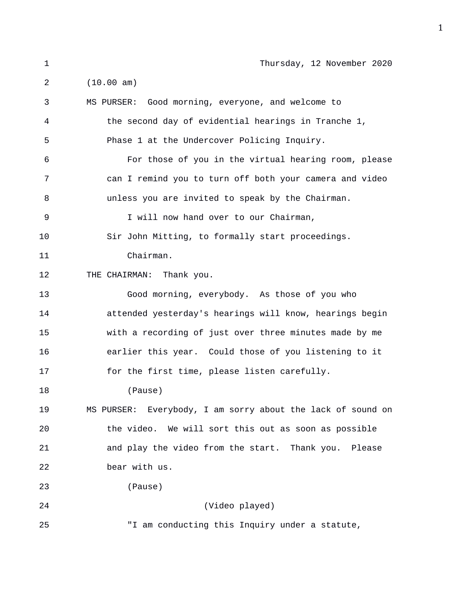| 1  | Thursday, 12 November 2020                                  |
|----|-------------------------------------------------------------|
| 2  | (10.00 am)                                                  |
| 3  | MS PURSER: Good morning, everyone, and welcome to           |
| 4  | the second day of evidential hearings in Tranche 1,         |
| 5  | Phase 1 at the Undercover Policing Inquiry.                 |
| 6  | For those of you in the virtual hearing room, please        |
| 7  | can I remind you to turn off both your camera and video     |
| 8  | unless you are invited to speak by the Chairman.            |
| 9  | I will now hand over to our Chairman,                       |
| 10 | Sir John Mitting, to formally start proceedings.            |
| 11 | Chairman.                                                   |
| 12 | THE CHAIRMAN: Thank you.                                    |
| 13 | Good morning, everybody. As those of you who                |
| 14 | attended yesterday's hearings will know, hearings begin     |
| 15 | with a recording of just over three minutes made by me      |
| 16 | earlier this year. Could those of you listening to it       |
| 17 | for the first time, please listen carefully.                |
| 18 | (Pause)                                                     |
| 19 | MS PURSER: Everybody, I am sorry about the lack of sound on |
| 20 | the video. We will sort this out as soon as possible        |
| 21 | and play the video from the start. Thank you. Please        |
| 22 | bear with us.                                               |
| 23 | (Pause)                                                     |
| 24 | (Video played)                                              |
| 25 | "I am conducting this Inquiry under a statute,              |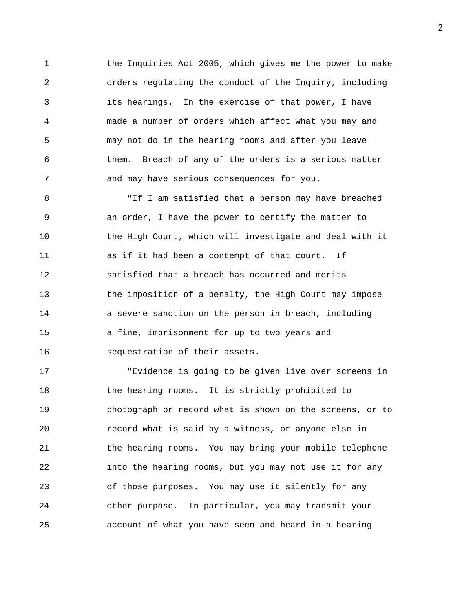1 the Inquiries Act 2005, which gives me the power to make 2 orders regulating the conduct of the Inquiry, including 3 its hearings. In the exercise of that power, I have 4 made a number of orders which affect what you may and 5 may not do in the hearing rooms and after you leave 6 them. Breach of any of the orders is a serious matter 7 and may have serious consequences for you.

8 "If I am satisfied that a person may have breached 9 an order, I have the power to certify the matter to 10 the High Court, which will investigate and deal with it 11 as if it had been a contempt of that court. If 12 satisfied that a breach has occurred and merits 13 the imposition of a penalty, the High Court may impose 14 a severe sanction on the person in breach, including 15 a fine, imprisonment for up to two years and 16 sequestration of their assets.

17 "Evidence is going to be given live over screens in 18 the hearing rooms. It is strictly prohibited to 19 photograph or record what is shown on the screens, or to 20 record what is said by a witness, or anyone else in 21 the hearing rooms. You may bring your mobile telephone 22 into the hearing rooms, but you may not use it for any 23 of those purposes. You may use it silently for any 24 other purpose. In particular, you may transmit your 25 account of what you have seen and heard in a hearing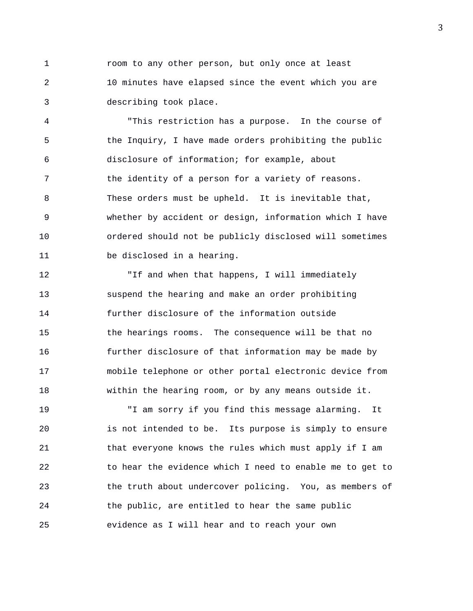1 room to any other person, but only once at least 2 10 minutes have elapsed since the event which you are 3 describing took place.

4 "This restriction has a purpose. In the course of 5 the Inquiry, I have made orders prohibiting the public 6 disclosure of information; for example, about 7 the identity of a person for a variety of reasons. 8 These orders must be upheld. It is inevitable that, 9 whether by accident or design, information which I have 10 ordered should not be publicly disclosed will sometimes 11 be disclosed in a hearing.

12 "If and when that happens, I will immediately 13 suspend the hearing and make an order prohibiting 14 further disclosure of the information outside 15 the hearings rooms. The consequence will be that no 16 further disclosure of that information may be made by 17 mobile telephone or other portal electronic device from 18 within the hearing room, or by any means outside it.

19 "I am sorry if you find this message alarming. It 20 is not intended to be. Its purpose is simply to ensure 21 that everyone knows the rules which must apply if I am 22 to hear the evidence which I need to enable me to get to 23 the truth about undercover policing. You, as members of 24 the public, are entitled to hear the same public 25 evidence as I will hear and to reach your own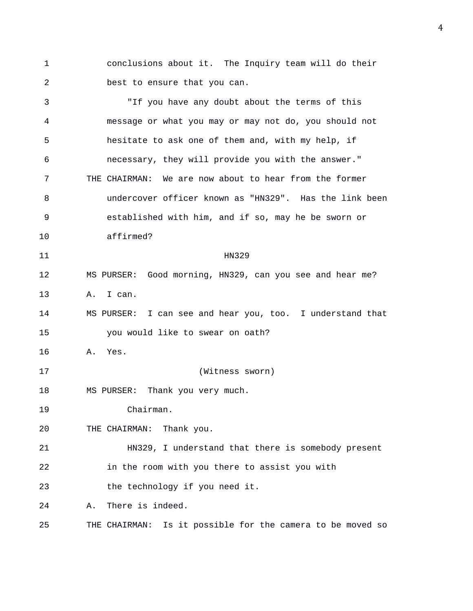1 conclusions about it. The Inquiry team will do their 2 best to ensure that you can.

3 "If you have any doubt about the terms of this 4 message or what you may or may not do, you should not 5 hesitate to ask one of them and, with my help, if 6 necessary, they will provide you with the answer." 7 THE CHAIRMAN: We are now about to hear from the former 8 undercover officer known as "HN329". Has the link been 9 established with him, and if so, may he be sworn or 10 affirmed? 11 HN329 12 MS PURSER: Good morning, HN329, can you see and hear me? 13 A. I can. 14 MS PURSER: I can see and hear you, too. I understand that 15 you would like to swear on oath? 16 A. Yes. 17 (Witness sworn) 18 MS PURSER: Thank you very much. 19 Chairman. 20 THE CHAIRMAN: Thank you. 21 HN329, I understand that there is somebody present 22 in the room with you there to assist you with 23 the technology if you need it. 24 A. There is indeed. 25 THE CHAIRMAN: Is it possible for the camera to be moved so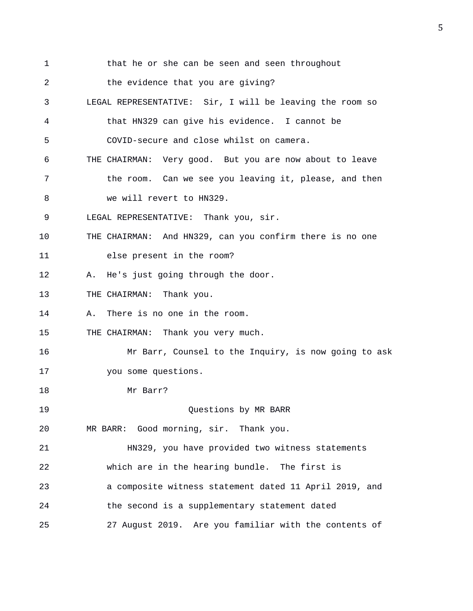1 that he or she can be seen and seen throughout 2 the evidence that you are giving? 3 LEGAL REPRESENTATIVE: Sir, I will be leaving the room so 4 that HN329 can give his evidence. I cannot be 5 COVID-secure and close whilst on camera. 6 THE CHAIRMAN: Very good. But you are now about to leave 7 the room. Can we see you leaving it, please, and then 8 we will revert to HN329. 9 LEGAL REPRESENTATIVE: Thank you, sir. 10 THE CHAIRMAN: And HN329, can you confirm there is no one 11 else present in the room? 12 A. He's just going through the door. 13 THE CHAIRMAN: Thank you. 14 A. There is no one in the room. 15 THE CHAIRMAN: Thank you very much. 16 Mr Barr, Counsel to the Inquiry, is now going to ask 17 you some questions. 18 Mr Barr? 19 Questions by MR BARR 20 MR BARR: Good morning, sir. Thank you. 21 HN329, you have provided two witness statements 22 which are in the hearing bundle. The first is 23 a composite witness statement dated 11 April 2019, and 24 the second is a supplementary statement dated 25 27 August 2019. Are you familiar with the contents of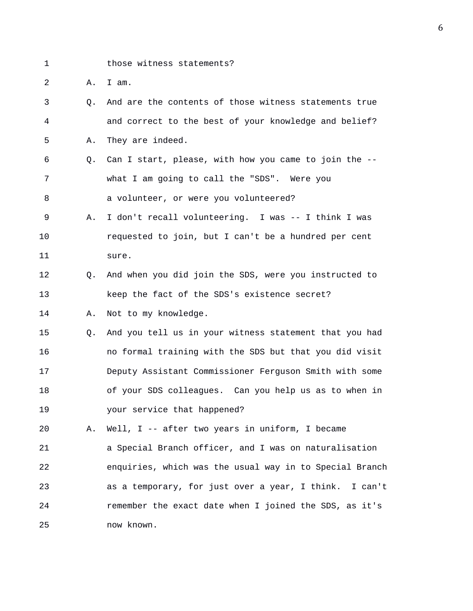1 those witness statements?

2 A. I am.

- 3 Q. And are the contents of those witness statements true 4 and correct to the best of your knowledge and belief? 5 A. They are indeed.
- 6 Q. Can I start, please, with how you came to join the -- 7 what I am going to call the "SDS". Were you 8 a volunteer, or were you volunteered?
- 9 A. I don't recall volunteering. I was -- I think I was 10 requested to join, but I can't be a hundred per cent 11 sure.
- 12 Q. And when you did join the SDS, were you instructed to 13 keep the fact of the SDS's existence secret?

14 A. Not to my knowledge.

15 Q. And you tell us in your witness statement that you had 16 no formal training with the SDS but that you did visit 17 Deputy Assistant Commissioner Ferguson Smith with some 18 of your SDS colleagues. Can you help us as to when in 19 your service that happened?

20 A. Well, I -- after two years in uniform, I became 21 a Special Branch officer, and I was on naturalisation 22 enquiries, which was the usual way in to Special Branch 23 as a temporary, for just over a year, I think. I can't 24 remember the exact date when I joined the SDS, as it's 25 now known.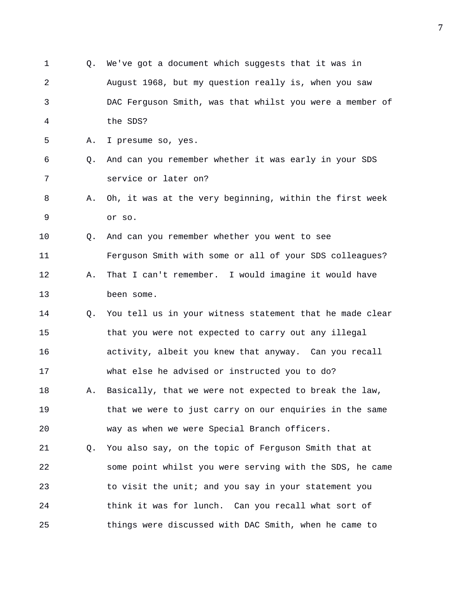1 Q. We've got a document which suggests that it was in 2 August 1968, but my question really is, when you saw 3 DAC Ferguson Smith, was that whilst you were a member of 4 the SDS? 5 A. I presume so, yes. 6 Q. And can you remember whether it was early in your SDS 7 service or later on? 8 A. Oh, it was at the very beginning, within the first week 9 or so. 10 Q. And can you remember whether you went to see 11 Ferguson Smith with some or all of your SDS colleagues? 12 A. That I can't remember. I would imagine it would have 13 been some. 14 Q. You tell us in your witness statement that he made clear 15 that you were not expected to carry out any illegal 16 activity, albeit you knew that anyway. Can you recall 17 what else he advised or instructed you to do? 18 A. Basically, that we were not expected to break the law, 19 that we were to just carry on our enquiries in the same 20 way as when we were Special Branch officers. 21 Q. You also say, on the topic of Ferguson Smith that at 22 some point whilst you were serving with the SDS, he came 23 to visit the unit; and you say in your statement you 24 think it was for lunch. Can you recall what sort of 25 things were discussed with DAC Smith, when he came to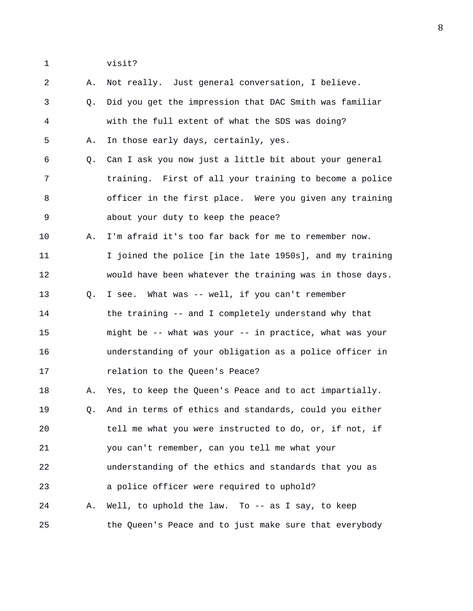1 visit?

| $\overline{a}$ | Α. | Not really. Just general conversation, I believe.        |
|----------------|----|----------------------------------------------------------|
| 3              | Q. | Did you get the impression that DAC Smith was familiar   |
| 4              |    | with the full extent of what the SDS was doing?          |
| 5              | Α. | In those early days, certainly, yes.                     |
| 6              | Q. | Can I ask you now just a little bit about your general   |
| 7              |    | training. First of all your training to become a police  |
| 8              |    | officer in the first place. Were you given any training  |
| 9              |    | about your duty to keep the peace?                       |
| 10             | Α. | I'm afraid it's too far back for me to remember now.     |
| 11             |    | I joined the police [in the late 1950s], and my training |
| 12             |    | would have been whatever the training was in those days. |
| 13             | Q. | I see. What was -- well, if you can't remember           |
| 14             |    | the training -- and I completely understand why that     |
| 15             |    | might be -- what was your -- in practice, what was your  |
| 16             |    | understanding of your obligation as a police officer in  |
| 17             |    | relation to the Queen's Peace?                           |
| 18             | Α. | Yes, to keep the Queen's Peace and to act impartially.   |
| 19             | Q. | And in terms of ethics and standards, could you either   |
| 20             |    | tell me what you were instructed to do, or, if not, if   |
| 21             |    | you can't remember, can you tell me what your            |
| 22             |    | understanding of the ethics and standards that you as    |
| 23             |    | a police officer were required to uphold?                |
| 24             | Α. | Well, to uphold the law. To -- as I say, to keep         |
| 25             |    | the Queen's Peace and to just make sure that everybody   |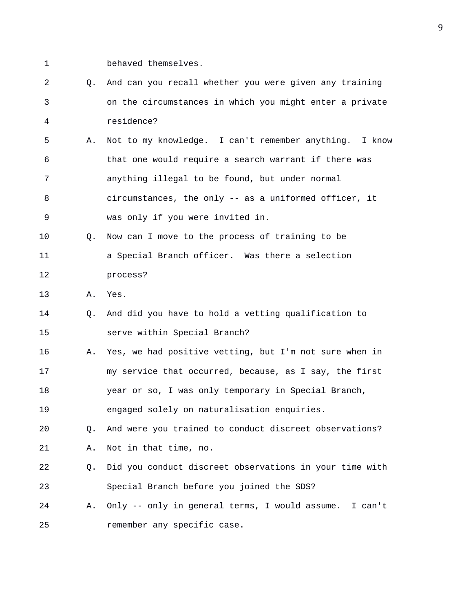- 1 behaved themselves.
- 2 Q. And can you recall whether you were given any training 3 on the circumstances in which you might enter a private 4 residence?
- 5 A. Not to my knowledge. I can't remember anything. I know 6 that one would require a search warrant if there was 7 anything illegal to be found, but under normal 8 circumstances, the only -- as a uniformed officer, it 9 was only if you were invited in.
- 10 Q. Now can I move to the process of training to be 11 a Special Branch officer. Was there a selection 12 process?
- 13 A. Yes.
- 14 Q. And did you have to hold a vetting qualification to 15 serve within Special Branch?
- 16 A. Yes, we had positive vetting, but I'm not sure when in 17 my service that occurred, because, as I say, the first 18 year or so, I was only temporary in Special Branch, 19 engaged solely on naturalisation enquiries.
- 20 Q. And were you trained to conduct discreet observations? 21 A. Not in that time, no.
- 22 Q. Did you conduct discreet observations in your time with 23 Special Branch before you joined the SDS?
- 24 A. Only -- only in general terms, I would assume. I can't 25 remember any specific case.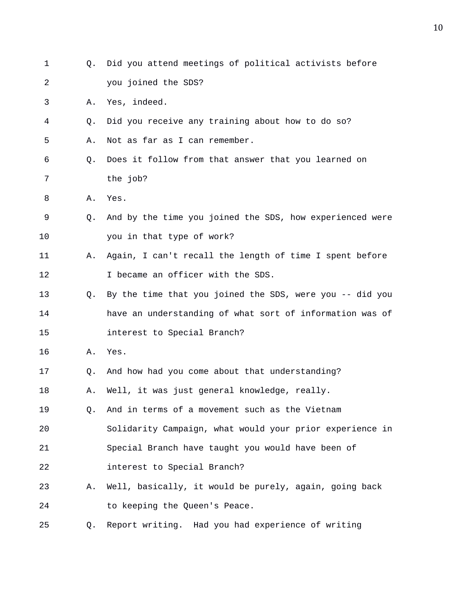| 1  | Q. | Did you attend meetings of political activists before    |
|----|----|----------------------------------------------------------|
| 2  |    | you joined the SDS?                                      |
| 3  | Α. | Yes, indeed.                                             |
| 4  | Q. | Did you receive any training about how to do so?         |
| 5  | Α. | Not as far as I can remember.                            |
| 6  | Q. | Does it follow from that answer that you learned on      |
| 7  |    | the job?                                                 |
| 8  | Α. | Yes.                                                     |
| 9  | О. | And by the time you joined the SDS, how experienced were |
| 10 |    | you in that type of work?                                |
| 11 | Α. | Again, I can't recall the length of time I spent before  |
| 12 |    | I became an officer with the SDS.                        |
| 13 | Q. | By the time that you joined the SDS, were you -- did you |
| 14 |    | have an understanding of what sort of information was of |
| 15 |    | interest to Special Branch?                              |
| 16 | Α. | Yes.                                                     |
| 17 | Q. | And how had you come about that understanding?           |
| 18 | Α. | Well, it was just general knowledge, really.             |
| 19 | Q. | And in terms of a movement such as the Vietnam           |
| 20 |    | Solidarity Campaign, what would your prior experience in |
| 21 |    | Special Branch have taught you would have been of        |
| 22 |    | interest to Special Branch?                              |
| 23 | Α. | Well, basically, it would be purely, again, going back   |
| 24 |    | to keeping the Queen's Peace.                            |
| 25 | Q. | Report writing. Had you had experience of writing        |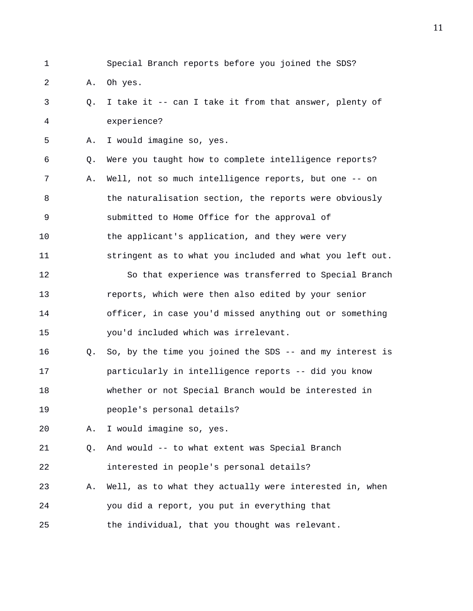1 Special Branch reports before you joined the SDS?

2 A. Oh yes.

- 3 Q. I take it -- can I take it from that answer, plenty of 4 experience?
- 5 A. I would imagine so, yes.

6 Q. Were you taught how to complete intelligence reports? 7 A. Well, not so much intelligence reports, but one -- on 8 the naturalisation section, the reports were obviously 9 submitted to Home Office for the approval of 10 the applicant's application, and they were very 11 stringent as to what you included and what you left out. 12 So that experience was transferred to Special Branch 13 reports, which were then also edited by your senior

14 officer, in case you'd missed anything out or something 15 you'd included which was irrelevant.

16 Q. So, by the time you joined the SDS -- and my interest is 17 particularly in intelligence reports -- did you know 18 whether or not Special Branch would be interested in 19 people's personal details?

20 A. I would imagine so, yes.

21 Q. And would -- to what extent was Special Branch 22 interested in people's personal details?

23 A. Well, as to what they actually were interested in, when 24 you did a report, you put in everything that 25 the individual, that you thought was relevant.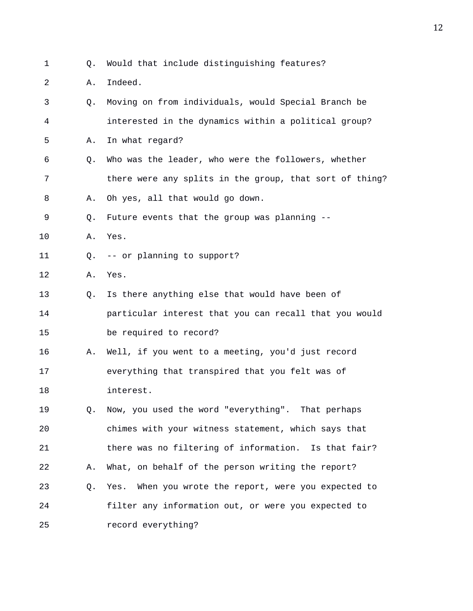- Q. Would that include distinguishing features?
- 2 A. Indeed.

| 3  | Q. | Moving on from individuals, would Special Branch be     |
|----|----|---------------------------------------------------------|
| 4  |    | interested in the dynamics within a political group?    |
| 5  | Α. | In what regard?                                         |
| 6  | Q. | Who was the leader, who were the followers, whether     |
| 7  |    | there were any splits in the group, that sort of thing? |
| 8  | Α. | Oh yes, all that would go down.                         |
| 9  | Q. | Future events that the group was planning --            |
| 10 | Α. | Yes.                                                    |
| 11 | Q. | -- or planning to support?                              |
| 12 | Α. | Yes.                                                    |
| 13 | Q. | Is there anything else that would have been of          |
| 14 |    | particular interest that you can recall that you would  |
| 15 |    | be required to record?                                  |
| 16 | Α. | Well, if you went to a meeting, you'd just record       |
| 17 |    | everything that transpired that you felt was of         |
| 18 |    | interest.                                               |
| 19 | Q. | Now, you used the word "everything". That perhaps       |
| 20 |    | chimes with your witness statement, which says that     |
| 21 |    | there was no filtering of information. Is that fair?    |
| 22 | Α. | What, on behalf of the person writing the report?       |
| 23 | Q. | When you wrote the report, were you expected to<br>Yes. |
| 24 |    | filter any information out, or were you expected to     |
| 25 |    | record everything?                                      |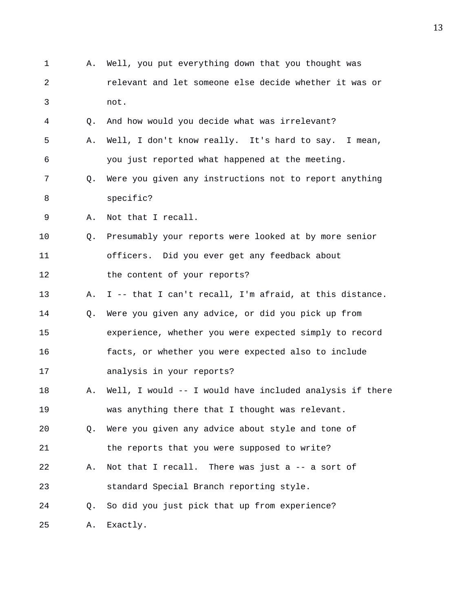1 A. Well, you put everything down that you thought was 2 relevant and let someone else decide whether it was or 3 not. 4 Q. And how would you decide what was irrelevant? 5 A. Well, I don't know really. It's hard to say. I mean, 6 you just reported what happened at the meeting. 7 Q. Were you given any instructions not to report anything 8 specific? 9 A. Not that I recall. 10 Q. Presumably your reports were looked at by more senior 11 officers. Did you ever get any feedback about 12 the content of your reports? 13 A. I -- that I can't recall, I'm afraid, at this distance. 14 Q. Were you given any advice, or did you pick up from 15 experience, whether you were expected simply to record 16 facts, or whether you were expected also to include 17 analysis in your reports? 18 A. Well, I would -- I would have included analysis if there 19 was anything there that I thought was relevant. 20 Q. Were you given any advice about style and tone of 21 the reports that you were supposed to write? 22 A. Not that I recall. There was just a -- a sort of 23 standard Special Branch reporting style. 24 Q. So did you just pick that up from experience? 25 A. Exactly.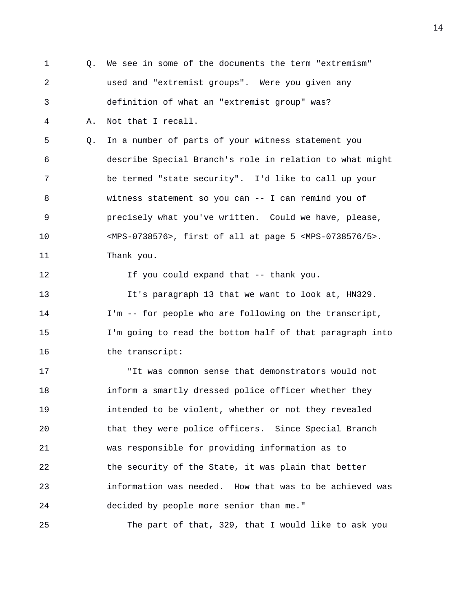1 Q. We see in some of the documents the term "extremism" 2 used and "extremist groups". Were you given any 3 definition of what an "extremist group" was? 4 A. Not that I recall. 5 Q. In a number of parts of your witness statement you 6 describe Special Branch's role in relation to what might 7 be termed "state security". I'd like to call up your 8 witness statement so you can -- I can remind you of 9 precisely what you've written. Could we have, please, 10 <MPS-0738576>, first of all at page 5 <MPS-0738576/5>. 11 Thank you. 12 If you could expand that -- thank you. 13 It's paragraph 13 that we want to look at, HN329. 14 I'm -- for people who are following on the transcript, 15 I'm going to read the bottom half of that paragraph into 16 the transcript: 17 "It was common sense that demonstrators would not 18 inform a smartly dressed police officer whether they 19 intended to be violent, whether or not they revealed 20 that they were police officers. Since Special Branch 21 was responsible for providing information as to 22 the security of the State, it was plain that better 23 information was needed. How that was to be achieved was 24 decided by people more senior than me." 25 The part of that, 329, that I would like to ask you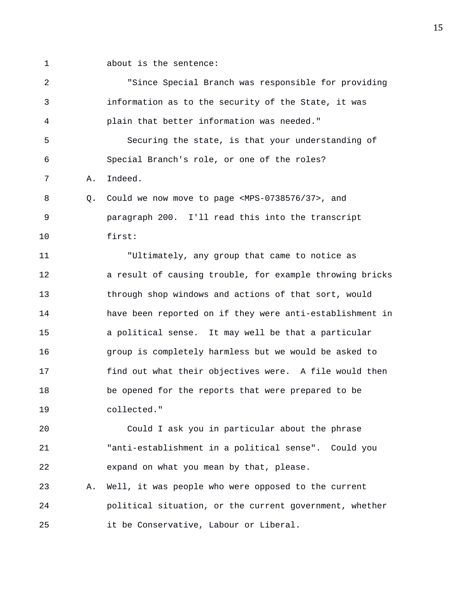- 
- 1 about is the sentence:

2 "Since Special Branch was responsible for providing 3 information as to the security of the State, it was 4 plain that better information was needed." 5 Securing the state, is that your understanding of 6 Special Branch's role, or one of the roles? 7 A. Indeed. 8 Q. Could we now move to page <MPS-0738576/37>, and 9 paragraph 200. I'll read this into the transcript 10 first: 11 "Ultimately, any group that came to notice as 12 a result of causing trouble, for example throwing bricks 13 through shop windows and actions of that sort, would 14 have been reported on if they were anti-establishment in 15 a political sense. It may well be that a particular 16 group is completely harmless but we would be asked to 17 find out what their objectives were. A file would then 18 be opened for the reports that were prepared to be 19 collected." 20 Could I ask you in particular about the phrase 21 "anti-establishment in a political sense". Could you 22 expand on what you mean by that, please. 23 A. Well, it was people who were opposed to the current 24 political situation, or the current government, whether

25 it be Conservative, Labour or Liberal.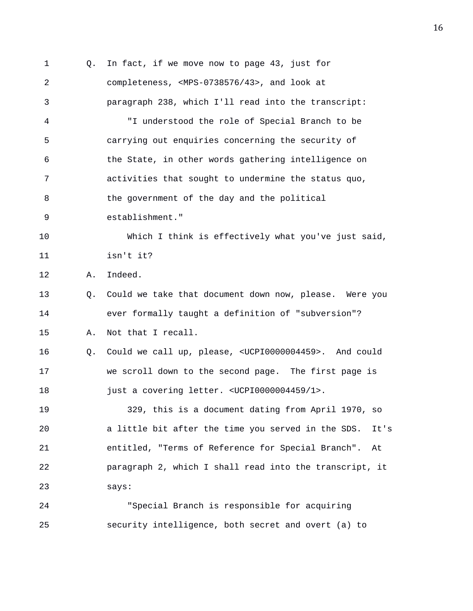1 Q. In fact, if we move now to page 43, just for 2 completeness, <MPS-0738576/43>, and look at 3 paragraph 238, which I'll read into the transcript: 4 "I understood the role of Special Branch to be 5 carrying out enquiries concerning the security of 6 the State, in other words gathering intelligence on 7 activities that sought to undermine the status quo, 8 the government of the day and the political 9 establishment." 10 Which I think is effectively what you've just said, 11 isn't it? 12 A. Indeed. 13 Q. Could we take that document down now, please. Were you 14 ever formally taught a definition of "subversion"? 15 A. Not that I recall. 16 Q. Could we call up, please, <UCPI0000004459>. And could 17 we scroll down to the second page. The first page is 18 just a covering letter. <UCPI0000004459/1>. 19 329, this is a document dating from April 1970, so 20 a little bit after the time you served in the SDS. It's 21 entitled, "Terms of Reference for Special Branch". At 22 paragraph 2, which I shall read into the transcript, it 23 says: 24 "Special Branch is responsible for acquiring 25 security intelligence, both secret and overt (a) to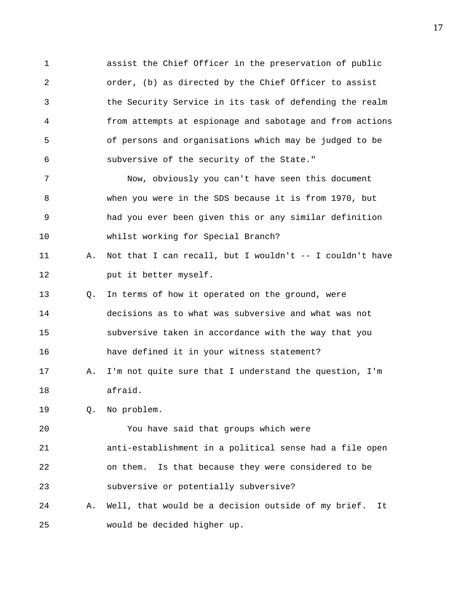1 assist the Chief Officer in the preservation of public 2 order, (b) as directed by the Chief Officer to assist 3 the Security Service in its task of defending the realm 4 from attempts at espionage and sabotage and from actions 5 of persons and organisations which may be judged to be 6 subversive of the security of the State."

7 Now, obviously you can't have seen this document 8 when you were in the SDS because it is from 1970, but 9 had you ever been given this or any similar definition 10 whilst working for Special Branch?

11 A. Not that I can recall, but I wouldn't -- I couldn't have 12 put it better myself.

13 Q. In terms of how it operated on the ground, were 14 decisions as to what was subversive and what was not 15 subversive taken in accordance with the way that you 16 have defined it in your witness statement?

17 A. I'm not quite sure that I understand the question, I'm 18 afraid.

19 Q. No problem.

20 You have said that groups which were 21 anti-establishment in a political sense had a file open 22 on them. Is that because they were considered to be 23 subversive or potentially subversive?

24 A. Well, that would be a decision outside of my brief. It 25 would be decided higher up.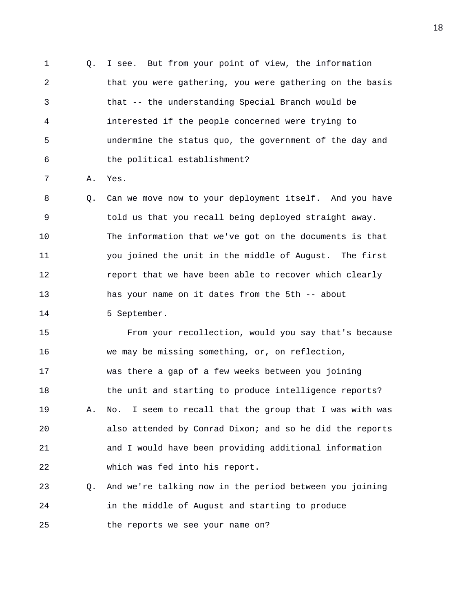1 Q. I see. But from your point of view, the information 2 that you were gathering, you were gathering on the basis 3 that -- the understanding Special Branch would be 4 interested if the people concerned were trying to 5 undermine the status quo, the government of the day and 6 the political establishment?

7 A. Yes.

8 Q. Can we move now to your deployment itself. And you have 9 told us that you recall being deployed straight away. 10 The information that we've got on the documents is that 11 you joined the unit in the middle of August. The first 12 report that we have been able to recover which clearly 13 has your name on it dates from the 5th -- about

14 5 September.

15 From your recollection, would you say that's because 16 we may be missing something, or, on reflection, 17 was there a gap of a few weeks between you joining 18 the unit and starting to produce intelligence reports? 19 A. No. I seem to recall that the group that I was with was 20 also attended by Conrad Dixon; and so he did the reports 21 and I would have been providing additional information 22 which was fed into his report.

23 Q. And we're talking now in the period between you joining 24 in the middle of August and starting to produce 25 the reports we see your name on?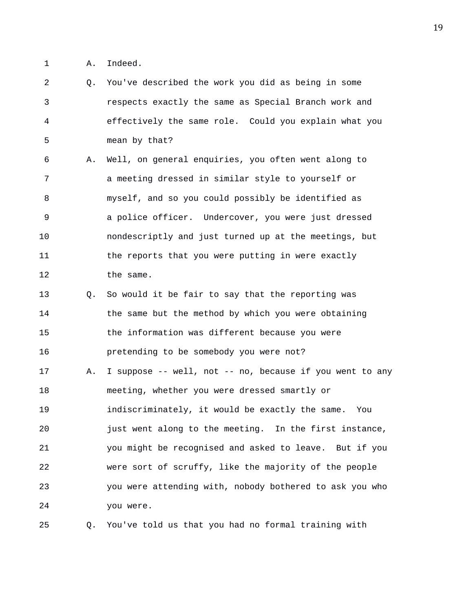1 A. Indeed.

2 Q. You've described the work you did as being in some 3 respects exactly the same as Special Branch work and 4 effectively the same role. Could you explain what you 5 mean by that? 6 A. Well, on general enquiries, you often went along to 7 a meeting dressed in similar style to yourself or 8 myself, and so you could possibly be identified as 9 a police officer. Undercover, you were just dressed 10 nondescriptly and just turned up at the meetings, but 11 the reports that you were putting in were exactly 12 the same. 13 Q. So would it be fair to say that the reporting was 14 the same but the method by which you were obtaining 15 the information was different because you were 16 pretending to be somebody you were not? 17 A. I suppose -- well, not -- no, because if you went to any 18 meeting, whether you were dressed smartly or 19 indiscriminately, it would be exactly the same. You 20 just went along to the meeting. In the first instance, 21 you might be recognised and asked to leave. But if you 22 were sort of scruffy, like the majority of the people 23 you were attending with, nobody bothered to ask you who 24 you were.

25 Q. You've told us that you had no formal training with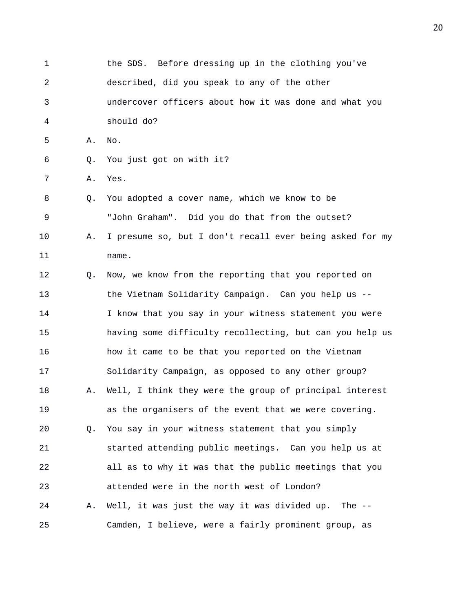1 the SDS. Before dressing up in the clothing you've 2 described, did you speak to any of the other 3 undercover officers about how it was done and what you 4 should do? 5 A. No. 6 Q. You just got on with it? 7 A. Yes. 8 Q. You adopted a cover name, which we know to be 9 "John Graham". Did you do that from the outset? 10 A. I presume so, but I don't recall ever being asked for my 11 name. 12 Q. Now, we know from the reporting that you reported on 13 the Vietnam Solidarity Campaign. Can you help us -- 14 I know that you say in your witness statement you were 15 having some difficulty recollecting, but can you help us 16 how it came to be that you reported on the Vietnam 17 Solidarity Campaign, as opposed to any other group? 18 A. Well, I think they were the group of principal interest 19 as the organisers of the event that we were covering. 20 Q. You say in your witness statement that you simply 21 started attending public meetings. Can you help us at 22 all as to why it was that the public meetings that you 23 attended were in the north west of London? 24 A. Well, it was just the way it was divided up. The -- 25 Camden, I believe, were a fairly prominent group, as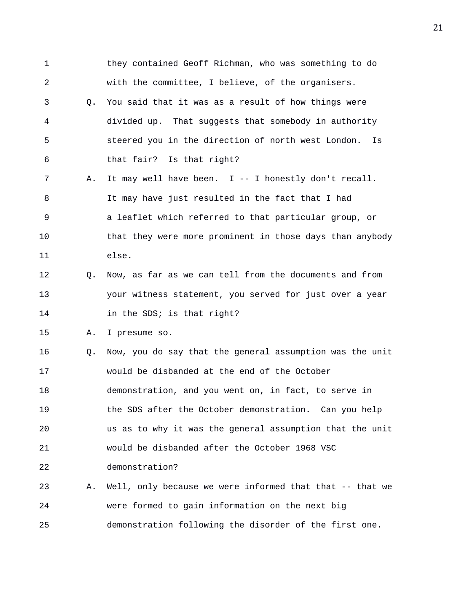1 they contained Geoff Richman, who was something to do 2 with the committee, I believe, of the organisers. 3 Q. You said that it was as a result of how things were 4 divided up. That suggests that somebody in authority 5 steered you in the direction of north west London. Is 6 that fair? Is that right? 7 A. It may well have been. I -- I honestly don't recall. 8 It may have just resulted in the fact that I had 9 a leaflet which referred to that particular group, or 10 that they were more prominent in those days than anybody 11 else. 12 Q. Now, as far as we can tell from the documents and from 13 your witness statement, you served for just over a year 14 in the SDS; is that right? 15 A. I presume so. 16 Q. Now, you do say that the general assumption was the unit 17 would be disbanded at the end of the October 18 demonstration, and you went on, in fact, to serve in 19 the SDS after the October demonstration. Can you help 20 us as to why it was the general assumption that the unit 21 would be disbanded after the October 1968 VSC 22 demonstration? 23 A. Well, only because we were informed that that -- that we 24 were formed to gain information on the next big 25 demonstration following the disorder of the first one.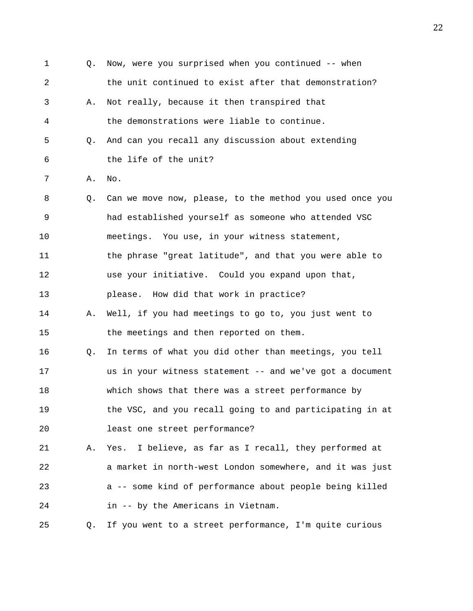1 Q. Now, were you surprised when you continued -- when 2 the unit continued to exist after that demonstration? 3 A. Not really, because it then transpired that 4 the demonstrations were liable to continue. 5 Q. And can you recall any discussion about extending 6 the life of the unit? 7 A. No. 8 Q. Can we move now, please, to the method you used once you 9 had established yourself as someone who attended VSC 10 meetings. You use, in your witness statement, 11 the phrase "great latitude", and that you were able to 12 use your initiative. Could you expand upon that, 13 please. How did that work in practice? 14 A. Well, if you had meetings to go to, you just went to 15 the meetings and then reported on them. 16 Q. In terms of what you did other than meetings, you tell 17 us in your witness statement -- and we've got a document 18 which shows that there was a street performance by 19 the VSC, and you recall going to and participating in at 20 least one street performance? 21 A. Yes. I believe, as far as I recall, they performed at 22 a market in north-west London somewhere, and it was just 23 a -- some kind of performance about people being killed 24 in -- by the Americans in Vietnam. 25 Q. If you went to a street performance, I'm quite curious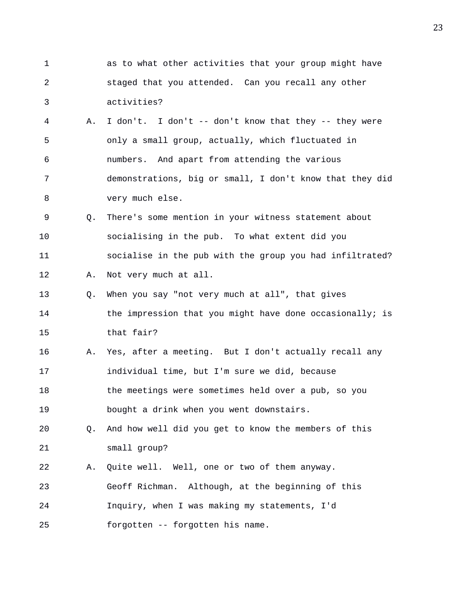| 1  |    | as to what other activities that your group might have   |
|----|----|----------------------------------------------------------|
| 2  |    | staged that you attended. Can you recall any other       |
| 3  |    | activities?                                              |
| 4  | Α. | I don't. I don't -- don't know that they -- they were    |
| 5  |    | only a small group, actually, which fluctuated in        |
| 6  |    | numbers. And apart from attending the various            |
| 7  |    | demonstrations, big or small, I don't know that they did |
| 8  |    | very much else.                                          |
| 9  | Q. | There's some mention in your witness statement about     |
| 10 |    | socialising in the pub. To what extent did you           |
| 11 |    | socialise in the pub with the group you had infiltrated? |
| 12 | Α. | Not very much at all.                                    |
| 13 | Q. | When you say "not very much at all", that gives          |
| 14 |    | the impression that you might have done occasionally; is |
| 15 |    | that fair?                                               |
| 16 | Α. | Yes, after a meeting. But I don't actually recall any    |
| 17 |    | individual time, but I'm sure we did, because            |
| 18 |    | the meetings were sometimes held over a pub, so you      |
| 19 |    | bought a drink when you went downstairs.                 |
| 20 | Q. | And how well did you get to know the members of this     |
| 21 |    | small group?                                             |
| 22 | Α. | Quite well. Well, one or two of them anyway.             |
| 23 |    | Geoff Richman.<br>Although, at the beginning of this     |
| 24 |    | Inquiry, when I was making my statements, I'd            |
| 25 |    | forgotten -- forgotten his name.                         |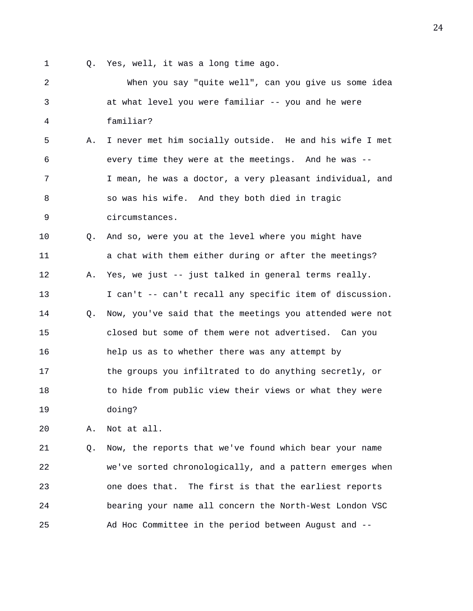1 Q. Yes, well, it was a long time ago.

2 When you say "quite well", can you give us some idea 3 at what level you were familiar -- you and he were 4 familiar? 5 A. I never met him socially outside. He and his wife I met 6 every time they were at the meetings. And he was -- 7 I mean, he was a doctor, a very pleasant individual, and 8 so was his wife. And they both died in tragic 9 circumstances. 10 Q. And so, were you at the level where you might have 11 a chat with them either during or after the meetings? 12 A. Yes, we just -- just talked in general terms really. 13 I can't -- can't recall any specific item of discussion. 14 Q. Now, you've said that the meetings you attended were not 15 closed but some of them were not advertised. Can you 16 help us as to whether there was any attempt by 17 the groups you infiltrated to do anything secretly, or 18 to hide from public view their views or what they were 19 doing? 20 A. Not at all. 21 Q. Now, the reports that we've found which bear your name

22 we've sorted chronologically, and a pattern emerges when 23 one does that. The first is that the earliest reports 24 bearing your name all concern the North-West London VSC 25 Ad Hoc Committee in the period between August and --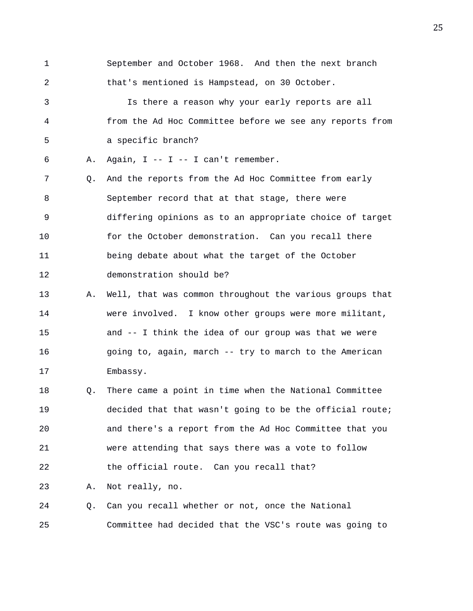- 1 September and October 1968. And then the next branch 2 that's mentioned is Hampstead, on 30 October. 3 Is there a reason why your early reports are all 4 from the Ad Hoc Committee before we see any reports from 5 a specific branch? 6 A. Again, I -- I -- I can't remember. 7 Q. And the reports from the Ad Hoc Committee from early 8 September record that at that stage, there were 9 differing opinions as to an appropriate choice of target 10 for the October demonstration. Can you recall there 11 being debate about what the target of the October
- 12 demonstration should be?
- 13 A. Well, that was common throughout the various groups that 14 were involved. I know other groups were more militant, 15 and -- I think the idea of our group was that we were 16 going to, again, march -- try to march to the American 17 Embassy.
- 18 Q. There came a point in time when the National Committee 19 decided that that wasn't going to be the official route; 20 and there's a report from the Ad Hoc Committee that you 21 were attending that says there was a vote to follow 22 the official route. Can you recall that?

23 A. Not really, no.

24 Q. Can you recall whether or not, once the National 25 Committee had decided that the VSC's route was going to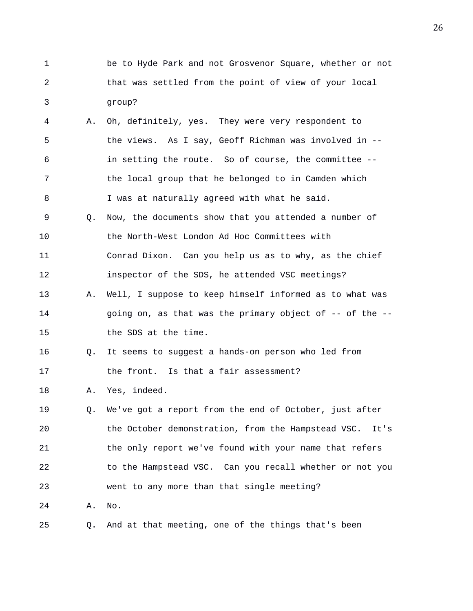- 1 be to Hyde Park and not Grosvenor Square, whether or not 2 that was settled from the point of view of your local 3 group?
- 4 A. Oh, definitely, yes. They were very respondent to 5 the views. As I say, Geoff Richman was involved in -- 6 in setting the route. So of course, the committee -- 7 the local group that he belonged to in Camden which 8 I was at naturally agreed with what he said. 9 Q. Now, the documents show that you attended a number of
- 10 the North-West London Ad Hoc Committees with 11 Conrad Dixon. Can you help us as to why, as the chief 12 inspector of the SDS, he attended VSC meetings?
- 13 A. Well, I suppose to keep himself informed as to what was 14 going on, as that was the primary object of -- of the -- 15 the SDS at the time.
- 16 Q. It seems to suggest a hands-on person who led from 17 the front. Is that a fair assessment?
- 18 A. Yes, indeed.
- 19 Q. We've got a report from the end of October, just after 20 the October demonstration, from the Hampstead VSC. It's 21 the only report we've found with your name that refers 22 to the Hampstead VSC. Can you recall whether or not you 23 went to any more than that single meeting? 24 A. No.
- 25 Q. And at that meeting, one of the things that's been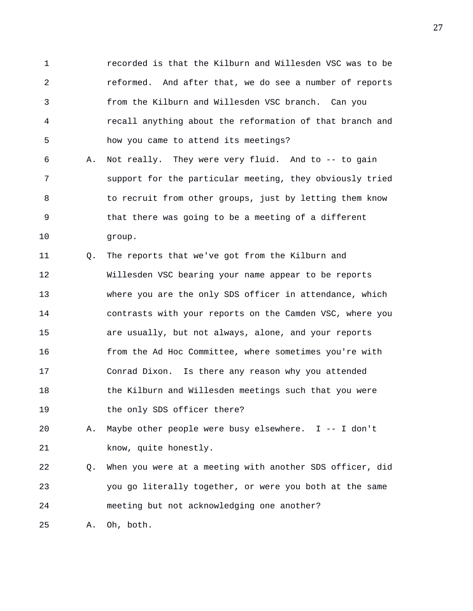1 recorded is that the Kilburn and Willesden VSC was to be 2 reformed. And after that, we do see a number of reports 3 from the Kilburn and Willesden VSC branch. Can you 4 recall anything about the reformation of that branch and 5 how you came to attend its meetings?

6 A. Not really. They were very fluid. And to -- to gain 7 support for the particular meeting, they obviously tried 8 to recruit from other groups, just by letting them know 9 that there was going to be a meeting of a different 10 group.

11 Q. The reports that we've got from the Kilburn and 12 Willesden VSC bearing your name appear to be reports 13 where you are the only SDS officer in attendance, which 14 contrasts with your reports on the Camden VSC, where you 15 are usually, but not always, alone, and your reports 16 from the Ad Hoc Committee, where sometimes you're with 17 Conrad Dixon. Is there any reason why you attended 18 the Kilburn and Willesden meetings such that you were 19 the only SDS officer there?

20 A. Maybe other people were busy elsewhere. I -- I don't 21 know, quite honestly.

22 Q. When you were at a meeting with another SDS officer, did 23 you go literally together, or were you both at the same 24 meeting but not acknowledging one another?

25 A. Oh, both.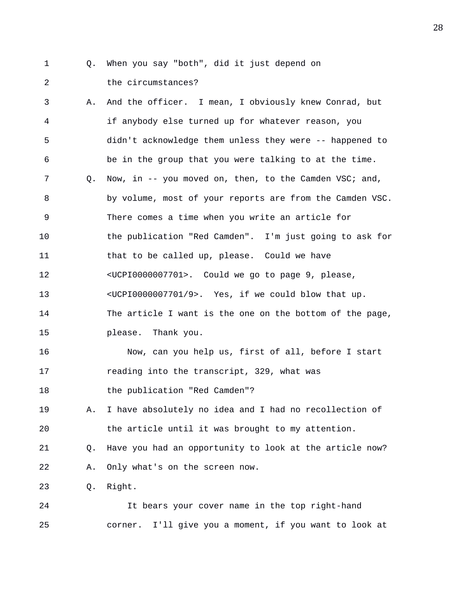- 
- 1 Q. When you say "both", did it just depend on

2 the circumstances?

3 A. And the officer. I mean, I obviously knew Conrad, but 4 if anybody else turned up for whatever reason, you 5 didn't acknowledge them unless they were -- happened to 6 be in the group that you were talking to at the time. 7 Q. Now, in -- you moved on, then, to the Camden VSC; and, 8 by volume, most of your reports are from the Camden VSC. 9 There comes a time when you write an article for 10 the publication "Red Camden". I'm just going to ask for 11 that to be called up, please. Could we have 12 <UCPI0000007701>. Could we go to page 9, please, 13 <UCPI0000007701/9>. Yes, if we could blow that up. 14 The article I want is the one on the bottom of the page, 15 please. Thank you. 16 Now, can you help us, first of all, before I start 17 reading into the transcript, 329, what was 18 the publication "Red Camden"? 19 A. I have absolutely no idea and I had no recollection of 20 the article until it was brought to my attention. 21 Q. Have you had an opportunity to look at the article now? 22 A. Only what's on the screen now. 23 Q. Right. 24 It bears your cover name in the top right-hand 25 corner. I'll give you a moment, if you want to look at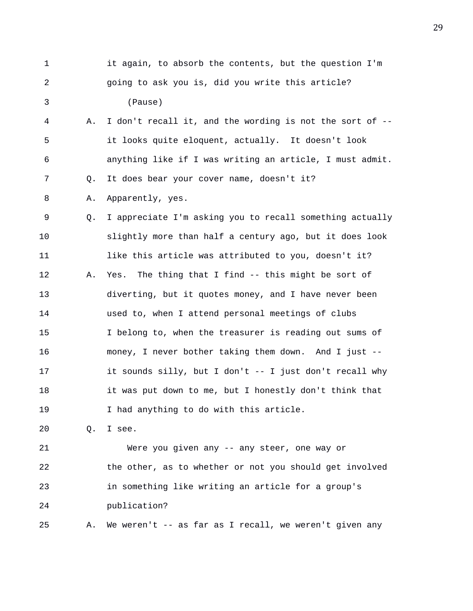1 it again, to absorb the contents, but the question I'm 2 going to ask you is, did you write this article? 3 (Pause) 4 A. I don't recall it, and the wording is not the sort of -- 5 it looks quite eloquent, actually. It doesn't look 6 anything like if I was writing an article, I must admit. 7 Q. It does bear your cover name, doesn't it? 8 A. Apparently, yes. 9 Q. I appreciate I'm asking you to recall something actually 10 slightly more than half a century ago, but it does look 11 like this article was attributed to you, doesn't it? 12 A. Yes. The thing that I find -- this might be sort of 13 diverting, but it quotes money, and I have never been 14 used to, when I attend personal meetings of clubs 15 I belong to, when the treasurer is reading out sums of 16 money, I never bother taking them down. And I just -- 17 it sounds silly, but I don't -- I just don't recall why 18 it was put down to me, but I honestly don't think that 19 I had anything to do with this article. 20 Q. I see. 21 Were you given any -- any steer, one way or 22 the other, as to whether or not you should get involved

23 in something like writing an article for a group's 24 publication?

25 A. We weren't -- as far as I recall, we weren't given any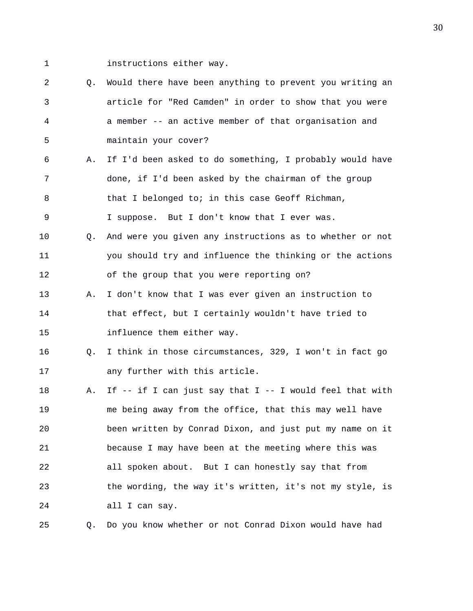1 **instructions either way.** 

2 Q. Would there have been anything to prevent you writing an 3 article for "Red Camden" in order to show that you were 4 a member -- an active member of that organisation and 5 maintain your cover? 6 A. If I'd been asked to do something, I probably would have 7 done, if I'd been asked by the chairman of the group 8 that I belonged to; in this case Geoff Richman, 9 I suppose. But I don't know that I ever was. 10 Q. And were you given any instructions as to whether or not 11 you should try and influence the thinking or the actions 12 of the group that you were reporting on? 13 A. I don't know that I was ever given an instruction to 14 that effect, but I certainly wouldn't have tried to 15 influence them either way. 16 Q. I think in those circumstances, 329, I won't in fact go 17 any further with this article. 18 A. If -- if I can just say that I -- I would feel that with 19 me being away from the office, that this may well have 20 been written by Conrad Dixon, and just put my name on it 21 because I may have been at the meeting where this was 22 all spoken about. But I can honestly say that from 23 the wording, the way it's written, it's not my style, is 24 all I can say. 25 Q. Do you know whether or not Conrad Dixon would have had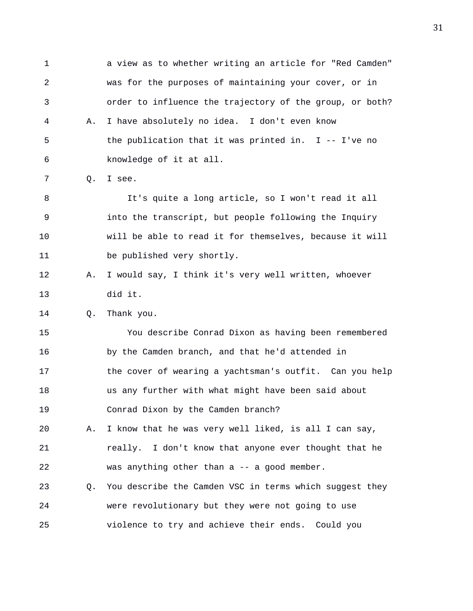1 a view as to whether writing an article for "Red Camden" 2 was for the purposes of maintaining your cover, or in 3 order to influence the trajectory of the group, or both? 4 A. I have absolutely no idea. I don't even know 5 the publication that it was printed in. I -- I've no 6 knowledge of it at all. 7 Q. I see. 8 It's quite a long article, so I won't read it all 9 into the transcript, but people following the Inquiry 10 will be able to read it for themselves, because it will 11 be published very shortly. 12 A. I would say, I think it's very well written, whoever 13 did it. 14 Q. Thank you. 15 You describe Conrad Dixon as having been remembered 16 by the Camden branch, and that he'd attended in 17 the cover of wearing a yachtsman's outfit. Can you help 18 us any further with what might have been said about 19 Conrad Dixon by the Camden branch? 20 A. I know that he was very well liked, is all I can say, 21 really. I don't know that anyone ever thought that he 22 was anything other than a -- a good member. 23 Q. You describe the Camden VSC in terms which suggest they 24 were revolutionary but they were not going to use 25 violence to try and achieve their ends. Could you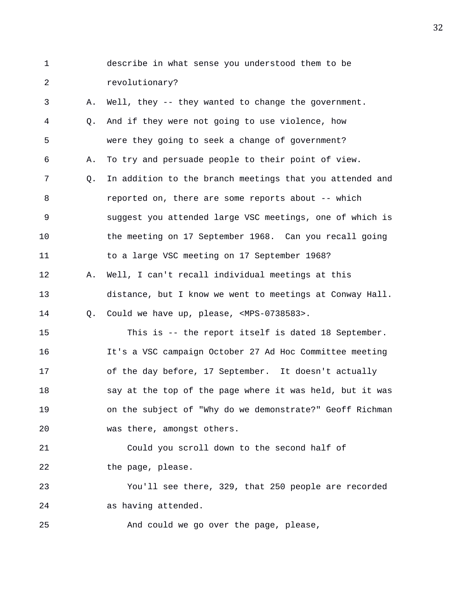1 describe in what sense you understood them to be 2 revolutionary? 3 A. Well, they -- they wanted to change the government. 4 Q. And if they were not going to use violence, how 5 were they going to seek a change of government? 6 A. To try and persuade people to their point of view. 7 Q. In addition to the branch meetings that you attended and 8 reported on, there are some reports about -- which 9 suggest you attended large VSC meetings, one of which is 10 the meeting on 17 September 1968. Can you recall going 11 to a large VSC meeting on 17 September 1968? 12 A. Well, I can't recall individual meetings at this 13 distance, but I know we went to meetings at Conway Hall. 14 Q. Could we have up, please, <MPS-0738583>. 15 This is -- the report itself is dated 18 September. 16 It's a VSC campaign October 27 Ad Hoc Committee meeting 17 of the day before, 17 September. It doesn't actually 18 say at the top of the page where it was held, but it was 19 on the subject of "Why do we demonstrate?" Geoff Richman 20 was there, amongst others. 21 Could you scroll down to the second half of 22 the page, please. 23 You'll see there, 329, that 250 people are recorded 24 as having attended. 25 And could we go over the page, please,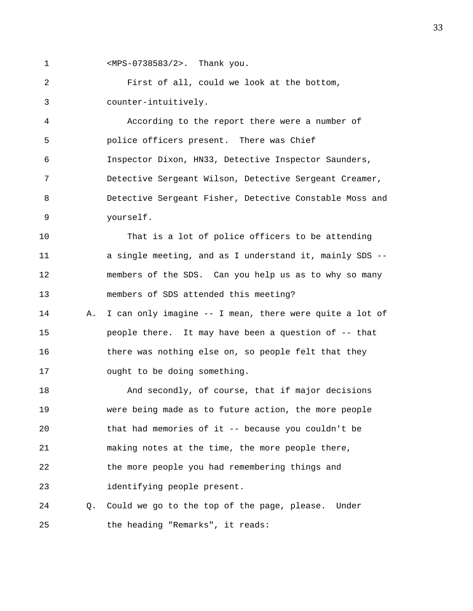1 <MPS-0738583/2>. Thank you.

2 First of all, could we look at the bottom, 3 counter-intuitively.

4 According to the report there were a number of 5 police officers present. There was Chief 6 Inspector Dixon, HN33, Detective Inspector Saunders, 7 Detective Sergeant Wilson, Detective Sergeant Creamer, 8 Detective Sergeant Fisher, Detective Constable Moss and 9 yourself.

10 That is a lot of police officers to be attending 11 a single meeting, and as I understand it, mainly SDS -- 12 members of the SDS. Can you help us as to why so many 13 members of SDS attended this meeting?

14 A. I can only imagine -- I mean, there were quite a lot of 15 people there. It may have been a question of -- that 16 there was nothing else on, so people felt that they 17 ought to be doing something.

18 And secondly, of course, that if major decisions 19 were being made as to future action, the more people 20 that had memories of it -- because you couldn't be 21 making notes at the time, the more people there, 22 the more people you had remembering things and 23 identifying people present.

24 Q. Could we go to the top of the page, please. Under 25 the heading "Remarks", it reads: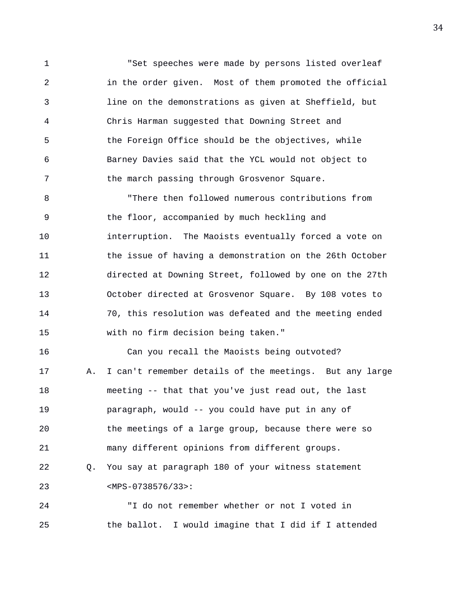1 The Set speeches were made by persons listed overleaf 2 in the order given. Most of them promoted the official 3 line on the demonstrations as given at Sheffield, but 4 Chris Harman suggested that Downing Street and 5 the Foreign Office should be the objectives, while 6 Barney Davies said that the YCL would not object to 7 the march passing through Grosvenor Square.

8 "There then followed numerous contributions from 9 the floor, accompanied by much heckling and 10 interruption. The Maoists eventually forced a vote on 11 the issue of having a demonstration on the 26th October 12 directed at Downing Street, followed by one on the 27th 13 October directed at Grosvenor Square. By 108 votes to 14 70, this resolution was defeated and the meeting ended 15 with no firm decision being taken."

16 Can you recall the Maoists being outvoted? 17 A. I can't remember details of the meetings. But any large 18 meeting -- that that you've just read out, the last 19 paragraph, would -- you could have put in any of 20 the meetings of a large group, because there were so 21 many different opinions from different groups. 22 Q. You say at paragraph 180 of your witness statement 23 <MPS-0738576/33>:

24 "I do not remember whether or not I voted in 25 the ballot. I would imagine that I did if I attended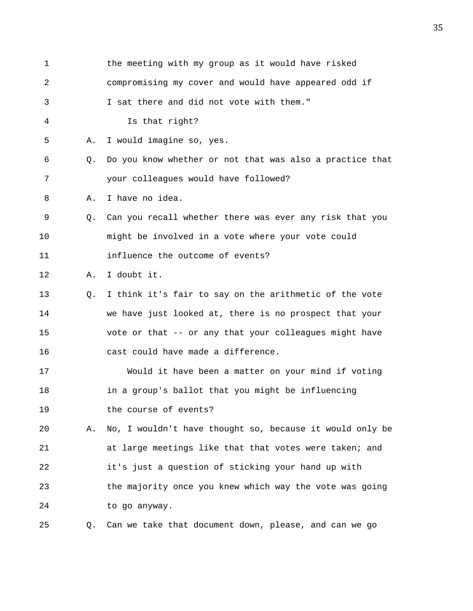| 1  |    | the meeting with my group as it would have risked        |
|----|----|----------------------------------------------------------|
| 2  |    | compromising my cover and would have appeared odd if     |
| 3  |    | I sat there and did not vote with them."                 |
| 4  |    | Is that right?                                           |
| 5  | Α. | I would imagine so, yes.                                 |
| 6  | О. | Do you know whether or not that was also a practice that |
| 7  |    | your colleagues would have followed?                     |
| 8  | Α. | I have no idea.                                          |
| 9  | 0. | Can you recall whether there was ever any risk that you  |
| 10 |    | might be involved in a vote where your vote could        |
| 11 |    | influence the outcome of events?                         |
| 12 | Α. | I doubt it.                                              |
| 13 | Q. | I think it's fair to say on the arithmetic of the vote   |
| 14 |    | we have just looked at, there is no prospect that your   |
| 15 |    | vote or that -- or any that your colleagues might have   |
| 16 |    | cast could have made a difference.                       |
| 17 |    | Would it have been a matter on your mind if voting       |
| 18 |    | in a group's ballot that you might be influencing        |
| 19 |    | the course of events?                                    |
| 20 | Α. | No, I wouldn't have thought so, because it would only be |
| 21 |    | at large meetings like that that votes were taken; and   |
| 22 |    | it's just a question of sticking your hand up with       |
| 23 |    | the majority once you knew which way the vote was going  |
| 24 |    | to go anyway.                                            |
| 25 | Q. | Can we take that document down, please, and can we go    |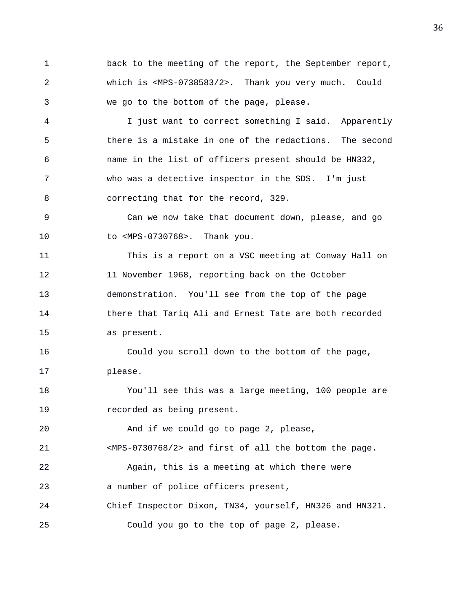1 back to the meeting of the report, the September report, 2 which is <MPS-0738583/2>. Thank you very much. Could 3 we go to the bottom of the page, please.

4 I just want to correct something I said. Apparently 5 there is a mistake in one of the redactions. The second 6 name in the list of officers present should be HN332, 7 who was a detective inspector in the SDS. I'm just 8 correcting that for the record, 329.

9 Can we now take that document down, please, and go 10 to <MPS-0730768>. Thank you.

11 This is a report on a VSC meeting at Conway Hall on 12 11 November 1968, reporting back on the October 13 demonstration. You'll see from the top of the page 14 there that Tariq Ali and Ernest Tate are both recorded 15 as present.

16 Could you scroll down to the bottom of the page, 17 please.

18 You'll see this was a large meeting, 100 people are 19 recorded as being present.

20 And if we could go to page 2, please,

21 <MPS-0730768/2> and first of all the bottom the page.

22 Again, this is a meeting at which there were 23 a number of police officers present,

24 Chief Inspector Dixon, TN34, yourself, HN326 and HN321. 25 Could you go to the top of page 2, please.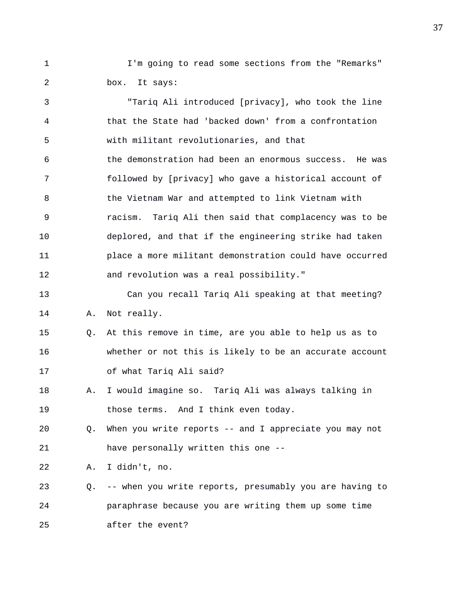1 I'm going to read some sections from the "Remarks" 2 box. It says:

3 "Tariq Ali introduced [privacy], who took the line 4 that the State had 'backed down' from a confrontation 5 with militant revolutionaries, and that 6 the demonstration had been an enormous success. He was 7 followed by [privacy] who gave a historical account of 8 6 1 the Vietnam War and attempted to link Vietnam with 9 racism. Tariq Ali then said that complacency was to be 10 deplored, and that if the engineering strike had taken 11 place a more militant demonstration could have occurred 12 and revolution was a real possibility." 13 Can you recall Tariq Ali speaking at that meeting? 14 A. Not really. 15 Q. At this remove in time, are you able to help us as to 16 whether or not this is likely to be an accurate account 17 of what Tariq Ali said? 18 A. I would imagine so. Tariq Ali was always talking in 19 those terms. And I think even today. 20 Q. When you write reports -- and I appreciate you may not 21 have personally written this one -- 22 A. I didn't, no. 23 Q. -- when you write reports, presumably you are having to 24 paraphrase because you are writing them up some time 25 after the event?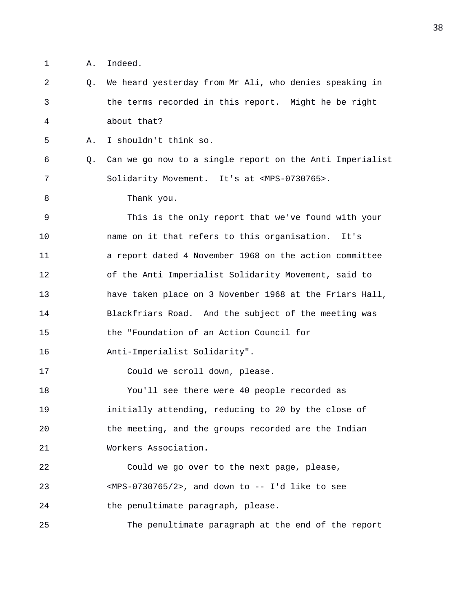1 A. Indeed.

2 Q. We heard yesterday from Mr Ali, who denies speaking in 3 the terms recorded in this report. Might he be right 4 about that? 5 A. I shouldn't think so.

6 Q. Can we go now to a single report on the Anti Imperialist 7 Solidarity Movement. It's at <MPS-0730765>.

8 Thank you.

9 This is the only report that we've found with your 10 name on it that refers to this organisation. It's 11 a report dated 4 November 1968 on the action committee 12 of the Anti Imperialist Solidarity Movement, said to 13 have taken place on 3 November 1968 at the Friars Hall, 14 Blackfriars Road. And the subject of the meeting was 15 the "Foundation of an Action Council for

16 Anti-Imperialist Solidarity".

17 Could we scroll down, please.

18 You'll see there were 40 people recorded as 19 initially attending, reducing to 20 by the close of 20 the meeting, and the groups recorded are the Indian 21 Workers Association.

22 Could we go over to the next page, please, 23 <MPS-0730765/2>, and down to -- I'd like to see 24 the penultimate paragraph, please.

25 The penultimate paragraph at the end of the report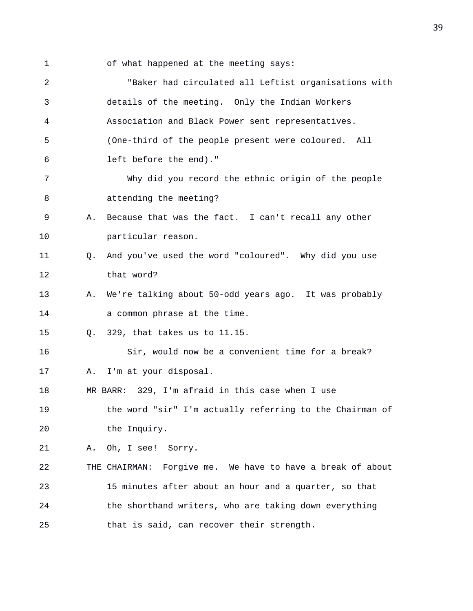- 
- 1 of what happened at the meeting says:

| 2  |    | "Baker had circulated all Leftist organisations with       |
|----|----|------------------------------------------------------------|
| 3  |    | details of the meeting. Only the Indian Workers            |
| 4  |    | Association and Black Power sent representatives.          |
| 5  |    | (One-third of the people present were coloured. All        |
| 6  |    | left before the end)."                                     |
| 7  |    | Why did you record the ethnic origin of the people         |
| 8  |    | attending the meeting?                                     |
| 9  | Α. | Because that was the fact. I can't recall any other        |
| 10 |    | particular reason.                                         |
| 11 | О. | And you've used the word "coloured". Why did you use       |
| 12 |    | that word?                                                 |
| 13 | Α. | We're talking about 50-odd years ago. It was probably      |
| 14 |    | a common phrase at the time.                               |
| 15 | 0. | 329, that takes us to 11.15.                               |
| 16 |    | Sir, would now be a convenient time for a break?           |
| 17 | Α. | I'm at your disposal.                                      |
| 18 |    | MR BARR: 329, I'm afraid in this case when I use           |
| 19 |    | the word "sir" I'm actually referring to the Chairman of   |
| 20 |    | the Inquiry.                                               |
| 21 | Α. | Oh, I see! Sorry.                                          |
| 22 |    | THE CHAIRMAN: Forgive me. We have to have a break of about |
| 23 |    | 15 minutes after about an hour and a quarter, so that      |
| 24 |    | the shorthand writers, who are taking down everything      |
| 25 |    | that is said, can recover their strength.                  |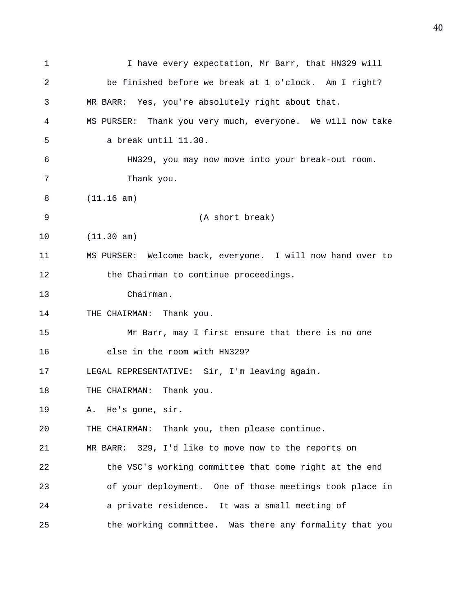| 1  | I have every expectation, Mr Barr, that HN329 will         |
|----|------------------------------------------------------------|
| 2  | be finished before we break at 1 o'clock. Am I right?      |
| 3  | MR BARR: Yes, you're absolutely right about that.          |
| 4  | MS PURSER: Thank you very much, everyone. We will now take |
| 5  | a break until 11.30.                                       |
| 6  | HN329, you may now move into your break-out room.          |
| 7  | Thank you.                                                 |
| 8  | (11.16 am)                                                 |
| 9  | (A short break)                                            |
| 10 | (11.30 am)                                                 |
| 11 | MS PURSER: Welcome back, everyone. I will now hand over to |
| 12 | the Chairman to continue proceedings.                      |
| 13 | Chairman.                                                  |
| 14 | THE CHAIRMAN: Thank you.                                   |
| 15 | Mr Barr, may I first ensure that there is no one           |
| 16 | else in the room with HN329?                               |
| 17 | LEGAL REPRESENTATIVE: Sir, I'm leaving again.              |
| 18 | THE CHAIRMAN: Thank you.                                   |
| 19 | He's gone, sir.<br>Α.                                      |
| 20 | THE CHAIRMAN: Thank you, then please continue.             |
| 21 | MR BARR: 329, I'd like to move now to the reports on       |
| 22 | the VSC's working committee that come right at the end     |
| 23 | of your deployment. One of those meetings took place in    |
| 24 | a private residence. It was a small meeting of             |
| 25 | the working committee. Was there any formality that you    |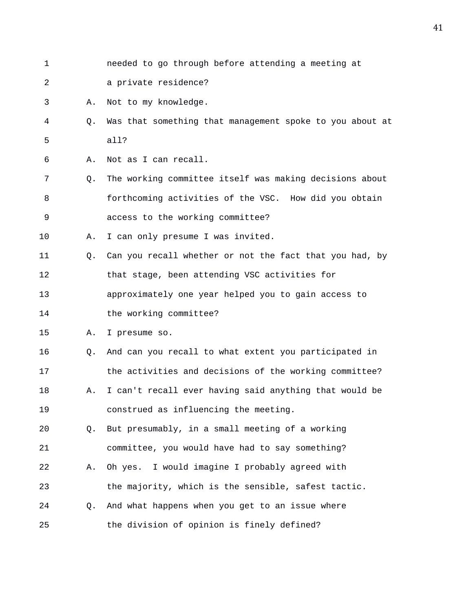- 
- 1 needed to go through before attending a meeting at
- 2 a private residence?

3 A. Not to my knowledge.

- 4 Q. Was that something that management spoke to you about at 5 all?
- 6 A. Not as I can recall.
- 7 Q. The working committee itself was making decisions about 8 forthcoming activities of the VSC. How did you obtain 9 access to the working committee?

10 A. I can only presume I was invited.

- 11 Q. Can you recall whether or not the fact that you had, by 12 that stage, been attending VSC activities for 13 approximately one year helped you to gain access to
- 14 the working committee?

15 A. I presume so.

16 Q. And can you recall to what extent you participated in 17 the activities and decisions of the working committee? 18 A. I can't recall ever having said anything that would be 19 construed as influencing the meeting.

20 Q. But presumably, in a small meeting of a working 21 committee, you would have had to say something?

- 22 A. Oh yes. I would imagine I probably agreed with 23 the majority, which is the sensible, safest tactic. 24 Q. And what happens when you get to an issue where
- 25 the division of opinion is finely defined?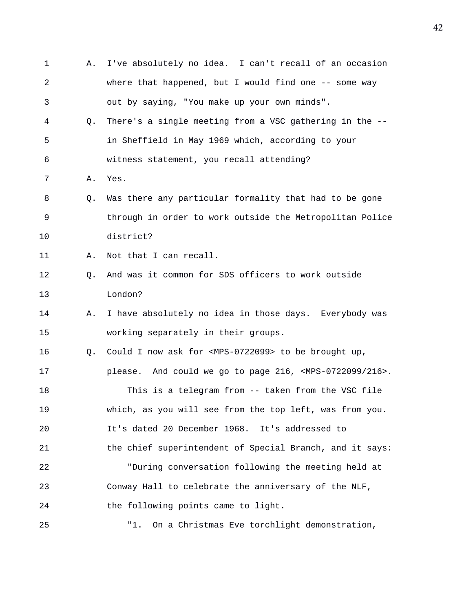| 1  | Α. | I've absolutely no idea. I can't recall of an occasion                   |
|----|----|--------------------------------------------------------------------------|
| 2  |    | where that happened, but I would find one $-$ - some way                 |
| 3  |    | out by saying, "You make up your own minds".                             |
| 4  | Q. | There's a single meeting from a VSC gathering in the --                  |
| 5  |    | in Sheffield in May 1969 which, according to your                        |
| 6  |    | witness statement, you recall attending?                                 |
| 7  | Α. | Yes.                                                                     |
| 8  | Q. | Was there any particular formality that had to be gone                   |
| 9  |    | through in order to work outside the Metropolitan Police                 |
| 10 |    | district?                                                                |
| 11 | Α. | Not that I can recall.                                                   |
| 12 | Q. | And was it common for SDS officers to work outside                       |
| 13 |    | London?                                                                  |
| 14 | Α. | I have absolutely no idea in those days. Everybody was                   |
| 15 |    | working separately in their groups.                                      |
| 16 | Q. | Could I now ask for <mps-0722099> to be brought up,</mps-0722099>        |
| 17 |    | please. And could we go to page 216, <mps-0722099 216="">.</mps-0722099> |
| 18 |    | This is a telegram from -- taken from the VSC file                       |
| 19 |    | which, as you will see from the top left, was from you.                  |
| 20 |    | It's dated 20 December 1968. It's addressed to                           |
| 21 |    | the chief superintendent of Special Branch, and it says:                 |
| 22 |    | "During conversation following the meeting held at                       |
| 23 |    | Conway Hall to celebrate the anniversary of the NLF,                     |
| 24 |    | the following points came to light.                                      |
| 25 |    | On a Christmas Eve torchlight demonstration,<br>"1.                      |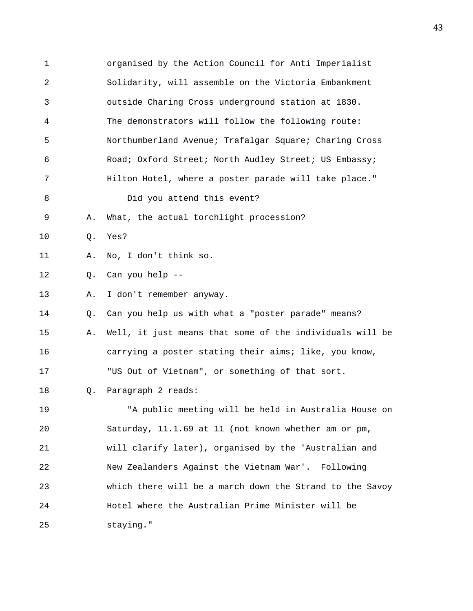1 organised by the Action Council for Anti Imperialist 2 Solidarity, will assemble on the Victoria Embankment 3 outside Charing Cross underground station at 1830. 4 The demonstrators will follow the following route: 5 Northumberland Avenue; Trafalgar Square; Charing Cross 6 Road; Oxford Street; North Audley Street; US Embassy; 7 Hilton Hotel, where a poster parade will take place." 8 Did you attend this event? 9 A. What, the actual torchlight procession? 10 Q. Yes? 11 A. No, I don't think so. 12 Q. Can you help -- 13 A. I don't remember anyway. 14 Q. Can you help us with what a "poster parade" means? 15 A. Well, it just means that some of the individuals will be 16 carrying a poster stating their aims; like, you know, 17 "US Out of Vietnam", or something of that sort. 18 Q. Paragraph 2 reads: 19 "A public meeting will be held in Australia House on 20 Saturday, 11.1.69 at 11 (not known whether am or pm, 21 will clarify later), organised by the 'Australian and 22 New Zealanders Against the Vietnam War'. Following 23 which there will be a march down the Strand to the Savoy 24 Hotel where the Australian Prime Minister will be 25 staying."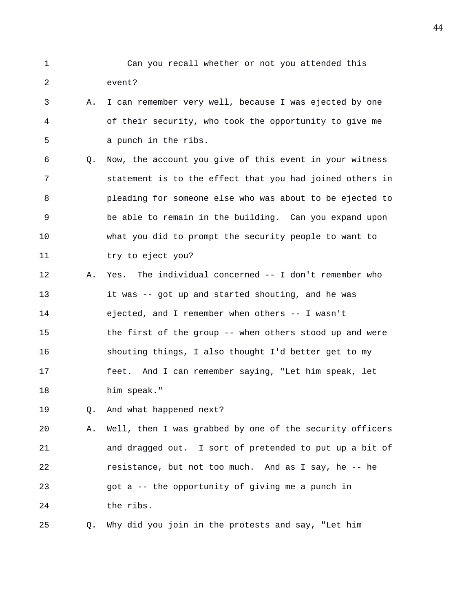- 1 Can you recall whether or not you attended this 2 event?
- 3 A. I can remember very well, because I was ejected by one 4 of their security, who took the opportunity to give me 5 a punch in the ribs.
- 6 Q. Now, the account you give of this event in your witness 7 statement is to the effect that you had joined others in 8 pleading for someone else who was about to be ejected to 9 be able to remain in the building. Can you expand upon 10 what you did to prompt the security people to want to 11 try to eject you?
- 12 A. Yes. The individual concerned -- I don't remember who 13 it was -- got up and started shouting, and he was 14 ejected, and I remember when others -- I wasn't 15 the first of the group -- when others stood up and were 16 shouting things, I also thought I'd better get to my 17 feet. And I can remember saying, "Let him speak, let 18 him speak."
- 19 Q. And what happened next?

20 A. Well, then I was grabbed by one of the security officers 21 and dragged out. I sort of pretended to put up a bit of 22 resistance, but not too much. And as I say, he -- he 23 got a -- the opportunity of giving me a punch in 24 the ribs.

25 Q. Why did you join in the protests and say, "Let him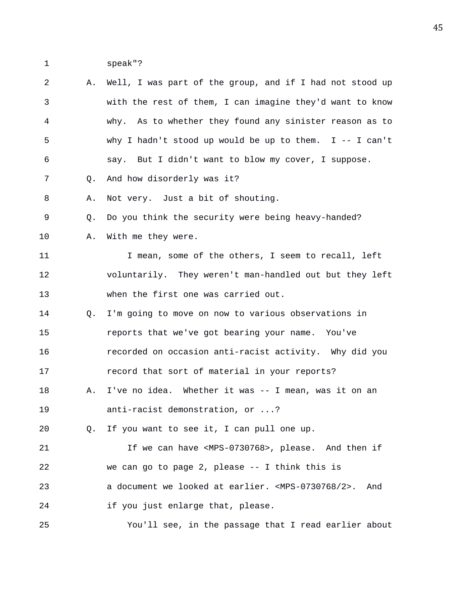1 speak"?

| $\overline{a}$ | Α. | Well, I was part of the group, and if I had not stood up                   |
|----------------|----|----------------------------------------------------------------------------|
| 3              |    | with the rest of them, I can imagine they'd want to know                   |
| 4              |    | why. As to whether they found any sinister reason as to                    |
| 5              |    | why I hadn't stood up would be up to them. I -- I can't                    |
| 6              |    | say. But I didn't want to blow my cover, I suppose.                        |
| 7              | Q. | And how disorderly was it?                                                 |
| 8              | Α. | Not very. Just a bit of shouting.                                          |
| 9              | Q. | Do you think the security were being heavy-handed?                         |
| 10             | Α. | With me they were.                                                         |
| 11             |    | I mean, some of the others, I seem to recall, left                         |
| 12             |    | voluntarily. They weren't man-handled out but they left                    |
| 13             |    | when the first one was carried out.                                        |
| 14             | Q. | I'm going to move on now to various observations in                        |
| 15             |    | reports that we've got bearing your name. You've                           |
| 16             |    | recorded on occasion anti-racist activity. Why did you                     |
| 17             |    | record that sort of material in your reports?                              |
| 18             | Α. | I've no idea. Whether it was -- I mean, was it on an                       |
| 19             |    | anti-racist demonstration, or ?                                            |
| 20             | Q. | If you want to see it, I can pull one up.                                  |
| 21             |    | If we can have <mps-0730768>, please. And then if</mps-0730768>            |
| 22             |    | we can go to page 2, please -- I think this is                             |
| 23             |    | a document we looked at earlier. <mps-0730768 2="">.<br/>And</mps-0730768> |
| 24             |    | if you just enlarge that, please.                                          |
| 25             |    | You'll see, in the passage that I read earlier about                       |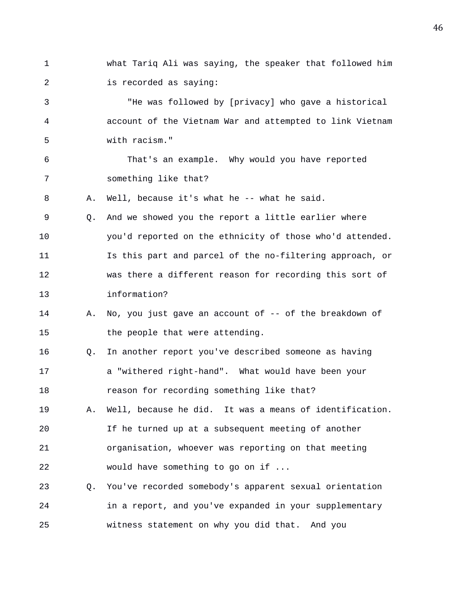- 1 what Tariq Ali was saying, the speaker that followed him 2 is recorded as saying: 3 "He was followed by [privacy] who gave a historical 4 account of the Vietnam War and attempted to link Vietnam 5 with racism." 6 That's an example. Why would you have reported 7 something like that? 8 A. Well, because it's what he -- what he said. 9 Q. And we showed you the report a little earlier where 10 you'd reported on the ethnicity of those who'd attended.
- 11 Is this part and parcel of the no-filtering approach, or 12 was there a different reason for recording this sort of 13 information?
- 14 A. No, you just gave an account of -- of the breakdown of 15 the people that were attending.
- 16 Q. In another report you've described someone as having 17 a "withered right-hand". What would have been your 18 reason for recording something like that?
- 19 A. Well, because he did. It was a means of identification. 20 If he turned up at a subsequent meeting of another 21 organisation, whoever was reporting on that meeting 22 would have something to go on if ...
- 23 Q. You've recorded somebody's apparent sexual orientation 24 in a report, and you've expanded in your supplementary 25 witness statement on why you did that. And you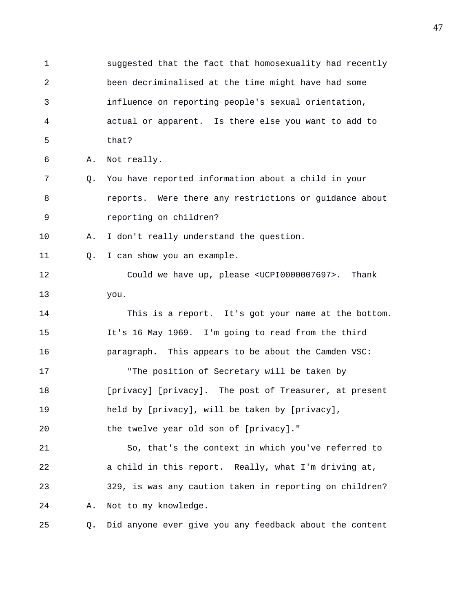1 suggested that the fact that homosexuality had recently 2 been decriminalised at the time might have had some 3 influence on reporting people's sexual orientation, 4 actual or apparent. Is there else you want to add to 5 that? 6 A. Not really. 7 Q. You have reported information about a child in your 8 reports. Were there any restrictions or guidance about 9 reporting on children? 10 A. I don't really understand the question. 11 Q. I can show you an example. 12 Could we have up, please <UCPI0000007697>. Thank 13 you. 14 This is a report. It's got your name at the bottom. 15 It's 16 May 1969. I'm going to read from the third 16 paragraph. This appears to be about the Camden VSC: 17 "The position of Secretary will be taken by 18 [privacy] [privacy]. The post of Treasurer, at present 19 held by [privacy], will be taken by [privacy], 20 the twelve year old son of [privacy]." 21 So, that's the context in which you've referred to 22 a child in this report. Really, what I'm driving at, 23 329, is was any caution taken in reporting on children? 24 A. Not to my knowledge. 25 Q. Did anyone ever give you any feedback about the content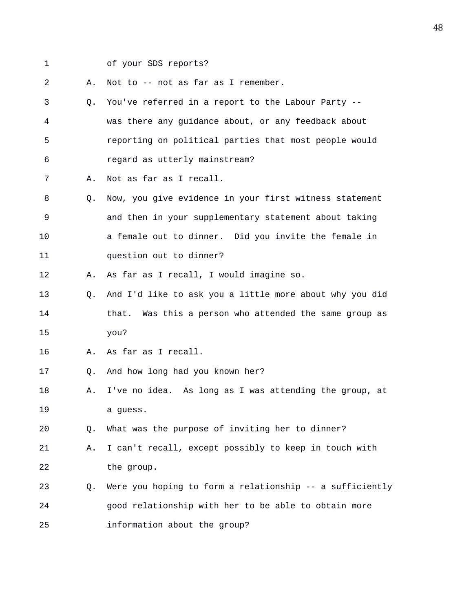- 
- 1 of your SDS reports?

2 A. Not to -- not as far as I remember.

- 3 Q. You've referred in a report to the Labour Party -- 4 was there any guidance about, or any feedback about 5 reporting on political parties that most people would 6 regard as utterly mainstream?
- 7 A. Not as far as I recall.
- 8 Q. Now, you give evidence in your first witness statement 9 and then in your supplementary statement about taking 10 a female out to dinner. Did you invite the female in 11 question out to dinner?
- 12 A. As far as I recall, I would imagine so.
- 13 Q. And I'd like to ask you a little more about why you did 14 **that.** Was this a person who attended the same group as 15 you?
- 16 A. As far as I recall.
- 17 Q. And how long had you known her?
- 18 A. I've no idea. As long as I was attending the group, at 19 a guess.

20 Q. What was the purpose of inviting her to dinner?

- 21 A. I can't recall, except possibly to keep in touch with 22 the group.
- 23 Q. Were you hoping to form a relationship -- a sufficiently 24 good relationship with her to be able to obtain more 25 information about the group?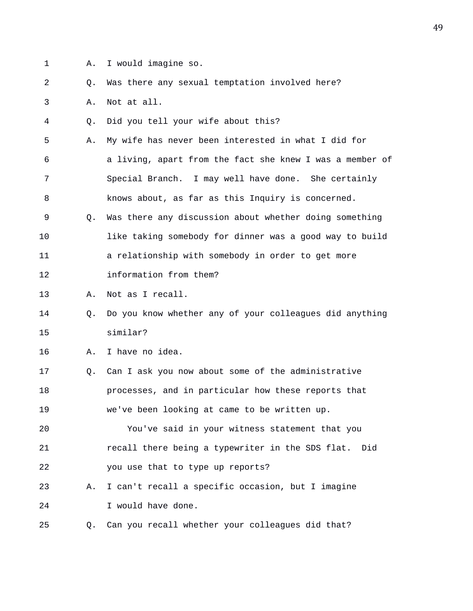- 
- 1 A. I would imagine so.

2 Q. Was there any sexual temptation involved here?

3 A. Not at all.

4 Q. Did you tell your wife about this?

5 A. My wife has never been interested in what I did for 6 a living, apart from the fact she knew I was a member of 7 Special Branch. I may well have done. She certainly 8 knows about, as far as this Inquiry is concerned.

9 Q. Was there any discussion about whether doing something 10 like taking somebody for dinner was a good way to build 11 a relationship with somebody in order to get more 12 information from them?

13 A. Not as I recall.

14 Q. Do you know whether any of your colleagues did anything 15 similar?

16 A. I have no idea.

17 Q. Can I ask you now about some of the administrative 18 processes, and in particular how these reports that 19 we've been looking at came to be written up.

20 You've said in your witness statement that you 21 recall there being a typewriter in the SDS flat. Did 22 you use that to type up reports?

23 A. I can't recall a specific occasion, but I imagine 24 I would have done.

25 Q. Can you recall whether your colleagues did that?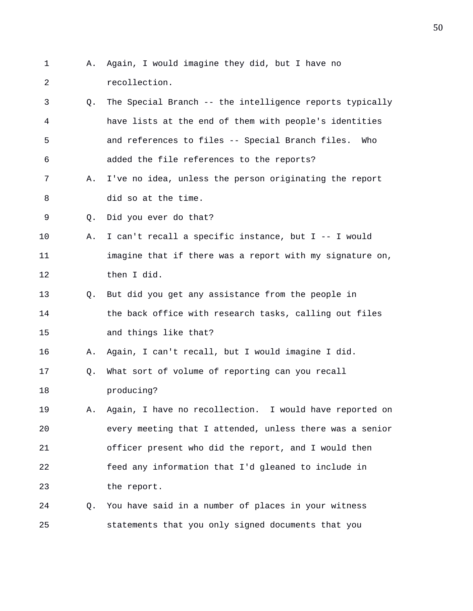1 A. Again, I would imagine they did, but I have no 2 recollection. 3 Q. The Special Branch -- the intelligence reports typically 4 have lists at the end of them with people's identities 5 and references to files -- Special Branch files. Who 6 added the file references to the reports? 7 A. I've no idea, unless the person originating the report 8 did so at the time. 9 0. Did you ever do that? 10 A. I can't recall a specific instance, but I -- I would 11 imagine that if there was a report with my signature on, 12 then I did. 13 Q. But did you get any assistance from the people in 14 the back office with research tasks, calling out files 15 and things like that? 16 A. Again, I can't recall, but I would imagine I did. 17 Q. What sort of volume of reporting can you recall 18 producing? 19 A. Again, I have no recollection. I would have reported on 20 every meeting that I attended, unless there was a senior 21 officer present who did the report, and I would then 22 feed any information that I'd gleaned to include in 23 the report. 24 Q. You have said in a number of places in your witness 25 statements that you only signed documents that you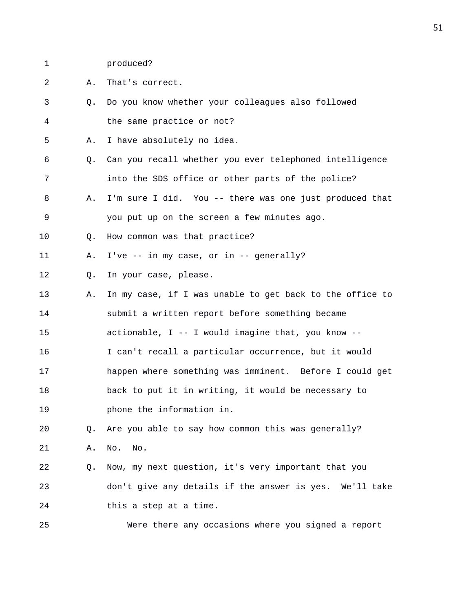1 produced?

2 A. That's correct.

- 3 Q. Do you know whether your colleagues also followed 4 the same practice or not?
- 5 A. I have absolutely no idea.
- 6 Q. Can you recall whether you ever telephoned intelligence 7 into the SDS office or other parts of the police?
- 8 A. I'm sure I did. You -- there was one just produced that 9 you put up on the screen a few minutes ago.
- 10 Q. How common was that practice?
- 11 A. I've -- in my case, or in -- generally?
- 12 Q. In your case, please.
- 13 A. In my case, if I was unable to get back to the office to 14 submit a written report before something became 15 actionable, I -- I would imagine that, you know --
- 16 I can't recall a particular occurrence, but it would
- 17 happen where something was imminent. Before I could get
- 18 back to put it in writing, it would be necessary to
- 19 phone the information in.

20 Q. Are you able to say how common this was generally?

- 21 A. No. No.
- 22 Q. Now, my next question, it's very important that you 23 don't give any details if the answer is yes. We'll take 24 this a step at a time.

25 Were there any occasions where you signed a report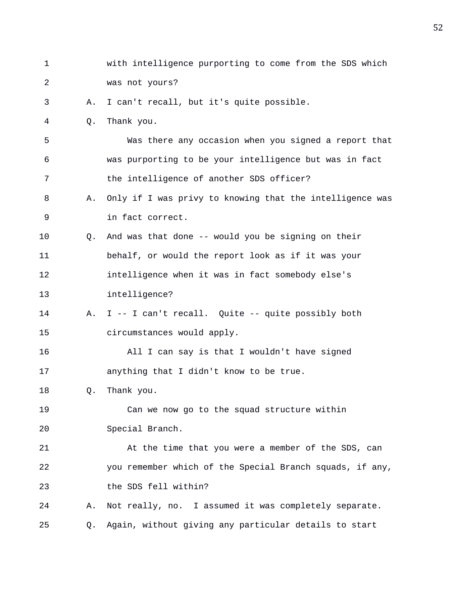| $\mathbf 1$ |    | with intelligence purporting to come from the SDS which  |
|-------------|----|----------------------------------------------------------|
| 2           |    | was not yours?                                           |
| 3           | Α. | I can't recall, but it's quite possible.                 |
| 4           | Q. | Thank you.                                               |
| 5           |    | Was there any occasion when you signed a report that     |
| 6           |    | was purporting to be your intelligence but was in fact   |
| 7           |    | the intelligence of another SDS officer?                 |
| 8           | Α. | Only if I was privy to knowing that the intelligence was |
| 9           |    | in fact correct.                                         |
| 10          | Q. | And was that done -- would you be signing on their       |
| 11          |    | behalf, or would the report look as if it was your       |
| 12          |    | intelligence when it was in fact somebody else's         |
| 13          |    | intelligence?                                            |
| 14          | Α. | I -- I can't recall. Quite -- quite possibly both        |
| 15          |    | circumstances would apply.                               |
| 16          |    | All I can say is that I wouldn't have signed             |
| 17          |    | anything that I didn't know to be true.                  |
| 18          | Q. | Thank you.                                               |
| 19          |    | Can we now go to the squad structure within              |
| 20          |    | Special Branch.                                          |
| 21          |    | At the time that you were a member of the SDS, can       |
| 22          |    | you remember which of the Special Branch squads, if any, |
| 23          |    | the SDS fell within?                                     |
| 24          | Α. | Not really, no. I assumed it was completely separate.    |
| 25          | Q. | Again, without giving any particular details to start    |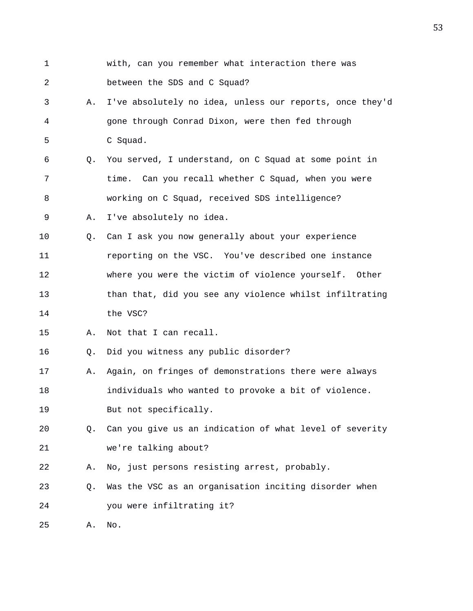1 with, can you remember what interaction there was 2 between the SDS and C Squad? 3 A. I've absolutely no idea, unless our reports, once they'd 4 gone through Conrad Dixon, were then fed through 5 C Squad. 6 Q. You served, I understand, on C Squad at some point in 7 time. Can you recall whether C Squad, when you were 8 working on C Squad, received SDS intelligence? 9 A. I've absolutely no idea. 10 Q. Can I ask you now generally about your experience 11 reporting on the VSC. You've described one instance 12 where you were the victim of violence yourself. Other 13 than that, did you see any violence whilst infiltrating 14 the VSC? 15 A. Not that I can recall. 16 Q. Did you witness any public disorder? 17 A. Again, on fringes of demonstrations there were always 18 individuals who wanted to provoke a bit of violence. 19 But not specifically. 20 Q. Can you give us an indication of what level of severity 21 we're talking about? 22 A. No, just persons resisting arrest, probably. 23 Q. Was the VSC as an organisation inciting disorder when 24 you were infiltrating it? 25 A. No.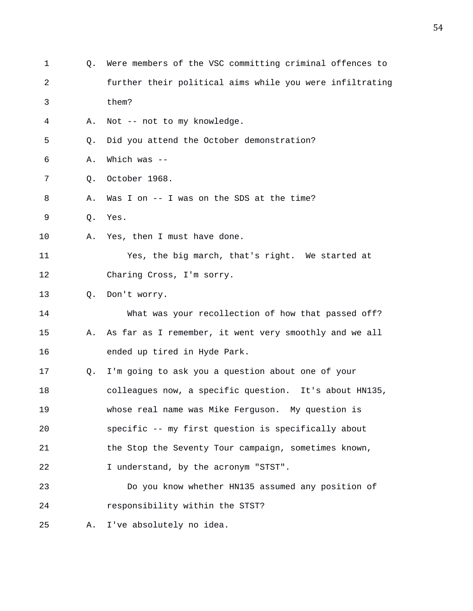| 1  | О. | Were members of the VSC committing criminal offences to  |
|----|----|----------------------------------------------------------|
| 2  |    | further their political aims while you were infiltrating |
| 3  |    | them?                                                    |
| 4  | Α. | Not -- not to my knowledge.                              |
| 5  | Q. | Did you attend the October demonstration?                |
| 6  | Α. | Which was $--$                                           |
| 7  | Q. | October 1968.                                            |
| 8  | Α. | Was I on $--$ I was on the SDS at the time?              |
| 9  | Q. | Yes.                                                     |
| 10 | Α. | Yes, then I must have done.                              |
| 11 |    | Yes, the big march, that's right. We started at          |
| 12 |    | Charing Cross, I'm sorry.                                |
| 13 | О. | Don't worry.                                             |
| 14 |    | What was your recollection of how that passed off?       |
| 15 | Α. | As far as I remember, it went very smoothly and we all   |
| 16 |    | ended up tired in Hyde Park.                             |
| 17 | Q. | I'm going to ask you a question about one of your        |
| 18 |    | colleagues now, a specific question. It's about HN135,   |
| 19 |    | whose real name was Mike Ferguson. My question is        |
| 20 |    | specific -- my first question is specifically about      |
| 21 |    | the Stop the Seventy Tour campaign, sometimes known,     |
| 22 |    | I understand, by the acronym "STST".                     |
| 23 |    | Do you know whether HN135 assumed any position of        |
| 24 |    | responsibility within the STST?                          |
| 25 | Α. | I've absolutely no idea.                                 |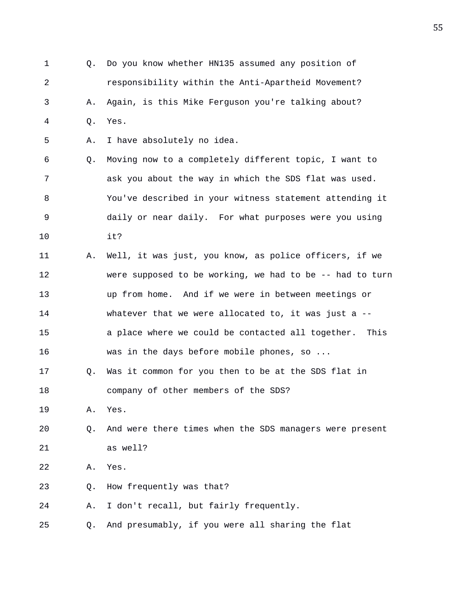1 Q. Do you know whether HN135 assumed any position of 2 responsibility within the Anti-Apartheid Movement? 3 A. Again, is this Mike Ferguson you're talking about? 4 Q. Yes. 5 A. I have absolutely no idea. 6 Q. Moving now to a completely different topic, I want to 7 ask you about the way in which the SDS flat was used. 8 You've described in your witness statement attending it 9 daily or near daily. For what purposes were you using 10 it? 11 A. Well, it was just, you know, as police officers, if we 12 were supposed to be working, we had to be -- had to turn 13 up from home. And if we were in between meetings or 14 whatever that we were allocated to, it was just a -- 15 a place where we could be contacted all together. This 16 was in the days before mobile phones, so ... 17 Q. Was it common for you then to be at the SDS flat in 18 company of other members of the SDS? 19 A. Yes. 20 Q. And were there times when the SDS managers were present 21 as well? 22 A. Yes. 23 Q. How frequently was that? 24 A. I don't recall, but fairly frequently. 25 Q. And presumably, if you were all sharing the flat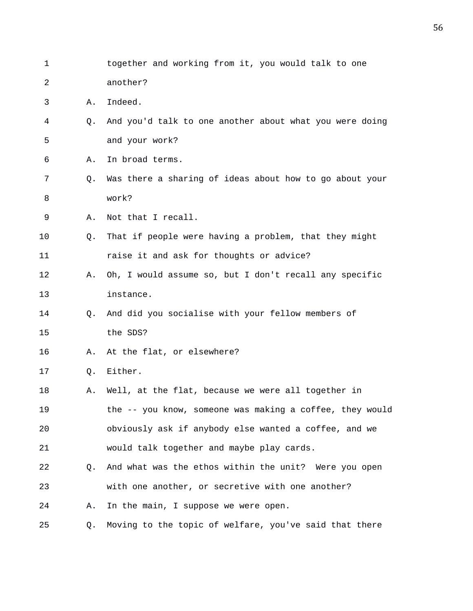| 1  |    | together and working from it, you would talk to one      |
|----|----|----------------------------------------------------------|
| 2  |    | another?                                                 |
| 3  | Α. | Indeed.                                                  |
| 4  | Q. | And you'd talk to one another about what you were doing  |
| 5  |    | and your work?                                           |
| 6  | Α. | In broad terms.                                          |
| 7  | Q. | Was there a sharing of ideas about how to go about your  |
| 8  |    | work?                                                    |
| 9  | Α. | Not that I recall.                                       |
| 10 | Q. | That if people were having a problem, that they might    |
| 11 |    | raise it and ask for thoughts or advice?                 |
| 12 | Α. | Oh, I would assume so, but I don't recall any specific   |
| 13 |    | instance.                                                |
| 14 | Q. | And did you socialise with your fellow members of        |
| 15 |    | the SDS?                                                 |
| 16 | Α. | At the flat, or elsewhere?                               |
| 17 | Q. | Either.                                                  |
| 18 | Α. | Well, at the flat, because we were all together in       |
| 19 |    | the -- you know, someone was making a coffee, they would |
| 20 |    | obviously ask if anybody else wanted a coffee, and we    |
| 21 |    | would talk together and maybe play cards.                |
| 22 | Q. | And what was the ethos within the unit? Were you open    |
| 23 |    | with one another, or secretive with one another?         |
| 24 | Α. | In the main, I suppose we were open.                     |
| 25 | Q. | Moving to the topic of welfare, you've said that there   |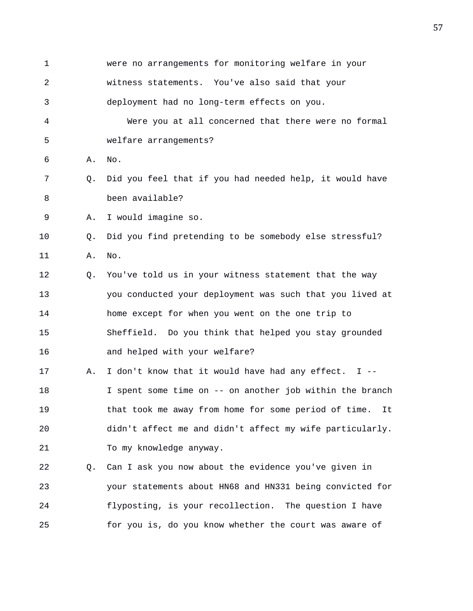1 were no arrangements for monitoring welfare in your 2 witness statements. You've also said that your 3 deployment had no long-term effects on you. 4 Were you at all concerned that there were no formal 5 welfare arrangements? 6 A. No. 7 Q. Did you feel that if you had needed help, it would have 8 been available? 9 A. I would imagine so. 10 Q. Did you find pretending to be somebody else stressful? 11 A. No. 12 Q. You've told us in your witness statement that the way 13 you conducted your deployment was such that you lived at 14 home except for when you went on the one trip to 15 Sheffield. Do you think that helped you stay grounded 16 and helped with your welfare? 17 A. I don't know that it would have had any effect. I -- 18 I spent some time on -- on another job within the branch 19 that took me away from home for some period of time. It 20 didn't affect me and didn't affect my wife particularly. 21 To my knowledge anyway. 22 Q. Can I ask you now about the evidence you've given in 23 your statements about HN68 and HN331 being convicted for 24 flyposting, is your recollection. The question I have 25 for you is, do you know whether the court was aware of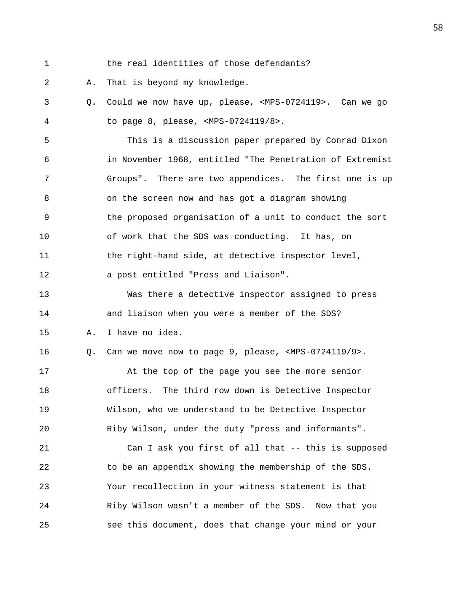- 
- 1 the real identities of those defendants?

2 A. That is beyond my knowledge.

3 Q. Could we now have up, please, <MPS-0724119>. Can we go 4 to page 8, please, <MPS-0724119/8>.

5 This is a discussion paper prepared by Conrad Dixon 6 in November 1968, entitled "The Penetration of Extremist 7 Groups". There are two appendices. The first one is up 8 on the screen now and has got a diagram showing 9 the proposed organisation of a unit to conduct the sort 10 of work that the SDS was conducting. It has, on 11 the right-hand side, at detective inspector level, 12 a post entitled "Press and Liaison".

13 Was there a detective inspector assigned to press 14 and liaison when you were a member of the SDS? 15 A. I have no idea.

16 Q. Can we move now to page 9, please, <MPS-0724119/9>.

17 At the top of the page you see the more senior 18 officers. The third row down is Detective Inspector 19 Wilson, who we understand to be Detective Inspector 20 Riby Wilson, under the duty "press and informants".

21 Can I ask you first of all that -- this is supposed 22 to be an appendix showing the membership of the SDS. 23 Your recollection in your witness statement is that 24 Riby Wilson wasn't a member of the SDS. Now that you 25 see this document, does that change your mind or your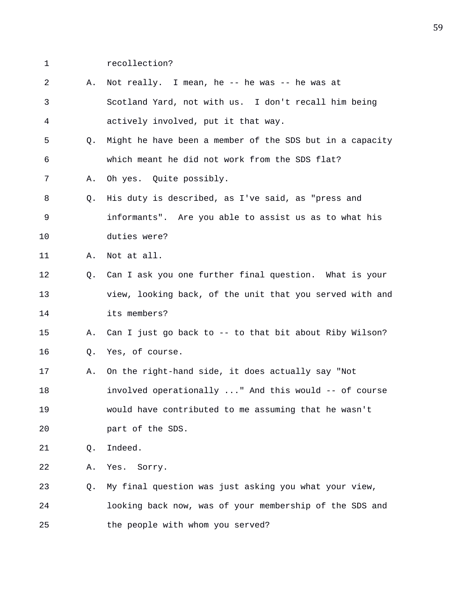- 
- 1 recollection?
- 2 A. Not really. I mean, he -- he was -- he was at 3 Scotland Yard, not with us. I don't recall him being 4 actively involved, put it that way.
- 5 Q. Might he have been a member of the SDS but in a capacity 6 which meant he did not work from the SDS flat?
- 7 A. Oh yes. Quite possibly.
- 8 Q. His duty is described, as I've said, as "press and 9 informants". Are you able to assist us as to what his 10 duties were?

11 A. Not at all.

- 12 Q. Can I ask you one further final question. What is your 13 view, looking back, of the unit that you served with and 14 its members?
- 15 A. Can I just go back to -- to that bit about Riby Wilson? 16 Q. Yes, of course.
- 17 A. On the right-hand side, it does actually say "Not 18 involved operationally ..." And this would -- of course 19 would have contributed to me assuming that he wasn't 20 part of the SDS.
- 21 Q. Indeed.

22 A. Yes. Sorry.

23 Q. My final question was just asking you what your view, 24 looking back now, was of your membership of the SDS and 25 the people with whom you served?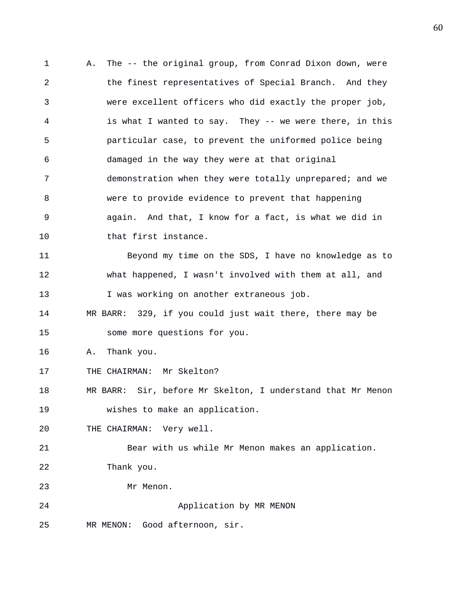1 A. The -- the original group, from Conrad Dixon down, were 2 the finest representatives of Special Branch. And they 3 were excellent officers who did exactly the proper job, 4 is what I wanted to say. They -- we were there, in this 5 particular case, to prevent the uniformed police being 6 damaged in the way they were at that original 7 demonstration when they were totally unprepared; and we 8 were to provide evidence to prevent that happening 9 again. And that, I know for a fact, is what we did in 10 that first instance. 11 Beyond my time on the SDS, I have no knowledge as to 12 what happened, I wasn't involved with them at all, and 13 I was working on another extraneous job. 14 MR BARR: 329, if you could just wait there, there may be 15 some more questions for you. 16 A. Thank you. 17 THE CHAIRMAN: Mr Skelton? 18 MR BARR: Sir, before Mr Skelton, I understand that Mr Menon 19 wishes to make an application. 20 THE CHAIRMAN: Very well. 21 Bear with us while Mr Menon makes an application. 22 Thank you. 23 Mr Menon. 24 Application by MR MENON 25 MR MENON: Good afternoon, sir.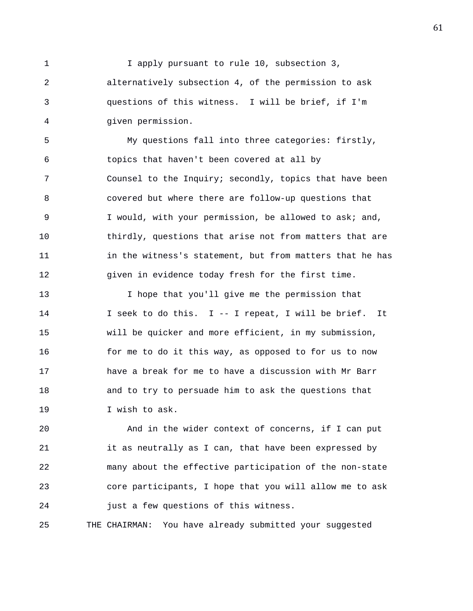1 I apply pursuant to rule 10, subsection 3, 2 alternatively subsection 4, of the permission to ask 3 questions of this witness. I will be brief, if I'm 4 given permission.

5 My questions fall into three categories: firstly, 6 topics that haven't been covered at all by 7 Counsel to the Inquiry; secondly, topics that have been 8 covered but where there are follow-up questions that 9 I would, with your permission, be allowed to ask; and, 10 thirdly, questions that arise not from matters that are 11 in the witness's statement, but from matters that he has 12 given in evidence today fresh for the first time.

13 I hope that you'll give me the permission that 14 I seek to do this. I -- I repeat, I will be brief. It 15 will be quicker and more efficient, in my submission, 16 for me to do it this way, as opposed to for us to now 17 have a break for me to have a discussion with Mr Barr 18 and to try to persuade him to ask the questions that 19 I wish to ask.

20 And in the wider context of concerns, if I can put 21 it as neutrally as I can, that have been expressed by 22 many about the effective participation of the non-state 23 core participants, I hope that you will allow me to ask 24 just a few questions of this witness.

25 THE CHAIRMAN: You have already submitted your suggested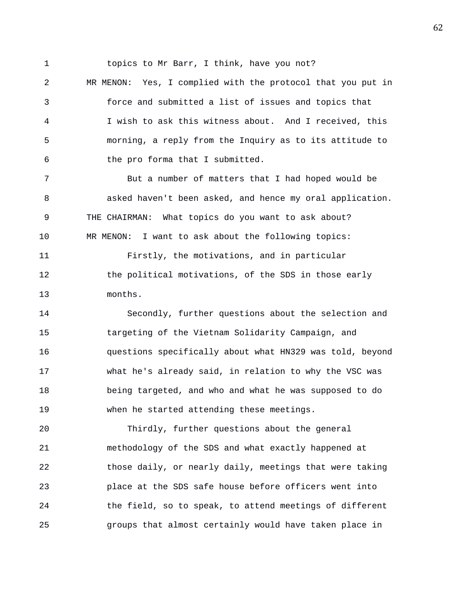1 topics to Mr Barr, I think, have you not?

2 MR MENON: Yes, I complied with the protocol that you put in 3 force and submitted a list of issues and topics that 4 I wish to ask this witness about. And I received, this 5 morning, a reply from the Inquiry as to its attitude to 6 the pro forma that I submitted.

7 But a number of matters that I had hoped would be 8 asked haven't been asked, and hence my oral application. 9 THE CHAIRMAN: What topics do you want to ask about? 10 MR MENON: I want to ask about the following topics: 11 Firstly, the motivations, and in particular

12 the political motivations, of the SDS in those early 13 months.

14 Secondly, further questions about the selection and 15 targeting of the Vietnam Solidarity Campaign, and 16 questions specifically about what HN329 was told, beyond 17 what he's already said, in relation to why the VSC was 18 being targeted, and who and what he was supposed to do 19 when he started attending these meetings.

20 Thirdly, further questions about the general 21 methodology of the SDS and what exactly happened at 22 those daily, or nearly daily, meetings that were taking 23 place at the SDS safe house before officers went into 24 the field, so to speak, to attend meetings of different 25 groups that almost certainly would have taken place in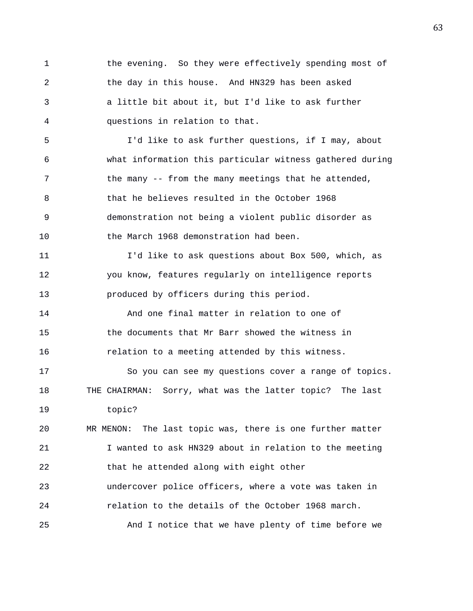1 the evening. So they were effectively spending most of 2 the day in this house. And HN329 has been asked 3 a little bit about it, but I'd like to ask further 4 questions in relation to that.

5 I'd like to ask further questions, if I may, about 6 what information this particular witness gathered during 7 the many -- from the many meetings that he attended, 8 that he believes resulted in the October 1968 9 demonstration not being a violent public disorder as 10 the March 1968 demonstration had been.

11 I'd like to ask questions about Box 500, which, as 12 you know, features regularly on intelligence reports 13 produced by officers during this period.

14 And one final matter in relation to one of 15 the documents that Mr Barr showed the witness in 16 relation to a meeting attended by this witness.

17 So you can see my questions cover a range of topics. 18 THE CHAIRMAN: Sorry, what was the latter topic? The last 19 topic?

20 MR MENON: The last topic was, there is one further matter 21 I wanted to ask HN329 about in relation to the meeting 22 that he attended along with eight other 23 undercover police officers, where a vote was taken in

24 relation to the details of the October 1968 march.

25 And I notice that we have plenty of time before we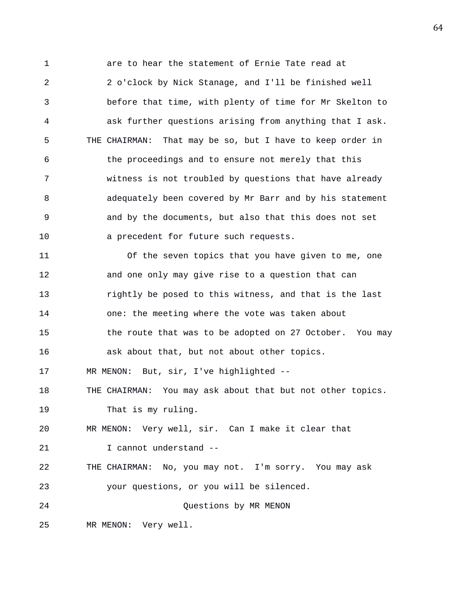1 are to hear the statement of Ernie Tate read at 2 2 o'clock by Nick Stanage, and I'll be finished well 3 before that time, with plenty of time for Mr Skelton to 4 ask further questions arising from anything that I ask. 5 THE CHAIRMAN: That may be so, but I have to keep order in 6 the proceedings and to ensure not merely that this 7 witness is not troubled by questions that have already 8 adequately been covered by Mr Barr and by his statement 9 and by the documents, but also that this does not set 10 a precedent for future such requests. 11 Of the seven topics that you have given to me, one 12 and one only may give rise to a question that can 13 rightly be posed to this witness, and that is the last 14 one: the meeting where the vote was taken about 15 the route that was to be adopted on 27 October. You may 16 ask about that, but not about other topics. 17 MR MENON: But, sir, I've highlighted -- 18 THE CHAIRMAN: You may ask about that but not other topics. 19 That is my ruling. 20 MR MENON: Very well, sir. Can I make it clear that 21 1 cannot understand --22 THE CHAIRMAN: No, you may not. I'm sorry. You may ask 23 your questions, or you will be silenced. 24 Questions by MR MENON 25 MR MENON: Very well.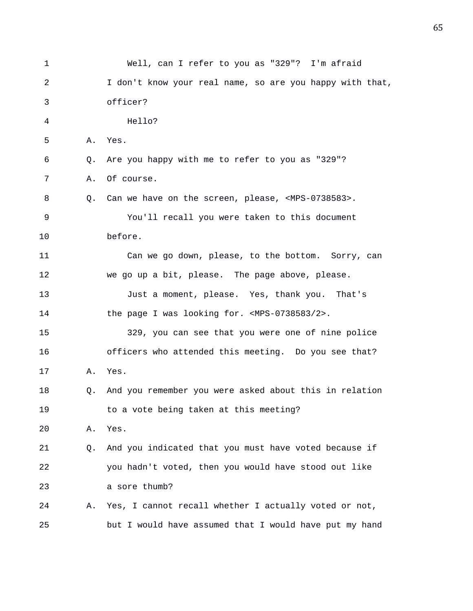| 1  |    | Well, can I refer to you as "329"? I'm afraid                      |
|----|----|--------------------------------------------------------------------|
| 2  |    | I don't know your real name, so are you happy with that,           |
| 3  |    | officer?                                                           |
| 4  |    | Hello?                                                             |
| 5  | Α. | Yes.                                                               |
| 6  | Q. | Are you happy with me to refer to you as "329"?                    |
| 7  | Α. | Of course.                                                         |
| 8  |    | Q. Can we have on the screen, please, <mps-0738583>.</mps-0738583> |
| 9  |    | You'll recall you were taken to this document                      |
| 10 |    | before.                                                            |
| 11 |    | Can we go down, please, to the bottom. Sorry, can                  |
| 12 |    | we go up a bit, please. The page above, please.                    |
| 13 |    | Just a moment, please. Yes, thank you. That's                      |
| 14 |    | the page I was looking for. <mps-0738583 2="">.</mps-0738583>      |
| 15 |    | 329, you can see that you were one of nine police                  |
| 16 |    | officers who attended this meeting. Do you see that?               |
| 17 | Α. | Yes.                                                               |
| 18 | Q. | And you remember you were asked about this in relation             |
| 19 |    | to a vote being taken at this meeting?                             |
| 20 | Α. | Yes.                                                               |
| 21 | Q. | And you indicated that you must have voted because if              |
| 22 |    | you hadn't voted, then you would have stood out like               |
| 23 |    | a sore thumb?                                                      |
| 24 | Α. | Yes, I cannot recall whether I actually voted or not,              |
| 25 |    | but I would have assumed that I would have put my hand             |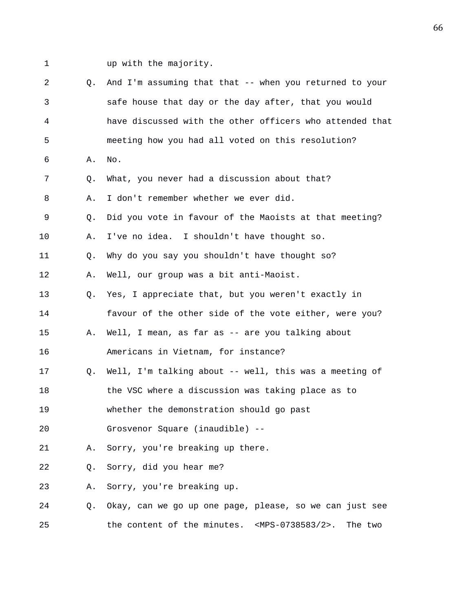1 up with the majority.

| 2  | 0.             | And I'm assuming that that -- when you returned to your                   |
|----|----------------|---------------------------------------------------------------------------|
| 3  |                | safe house that day or the day after, that you would                      |
| 4  |                | have discussed with the other officers who attended that                  |
| 5  |                | meeting how you had all voted on this resolution?                         |
| 6  | Α.             | No.                                                                       |
| 7  | Q.             | What, you never had a discussion about that?                              |
| 8  | Α.             | I don't remember whether we ever did.                                     |
| 9  | Q.             | Did you vote in favour of the Maoists at that meeting?                    |
| 10 | Α.             | I've no idea. I shouldn't have thought so.                                |
| 11 | Q <sub>z</sub> | Why do you say you shouldn't have thought so?                             |
| 12 | Α.             | Well, our group was a bit anti-Maoist.                                    |
| 13 | Q.             | Yes, I appreciate that, but you weren't exactly in                        |
| 14 |                | favour of the other side of the vote either, were you?                    |
| 15 | Α.             | Well, I mean, as far as -- are you talking about                          |
| 16 |                | Americans in Vietnam, for instance?                                       |
| 17 | О.             | Well, I'm talking about -- well, this was a meeting of                    |
| 18 |                | the VSC where a discussion was taking place as to                         |
| 19 |                | whether the demonstration should go past                                  |
| 20 |                | Grosvenor Square (inaudible) --                                           |
| 21 | Α.             | Sorry, you're breaking up there.                                          |
| 22 | Q.             | Sorry, did you hear me?                                                   |
| 23 | Α.             | Sorry, you're breaking up.                                                |
| 24 | Q.             | Okay, can we go up one page, please, so we can just see                   |
| 25 |                | the content of the minutes. <mps-0738583 2="">.<br/>The two</mps-0738583> |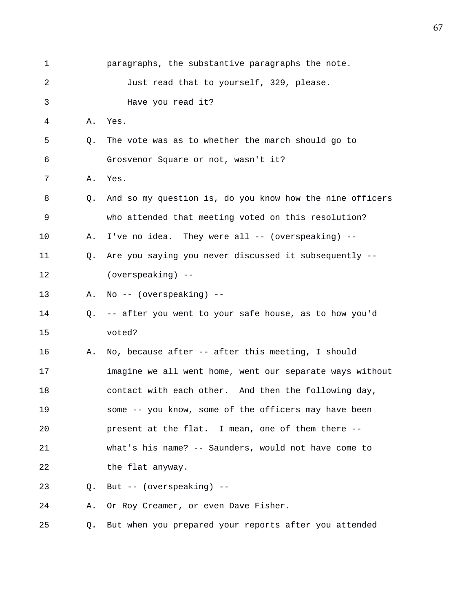| 1  |    | paragraphs, the substantive paragraphs the note.         |
|----|----|----------------------------------------------------------|
| 2  |    | Just read that to yourself, 329, please.                 |
| 3  |    | Have you read it?                                        |
| 4  | Α. | Yes.                                                     |
| 5  | Q. | The vote was as to whether the march should go to        |
| 6  |    | Grosvenor Square or not, wasn't it?                      |
| 7  | Α. | Yes.                                                     |
| 8  | Q. | And so my question is, do you know how the nine officers |
| 9  |    | who attended that meeting voted on this resolution?      |
| 10 | Α. | I've no idea. They were all -- (overspeaking) --         |
| 11 | O. | Are you saying you never discussed it subsequently --    |
| 12 |    | (overspeaking) --                                        |
| 13 | Α. | No -- (overspeaking) --                                  |
| 14 | Q. | -- after you went to your safe house, as to how you'd    |
| 15 |    | voted?                                                   |
| 16 | Α. | No, because after -- after this meeting, I should        |
| 17 |    | imagine we all went home, went our separate ways without |
| 18 |    | contact with each other. And then the following day,     |
| 19 |    | some -- you know, some of the officers may have been     |
| 20 |    | present at the flat. I mean, one of them there --        |
| 21 |    | what's his name? -- Saunders, would not have come to     |
| 22 |    | the flat anyway.                                         |
| 23 | О. | But -- (overspeaking) --                                 |
| 24 | Α. | Or Roy Creamer, or even Dave Fisher.                     |
| 25 | Q. | But when you prepared your reports after you attended    |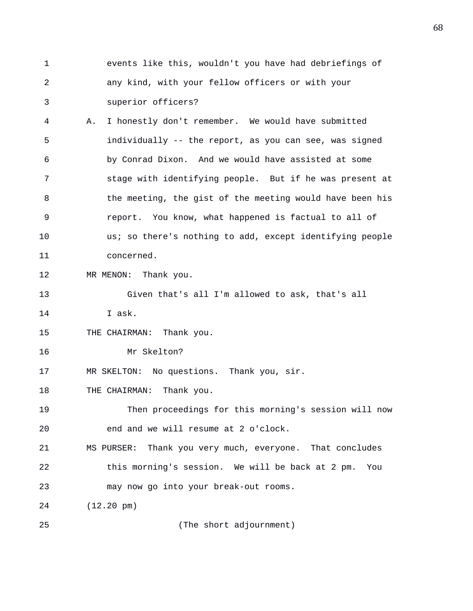1 events like this, wouldn't you have had debriefings of 2 any kind, with your fellow officers or with your 3 superior officers?

4 A. I honestly don't remember. We would have submitted 5 individually -- the report, as you can see, was signed 6 by Conrad Dixon. And we would have assisted at some 7 stage with identifying people. But if he was present at 8 the meeting, the gist of the meeting would have been his 9 report. You know, what happened is factual to all of 10 us; so there's nothing to add, except identifying people 11 concerned.

12 MR MENON: Thank you.

13 Given that's all I'm allowed to ask, that's all

14 I ask.

15 THE CHAIRMAN: Thank you.

16 Mr Skelton?

17 MR SKELTON: No questions. Thank you, sir.

18 THE CHAIRMAN: Thank you.

19 Then proceedings for this morning's session will now 20 end and we will resume at 2 o'clock.

21 MS PURSER: Thank you very much, everyone. That concludes 22 this morning's session. We will be back at 2 pm. You 23 may now go into your break-out rooms.

24 (12.20 pm)

25 (The short adjournment)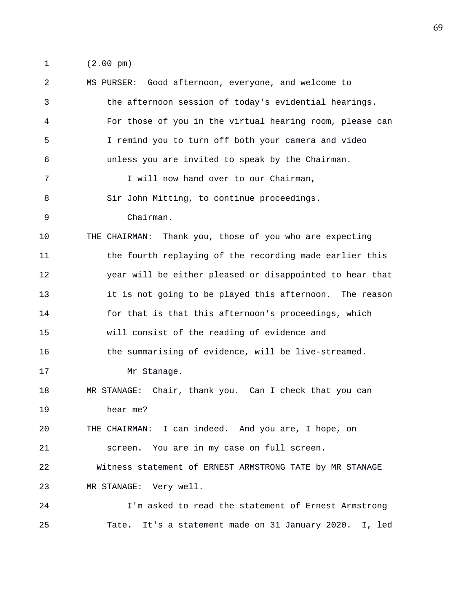1 (2.00 pm)

2 MS PURSER: Good afternoon, everyone, and welcome to 3 the afternoon session of today's evidential hearings. 4 For those of you in the virtual hearing room, please can 5 I remind you to turn off both your camera and video 6 unless you are invited to speak by the Chairman. 7 I will now hand over to our Chairman, 8 Sir John Mitting, to continue proceedings. 9 Chairman. 10 THE CHAIRMAN: Thank you, those of you who are expecting 11 the fourth replaying of the recording made earlier this 12 year will be either pleased or disappointed to hear that 13 it is not going to be played this afternoon. The reason 14 for that is that this afternoon's proceedings, which 15 will consist of the reading of evidence and 16 the summarising of evidence, will be live-streamed. 17 Mr Stanage. 18 MR STANAGE: Chair, thank you. Can I check that you can 19 hear me? 20 THE CHAIRMAN: I can indeed. And you are, I hope, on 21 screen. You are in my case on full screen. 22 Witness statement of ERNEST ARMSTRONG TATE by MR STANAGE 23 MR STANAGE: Very well. 24 I'm asked to read the statement of Ernest Armstrong 25 Tate. It's a statement made on 31 January 2020. I, led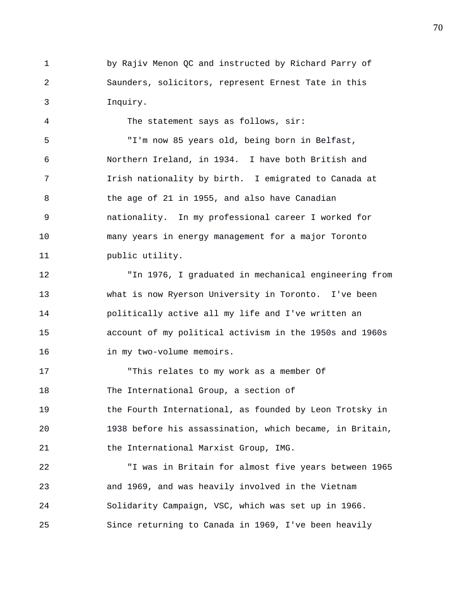1 by Rajiv Menon QC and instructed by Richard Parry of 2 Saunders, solicitors, represent Ernest Tate in this 3 Inquiry.

4 The statement says as follows, sir: 5 "I'm now 85 years old, being born in Belfast, 6 Northern Ireland, in 1934. I have both British and 7 Irish nationality by birth. I emigrated to Canada at 8 the age of 21 in 1955, and also have Canadian 9 nationality. In my professional career I worked for 10 many years in energy management for a major Toronto 11 public utility.

12 "In 1976, I graduated in mechanical engineering from 13 what is now Ryerson University in Toronto. I've been 14 politically active all my life and I've written an 15 account of my political activism in the 1950s and 1960s 16 in my two-volume memoirs.

17 "This relates to my work as a member Of 18 The International Group, a section of 19 the Fourth International, as founded by Leon Trotsky in 20 1938 before his assassination, which became, in Britain, 21 the International Marxist Group, IMG.

22 "I was in Britain for almost five years between 1965 23 and 1969, and was heavily involved in the Vietnam 24 Solidarity Campaign, VSC, which was set up in 1966. 25 Since returning to Canada in 1969, I've been heavily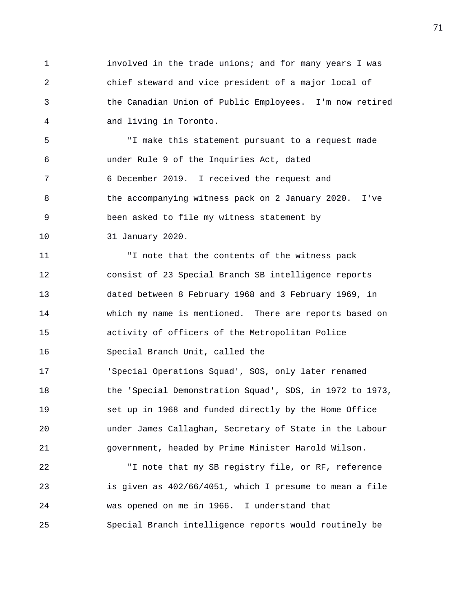1 involved in the trade unions; and for many years I was 2 chief steward and vice president of a major local of 3 the Canadian Union of Public Employees. I'm now retired 4 and living in Toronto.

5 "I make this statement pursuant to a request made 6 under Rule 9 of the Inquiries Act, dated 7 6 December 2019. I received the request and 8 the accompanying witness pack on 2 January 2020. I've 9 been asked to file my witness statement by 10 31 January 2020.

11 "I note that the contents of the witness pack 12 consist of 23 Special Branch SB intelligence reports 13 dated between 8 February 1968 and 3 February 1969, in 14 which my name is mentioned. There are reports based on 15 activity of officers of the Metropolitan Police 16 Special Branch Unit, called the 17 'Special Operations Squad', SOS, only later renamed 18 the 'Special Demonstration Squad', SDS, in 1972 to 1973, 19 set up in 1968 and funded directly by the Home Office 20 under James Callaghan, Secretary of State in the Labour 21 government, headed by Prime Minister Harold Wilson.

22 "I note that my SB registry file, or RF, reference 23 is given as 402/66/4051, which I presume to mean a file 24 was opened on me in 1966. I understand that 25 Special Branch intelligence reports would routinely be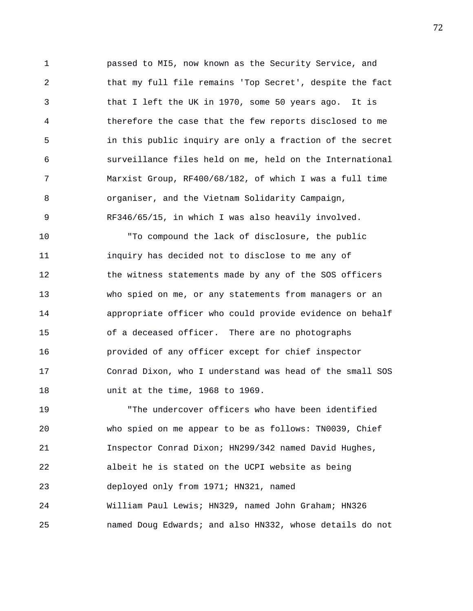1 passed to MI5, now known as the Security Service, and 2 that my full file remains 'Top Secret', despite the fact 3 that I left the UK in 1970, some 50 years ago. It is 4 therefore the case that the few reports disclosed to me 5 in this public inquiry are only a fraction of the secret 6 surveillance files held on me, held on the International 7 Marxist Group, RF400/68/182, of which I was a full time 8 organiser, and the Vietnam Solidarity Campaign, 9 RF346/65/15, in which I was also heavily involved.

10 "To compound the lack of disclosure, the public 11 inquiry has decided not to disclose to me any of 12 the witness statements made by any of the SOS officers 13 who spied on me, or any statements from managers or an 14 appropriate officer who could provide evidence on behalf 15 of a deceased officer. There are no photographs 16 provided of any officer except for chief inspector 17 Conrad Dixon, who I understand was head of the small SOS 18 unit at the time, 1968 to 1969.

19 "The undercover officers who have been identified 20 who spied on me appear to be as follows: TN0039, Chief 21 Inspector Conrad Dixon; HN299/342 named David Hughes, 22 albeit he is stated on the UCPI website as being 23 deployed only from 1971; HN321, named 24 William Paul Lewis; HN329, named John Graham; HN326 25 named Doug Edwards; and also HN332, whose details do not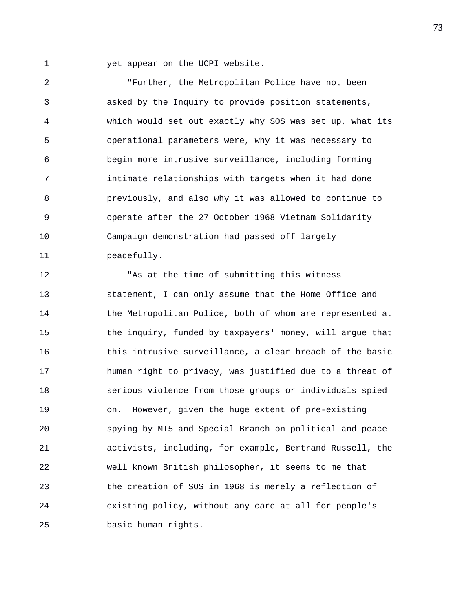1 yet appear on the UCPI website.

2 "Further, the Metropolitan Police have not been 3 asked by the Inquiry to provide position statements, 4 which would set out exactly why SOS was set up, what its 5 operational parameters were, why it was necessary to 6 begin more intrusive surveillance, including forming 7 intimate relationships with targets when it had done 8 previously, and also why it was allowed to continue to 9 operate after the 27 October 1968 Vietnam Solidarity 10 Campaign demonstration had passed off largely 11 peacefully.

12 "As at the time of submitting this witness 13 statement, I can only assume that the Home Office and 14 the Metropolitan Police, both of whom are represented at 15 the inquiry, funded by taxpayers' money, will argue that 16 this intrusive surveillance, a clear breach of the basic 17 human right to privacy, was justified due to a threat of 18 serious violence from those groups or individuals spied 19 on. However, given the huge extent of pre-existing 20 spying by MI5 and Special Branch on political and peace 21 activists, including, for example, Bertrand Russell, the 22 well known British philosopher, it seems to me that 23 the creation of SOS in 1968 is merely a reflection of 24 existing policy, without any care at all for people's 25 basic human rights.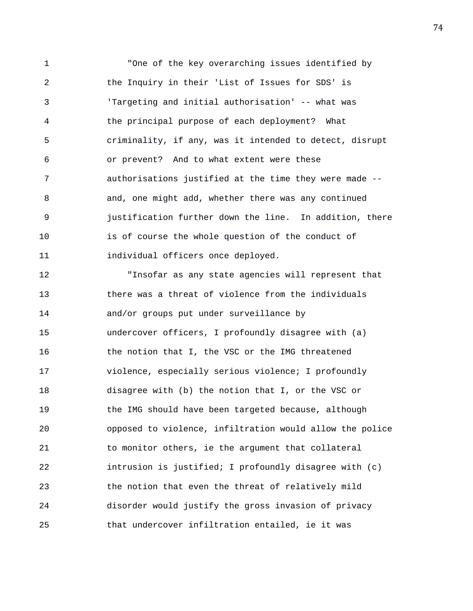1 "One of the key overarching issues identified by 2 the Inquiry in their 'List of Issues for SDS' is 3 'Targeting and initial authorisation' -- what was 4 the principal purpose of each deployment? What 5 criminality, if any, was it intended to detect, disrupt 6 or prevent? And to what extent were these 7 authorisations justified at the time they were made -- 8 and, one might add, whether there was any continued 9 justification further down the line. In addition, there 10 is of course the whole question of the conduct of 11 individual officers once deployed.

12 "Insofar as any state agencies will represent that 13 there was a threat of violence from the individuals 14 and/or groups put under surveillance by 15 undercover officers, I profoundly disagree with (a) 16 the notion that I, the VSC or the IMG threatened 17 violence, especially serious violence; I profoundly 18 disagree with (b) the notion that I, or the VSC or 19 the IMG should have been targeted because, although 20 opposed to violence, infiltration would allow the police 21 to monitor others, ie the argument that collateral 22 intrusion is justified; I profoundly disagree with (c) 23 the notion that even the threat of relatively mild 24 disorder would justify the gross invasion of privacy 25 that undercover infiltration entailed, ie it was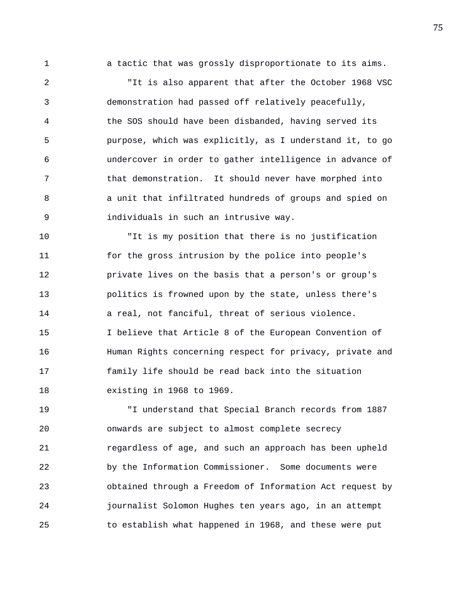1 a tactic that was grossly disproportionate to its aims.

2 "It is also apparent that after the October 1968 VSC 3 demonstration had passed off relatively peacefully, 4 the SOS should have been disbanded, having served its 5 purpose, which was explicitly, as I understand it, to go 6 undercover in order to gather intelligence in advance of 7 that demonstration. It should never have morphed into 8 a unit that infiltrated hundreds of groups and spied on 9 individuals in such an intrusive way.

10 "It is my position that there is no justification 11 for the gross intrusion by the police into people's 12 private lives on the basis that a person's or group's 13 politics is frowned upon by the state, unless there's 14 a real, not fanciful, threat of serious violence. 15 I believe that Article 8 of the European Convention of 16 Human Rights concerning respect for privacy, private and 17 family life should be read back into the situation 18 existing in 1968 to 1969.

19 "I understand that Special Branch records from 1887 20 onwards are subject to almost complete secrecy 21 regardless of age, and such an approach has been upheld 22 by the Information Commissioner. Some documents were 23 obtained through a Freedom of Information Act request by 24 journalist Solomon Hughes ten years ago, in an attempt 25 to establish what happened in 1968, and these were put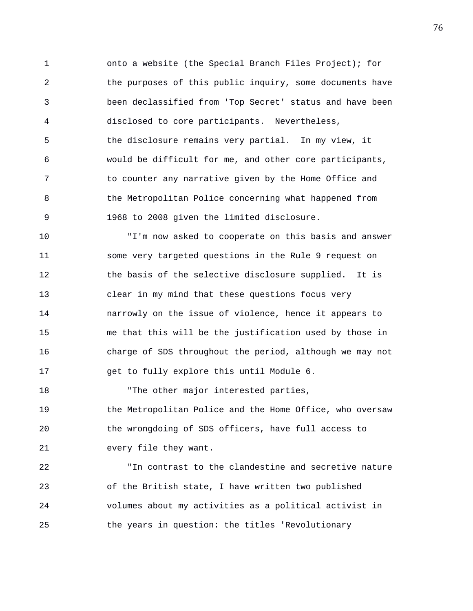1 onto a website (the Special Branch Files Project); for 2 the purposes of this public inquiry, some documents have 3 been declassified from 'Top Secret' status and have been 4 disclosed to core participants. Nevertheless, 5 the disclosure remains very partial. In my view, it 6 would be difficult for me, and other core participants, 7 to counter any narrative given by the Home Office and 8 the Metropolitan Police concerning what happened from 9 1968 to 2008 given the limited disclosure.

10 "I'm now asked to cooperate on this basis and answer 11 some very targeted questions in the Rule 9 request on 12 the basis of the selective disclosure supplied. It is 13 clear in my mind that these questions focus very 14 narrowly on the issue of violence, hence it appears to 15 me that this will be the justification used by those in 16 charge of SDS throughout the period, although we may not 17 get to fully explore this until Module 6.

18 The other major interested parties, 19 the Metropolitan Police and the Home Office, who oversaw 20 the wrongdoing of SDS officers, have full access to 21 every file they want.

22 "In contrast to the clandestine and secretive nature 23 of the British state, I have written two published 24 volumes about my activities as a political activist in 25 the years in question: the titles 'Revolutionary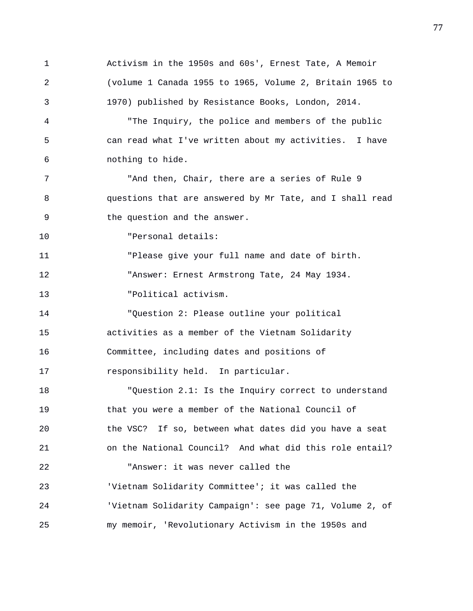1 Activism in the 1950s and 60s', Ernest Tate, A Memoir 2 (volume 1 Canada 1955 to 1965, Volume 2, Britain 1965 to 3 1970) published by Resistance Books, London, 2014. 4 "The Inquiry, the police and members of the public 5 can read what I've written about my activities. I have 6 nothing to hide. 7 "And then, Chair, there are a series of Rule 9 8 questions that are answered by Mr Tate, and I shall read 9 the question and the answer. 10 "Personal details: 11 "Please give your full name and date of birth. 12 "Answer: Ernest Armstrong Tate, 24 May 1934. 13 "Political activism. 14 "Question 2: Please outline your political 15 activities as a member of the Vietnam Solidarity 16 Committee, including dates and positions of 17 responsibility held. In particular. 18 "Question 2.1: Is the Inquiry correct to understand 19 that you were a member of the National Council of 20 the VSC? If so, between what dates did you have a seat 21 on the National Council? And what did this role entail? 22 "Answer: it was never called the 23 'Vietnam Solidarity Committee'; it was called the 24 'Vietnam Solidarity Campaign': see page 71, Volume 2, of 25 my memoir, 'Revolutionary Activism in the 1950s and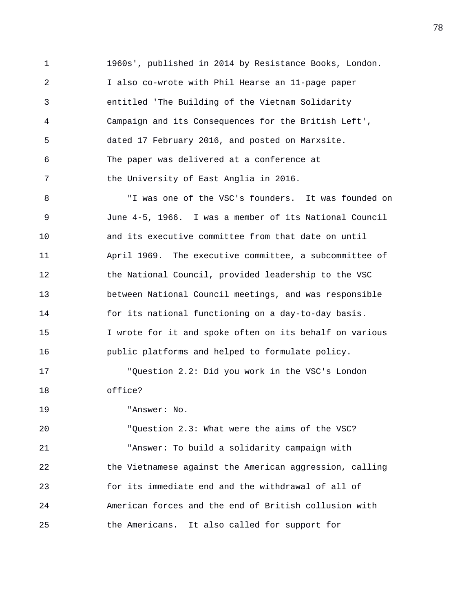1 1960s', published in 2014 by Resistance Books, London. 2 I also co-wrote with Phil Hearse an 11-page paper 3 entitled 'The Building of the Vietnam Solidarity 4 Campaign and its Consequences for the British Left', 5 dated 17 February 2016, and posted on Marxsite. 6 The paper was delivered at a conference at 7 the University of East Anglia in 2016.

8 "I was one of the VSC's founders. It was founded on 9 June 4-5, 1966. I was a member of its National Council 10 and its executive committee from that date on until 11 April 1969. The executive committee, a subcommittee of 12 the National Council, provided leadership to the VSC 13 between National Council meetings, and was responsible 14 for its national functioning on a day-to-day basis. 15 I wrote for it and spoke often on its behalf on various 16 public platforms and helped to formulate policy. 17 "Question 2.2: Did you work in the VSC's London 18 office?

19 "Answer: No.

20 "Question 2.3: What were the aims of the VSC? 21 "Answer: To build a solidarity campaign with 22 the Vietnamese against the American aggression, calling 23 for its immediate end and the withdrawal of all of 24 American forces and the end of British collusion with 25 the Americans. It also called for support for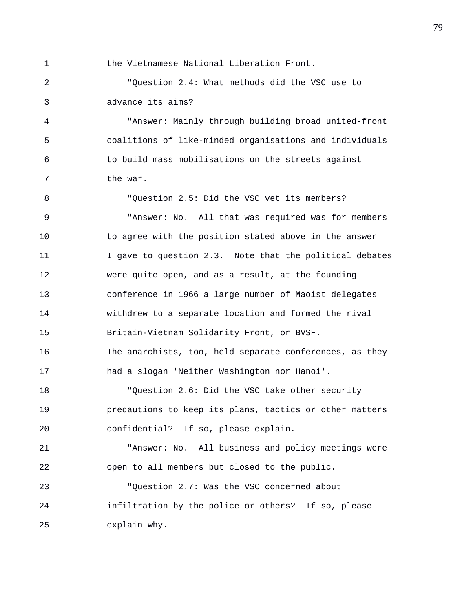1 the Vietnamese National Liberation Front. 2 "Question 2.4: What methods did the VSC use to 3 advance its aims? 4 "Answer: Mainly through building broad united-front 5 coalitions of like-minded organisations and individuals 6 to build mass mobilisations on the streets against 7 the war. 8 "Question 2.5: Did the VSC vet its members? 9 "Answer: No. All that was required was for members 10 to agree with the position stated above in the answer 11 I gave to question 2.3. Note that the political debates 12 were quite open, and as a result, at the founding 13 conference in 1966 a large number of Maoist delegates 14 withdrew to a separate location and formed the rival 15 Britain-Vietnam Solidarity Front, or BVSF. 16 The anarchists, too, held separate conferences, as they 17 had a slogan 'Neither Washington nor Hanoi'. 18 "Question 2.6: Did the VSC take other security 19 precautions to keep its plans, tactics or other matters 20 confidential? If so, please explain. 21 "Answer: No. All business and policy meetings were 22 open to all members but closed to the public. 23 "Question 2.7: Was the VSC concerned about 24 infiltration by the police or others? If so, please 25 explain why.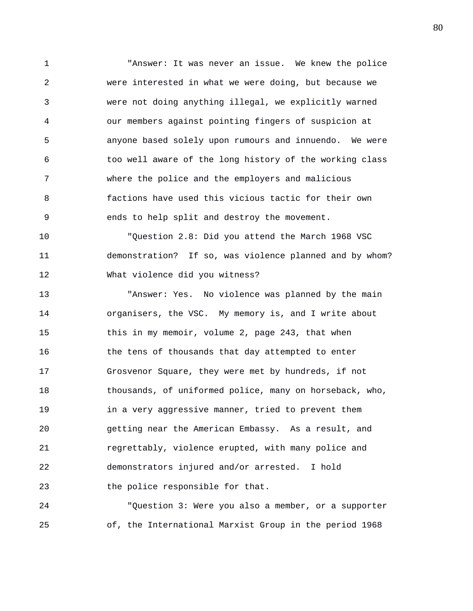1 "Answer: It was never an issue. We knew the police 2 were interested in what we were doing, but because we 3 were not doing anything illegal, we explicitly warned 4 our members against pointing fingers of suspicion at 5 anyone based solely upon rumours and innuendo. We were 6 too well aware of the long history of the working class 7 where the police and the employers and malicious 8 factions have used this vicious tactic for their own 9 ends to help split and destroy the movement.

10 "Question 2.8: Did you attend the March 1968 VSC 11 demonstration? If so, was violence planned and by whom? 12 What violence did you witness?

13 "Answer: Yes. No violence was planned by the main 14 organisers, the VSC. My memory is, and I write about 15 this in my memoir, volume 2, page 243, that when 16 the tens of thousands that day attempted to enter 17 Grosvenor Square, they were met by hundreds, if not 18 thousands, of uniformed police, many on horseback, who, 19 in a very aggressive manner, tried to prevent them 20 getting near the American Embassy. As a result, and 21 regrettably, violence erupted, with many police and 22 demonstrators injured and/or arrested. I hold 23 the police responsible for that.

24 "Question 3: Were you also a member, or a supporter 25 of, the International Marxist Group in the period 1968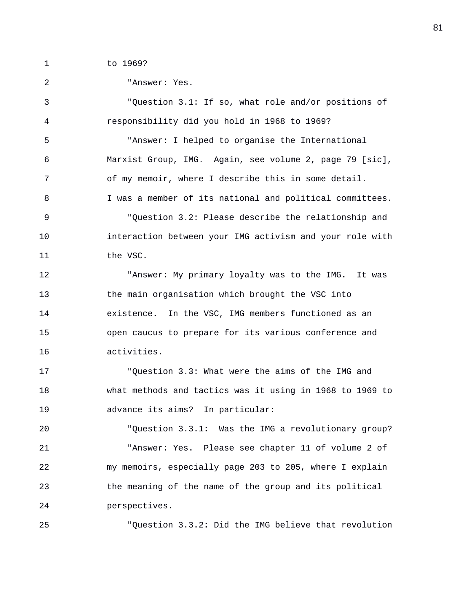1 to 1969?

| 2  | "Answer: Yes.                                            |
|----|----------------------------------------------------------|
| 3  | "Question 3.1: If so, what role and/or positions of      |
| 4  | responsibility did you hold in 1968 to 1969?             |
| 5  | "Answer: I helped to organise the International          |
| 6  | Marxist Group, IMG. Again, see volume 2, page 79 [sic],  |
| 7  | of my memoir, where I describe this in some detail.      |
| 8  | I was a member of its national and political committees. |
| 9  | "Question 3.2: Please describe the relationship and      |
| 10 | interaction between your IMG activism and your role with |
| 11 | the VSC.                                                 |
| 12 | "Answer: My primary loyalty was to the IMG. It was       |
| 13 | the main organisation which brought the VSC into         |
| 14 | existence. In the VSC, IMG members functioned as an      |
| 15 | open caucus to prepare for its various conference and    |
| 16 | activities.                                              |
| 17 | "Question 3.3: What were the aims of the IMG and         |
| 18 | what methods and tactics was it using in 1968 to 1969 to |
| 19 | advance its aims? In particular:                         |
| 20 | "Question 3.3.1: Was the IMG a revolutionary group?      |
| 21 | "Answer: Yes. Please see chapter 11 of volume 2 of       |
| 22 | my memoirs, especially page 203 to 205, where I explain  |
| 23 | the meaning of the name of the group and its political   |
| 24 | perspectives.                                            |
| 25 | "Question 3.3.2: Did the IMG believe that revolution     |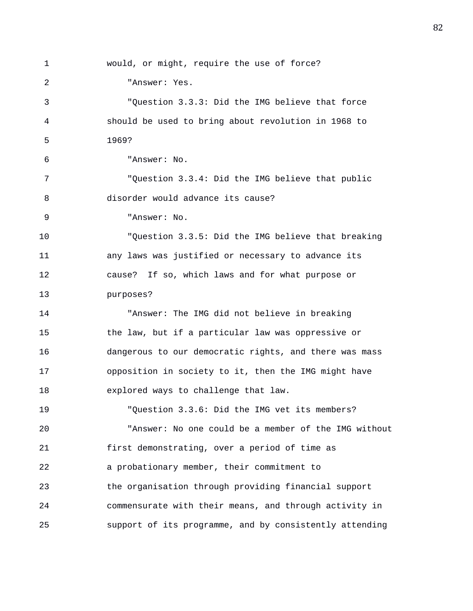1 would, or might, require the use of force? 2 "Answer: Yes. 3 "Question 3.3.3: Did the IMG believe that force 4 should be used to bring about revolution in 1968 to 5 1969? 6 "Answer: No. 7 "Question 3.3.4: Did the IMG believe that public 8 disorder would advance its cause? 9 "Answer: No. 10 "Question 3.3.5: Did the IMG believe that breaking 11 any laws was justified or necessary to advance its 12 cause? If so, which laws and for what purpose or 13 purposes? 14 "Answer: The IMG did not believe in breaking 15 the law, but if a particular law was oppressive or 16 dangerous to our democratic rights, and there was mass 17 opposition in society to it, then the IMG might have 18 explored ways to challenge that law. 19 "Question 3.3.6: Did the IMG vet its members? 20 "Answer: No one could be a member of the IMG without 21 first demonstrating, over a period of time as 22 a probationary member, their commitment to 23 the organisation through providing financial support 24 commensurate with their means, and through activity in 25 support of its programme, and by consistently attending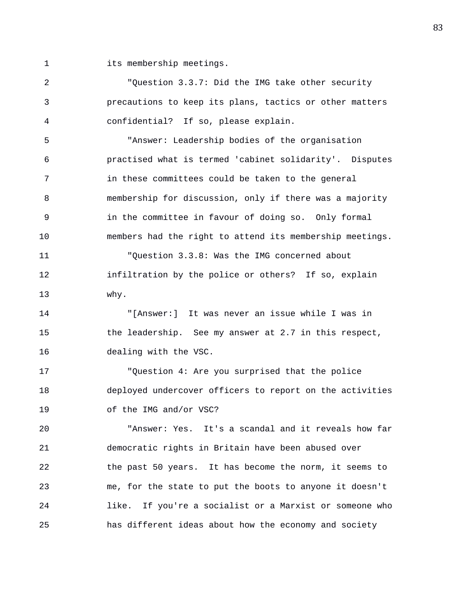1 its membership meetings.

2 "Question 3.3.7: Did the IMG take other security 3 precautions to keep its plans, tactics or other matters 4 confidential? If so, please explain.

5 "Answer: Leadership bodies of the organisation 6 practised what is termed 'cabinet solidarity'. Disputes 7 in these committees could be taken to the general 8 membership for discussion, only if there was a majority 9 in the committee in favour of doing so. Only formal 10 members had the right to attend its membership meetings. 11 "Question 3.3.8: Was the IMG concerned about

12 infiltration by the police or others? If so, explain 13 why.

14 "[Answer:] It was never an issue while I was in 15 the leadership. See my answer at 2.7 in this respect, 16 dealing with the VSC.

17 "Question 4: Are you surprised that the police 18 deployed undercover officers to report on the activities 19 of the IMG and/or VSC?

20 "Answer: Yes. It's a scandal and it reveals how far 21 democratic rights in Britain have been abused over 22 the past 50 years. It has become the norm, it seems to 23 me, for the state to put the boots to anyone it doesn't 24 like. If you're a socialist or a Marxist or someone who 25 has different ideas about how the economy and society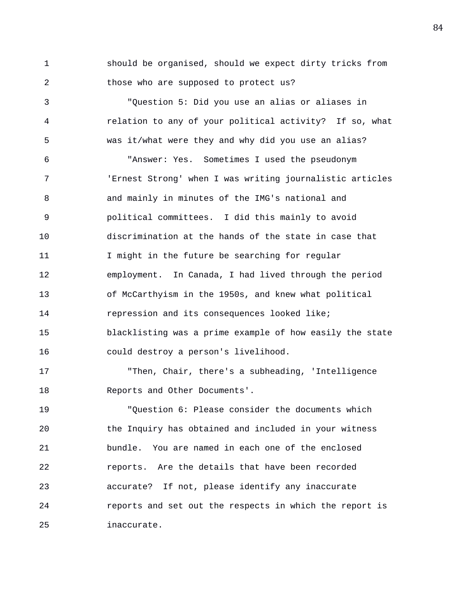1 should be organised, should we expect dirty tricks from 2 those who are supposed to protect us?

3 "Question 5: Did you use an alias or aliases in 4 relation to any of your political activity? If so, what 5 was it/what were they and why did you use an alias? 6 "Answer: Yes. Sometimes I used the pseudonym 7 'Ernest Strong' when I was writing journalistic articles 8 and mainly in minutes of the IMG's national and 9 political committees. I did this mainly to avoid 10 discrimination at the hands of the state in case that 11 I might in the future be searching for regular 12 employment. In Canada, I had lived through the period 13 of McCarthyism in the 1950s, and knew what political 14 repression and its consequences looked like; 15 blacklisting was a prime example of how easily the state 16 could destroy a person's livelihood.

17 "Then, Chair, there's a subheading, 'Intelligence 18 Reports and Other Documents'.

19 "Question 6: Please consider the documents which 20 the Inquiry has obtained and included in your witness 21 bundle. You are named in each one of the enclosed 22 reports. Are the details that have been recorded 23 accurate? If not, please identify any inaccurate 24 reports and set out the respects in which the report is 25 inaccurate.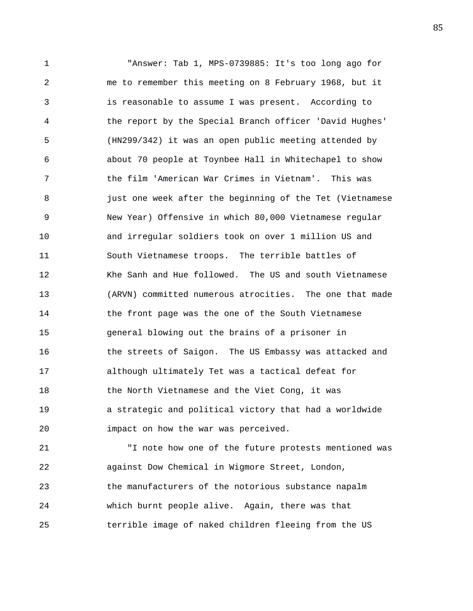1 "Answer: Tab 1, MPS-0739885: It's too long ago for 2 me to remember this meeting on 8 February 1968, but it 3 is reasonable to assume I was present. According to 4 the report by the Special Branch officer 'David Hughes' 5 (HN299/342) it was an open public meeting attended by 6 about 70 people at Toynbee Hall in Whitechapel to show 7 the film 'American War Crimes in Vietnam'. This was 8 3 just one week after the beginning of the Tet (Vietnamese 9 New Year) Offensive in which 80,000 Vietnamese regular 10 and irregular soldiers took on over 1 million US and 11 South Vietnamese troops. The terrible battles of 12 Khe Sanh and Hue followed. The US and south Vietnamese 13 (ARVN) committed numerous atrocities. The one that made 14 the front page was the one of the South Vietnamese 15 general blowing out the brains of a prisoner in 16 **the streets of Saigon.** The US Embassy was attacked and 17 although ultimately Tet was a tactical defeat for 18 the North Vietnamese and the Viet Cong, it was 19 a strategic and political victory that had a worldwide 20 impact on how the war was perceived.

21 "I note how one of the future protests mentioned was 22 against Dow Chemical in Wigmore Street, London, 23 the manufacturers of the notorious substance napalm 24 which burnt people alive. Again, there was that 25 terrible image of naked children fleeing from the US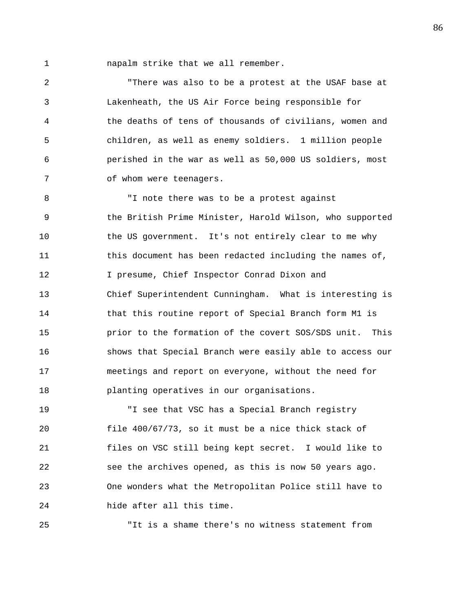1 napalm strike that we all remember.

2 "There was also to be a protest at the USAF base at 3 Lakenheath, the US Air Force being responsible for 4 the deaths of tens of thousands of civilians, women and 5 children, as well as enemy soldiers. 1 million people 6 perished in the war as well as 50,000 US soldiers, most 7 of whom were teenagers.

8 "I note there was to be a protest against 9 the British Prime Minister, Harold Wilson, who supported 10 the US government. It's not entirely clear to me why 11 this document has been redacted including the names of, 12 I presume, Chief Inspector Conrad Dixon and 13 Chief Superintendent Cunningham. What is interesting is 14 that this routine report of Special Branch form M1 is 15 prior to the formation of the covert SOS/SDS unit. This 16 shows that Special Branch were easily able to access our 17 meetings and report on everyone, without the need for 18 planting operatives in our organisations.

19 "I see that VSC has a Special Branch registry 20 file 400/67/73, so it must be a nice thick stack of 21 files on VSC still being kept secret. I would like to 22 see the archives opened, as this is now 50 years ago. 23 One wonders what the Metropolitan Police still have to 24 hide after all this time.

25 "It is a shame there's no witness statement from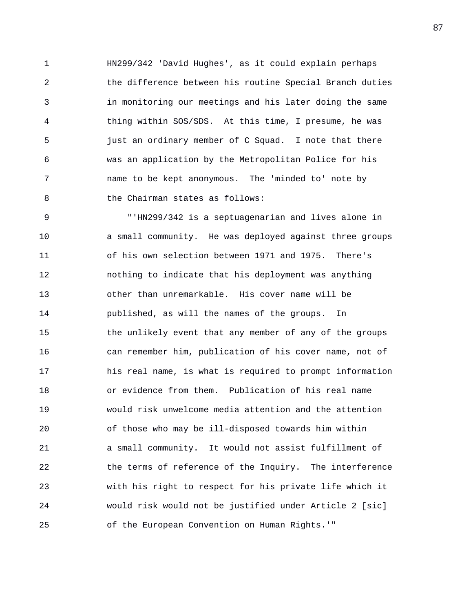1 HN299/342 'David Hughes', as it could explain perhaps 2 the difference between his routine Special Branch duties 3 in monitoring our meetings and his later doing the same 4 thing within SOS/SDS. At this time, I presume, he was 5 just an ordinary member of C Squad. I note that there 6 was an application by the Metropolitan Police for his 7 name to be kept anonymous. The 'minded to' note by 8 b the Chairman states as follows:

9 "'HN299/342 is a septuagenarian and lives alone in 10 a small community. He was deployed against three groups 11 of his own selection between 1971 and 1975. There's 12 nothing to indicate that his deployment was anything 13 other than unremarkable. His cover name will be 14 published, as will the names of the groups. In 15 the unlikely event that any member of any of the groups 16 can remember him, publication of his cover name, not of 17 his real name, is what is required to prompt information 18 or evidence from them. Publication of his real name 19 would risk unwelcome media attention and the attention 20 of those who may be ill-disposed towards him within 21 a small community. It would not assist fulfillment of 22 the terms of reference of the Inquiry. The interference 23 with his right to respect for his private life which it 24 would risk would not be justified under Article 2 [sic] 25 of the European Convention on Human Rights.'"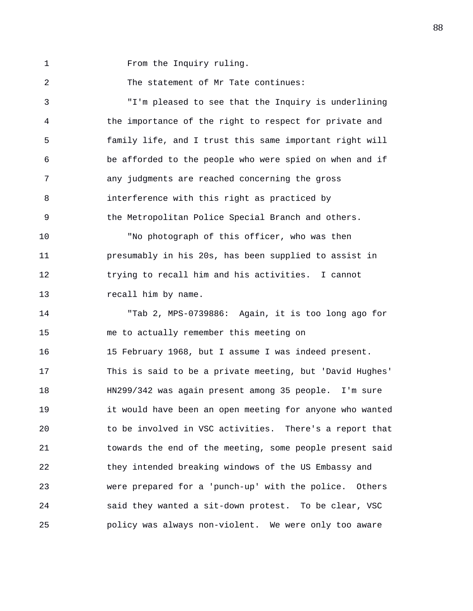1 From the Inquiry ruling.

2 The statement of Mr Tate continues:

3 "I'm pleased to see that the Inquiry is underlining 4 the importance of the right to respect for private and 5 family life, and I trust this same important right will 6 be afforded to the people who were spied on when and if 7 any judgments are reached concerning the gross 8 interference with this right as practiced by 9 the Metropolitan Police Special Branch and others. 10 "No photograph of this officer, who was then 11 presumably in his 20s, has been supplied to assist in

12 trying to recall him and his activities. I cannot 13 recall him by name.

14 "Tab 2, MPS-0739886: Again, it is too long ago for 15 me to actually remember this meeting on 16 15 February 1968, but I assume I was indeed present. 17 This is said to be a private meeting, but 'David Hughes' 18 HN299/342 was again present among 35 people. I'm sure 19 it would have been an open meeting for anyone who wanted 20 to be involved in VSC activities. There's a report that 21 towards the end of the meeting, some people present said 22 they intended breaking windows of the US Embassy and 23 were prepared for a 'punch-up' with the police. Others 24 said they wanted a sit-down protest. To be clear, VSC 25 policy was always non-violent. We were only too aware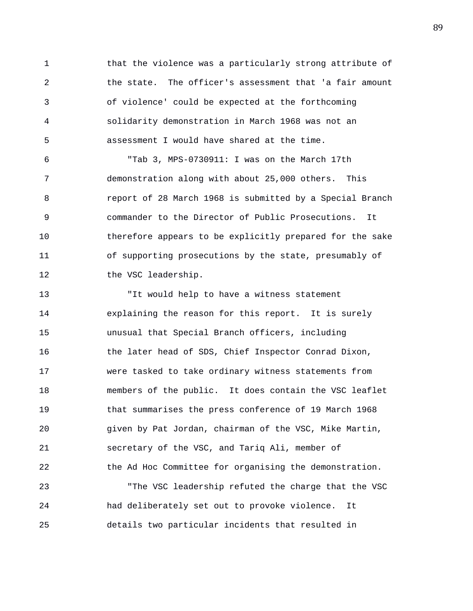1 that the violence was a particularly strong attribute of 2 the state. The officer's assessment that 'a fair amount 3 of violence' could be expected at the forthcoming 4 solidarity demonstration in March 1968 was not an 5 assessment I would have shared at the time.

6 "Tab 3, MPS-0730911: I was on the March 17th 7 demonstration along with about 25,000 others. This 8 report of 28 March 1968 is submitted by a Special Branch 9 commander to the Director of Public Prosecutions. It 10 therefore appears to be explicitly prepared for the sake 11 of supporting prosecutions by the state, presumably of 12 the VSC leadership.

13 "It would help to have a witness statement 14 explaining the reason for this report. It is surely 15 unusual that Special Branch officers, including 16 the later head of SDS, Chief Inspector Conrad Dixon, 17 were tasked to take ordinary witness statements from 18 members of the public. It does contain the VSC leaflet 19 that summarises the press conference of 19 March 1968 20 given by Pat Jordan, chairman of the VSC, Mike Martin, 21 secretary of the VSC, and Tariq Ali, member of 22 the Ad Hoc Committee for organising the demonstration.

23 "The VSC leadership refuted the charge that the VSC 24 had deliberately set out to provoke violence. It 25 details two particular incidents that resulted in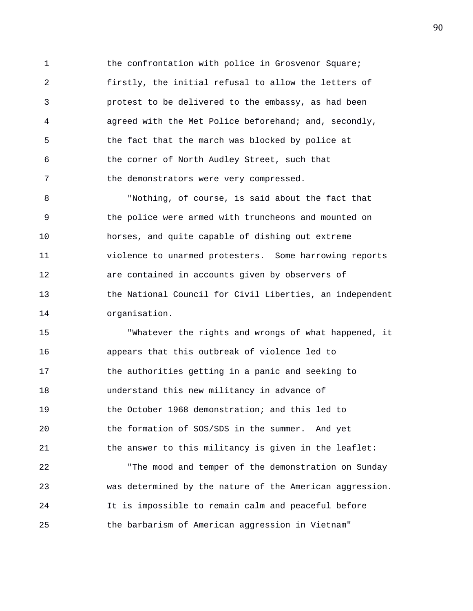1 the confrontation with police in Grosvenor Square; 2 firstly, the initial refusal to allow the letters of 3 protest to be delivered to the embassy, as had been 4 agreed with the Met Police beforehand; and, secondly, 5 the fact that the march was blocked by police at 6 the corner of North Audley Street, such that 7 the demonstrators were very compressed.

8 "Nothing, of course, is said about the fact that 9 the police were armed with truncheons and mounted on 10 horses, and quite capable of dishing out extreme 11 violence to unarmed protesters. Some harrowing reports 12 are contained in accounts given by observers of 13 the National Council for Civil Liberties, an independent 14 organisation.

15 "Whatever the rights and wrongs of what happened, it 16 appears that this outbreak of violence led to 17 the authorities getting in a panic and seeking to 18 understand this new militancy in advance of 19 the October 1968 demonstration; and this led to 20 the formation of SOS/SDS in the summer. And yet 21 the answer to this militancy is given in the leaflet: 22 "The mood and temper of the demonstration on Sunday 23 was determined by the nature of the American aggression. 24 It is impossible to remain calm and peaceful before 25 the barbarism of American aggression in Vietnam"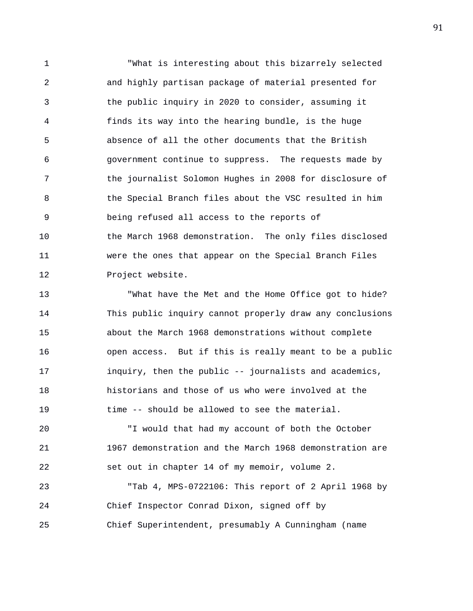1 "What is interesting about this bizarrely selected 2 and highly partisan package of material presented for 3 the public inquiry in 2020 to consider, assuming it 4 finds its way into the hearing bundle, is the huge 5 absence of all the other documents that the British 6 government continue to suppress. The requests made by 7 the journalist Solomon Hughes in 2008 for disclosure of 8 the Special Branch files about the VSC resulted in him 9 being refused all access to the reports of 10 the March 1968 demonstration. The only files disclosed 11 were the ones that appear on the Special Branch Files 12 Project website.

13 "What have the Met and the Home Office got to hide? 14 This public inquiry cannot properly draw any conclusions 15 about the March 1968 demonstrations without complete 16 open access. But if this is really meant to be a public 17 inquiry, then the public -- journalists and academics, 18 historians and those of us who were involved at the 19 time -- should be allowed to see the material.

20 "I would that had my account of both the October 21 1967 demonstration and the March 1968 demonstration are 22 set out in chapter 14 of my memoir, volume 2.

23 "Tab 4, MPS-0722106: This report of 2 April 1968 by 24 Chief Inspector Conrad Dixon, signed off by 25 Chief Superintendent, presumably A Cunningham (name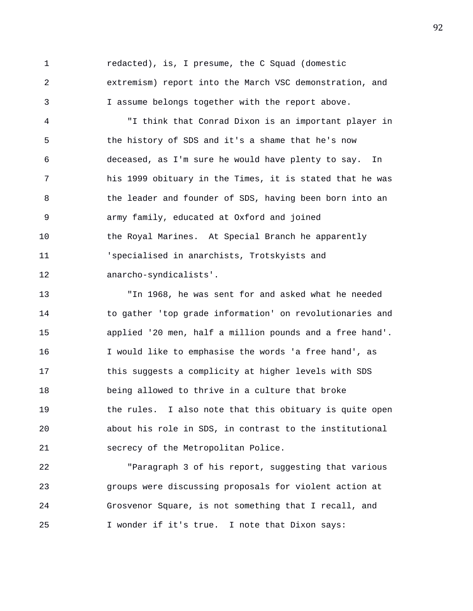1 redacted), is, I presume, the C Squad (domestic 2 extremism) report into the March VSC demonstration, and 3 I assume belongs together with the report above.

4 "I think that Conrad Dixon is an important player in 5 the history of SDS and it's a shame that he's now 6 deceased, as I'm sure he would have plenty to say. In 7 his 1999 obituary in the Times, it is stated that he was 8 the leader and founder of SDS, having been born into an 9 army family, educated at Oxford and joined 10 the Royal Marines. At Special Branch he apparently 11 'specialised in anarchists, Trotskyists and 12 anarcho-syndicalists'.

13 "In 1968, he was sent for and asked what he needed 14 to gather 'top grade information' on revolutionaries and 15 applied '20 men, half a million pounds and a free hand'. 16 I would like to emphasise the words 'a free hand', as 17 this suggests a complicity at higher levels with SDS 18 being allowed to thrive in a culture that broke 19 the rules. I also note that this obituary is quite open 20 about his role in SDS, in contrast to the institutional 21 secrecy of the Metropolitan Police.

22 "Paragraph 3 of his report, suggesting that various 23 groups were discussing proposals for violent action at 24 Grosvenor Square, is not something that I recall, and 25 I wonder if it's true. I note that Dixon says: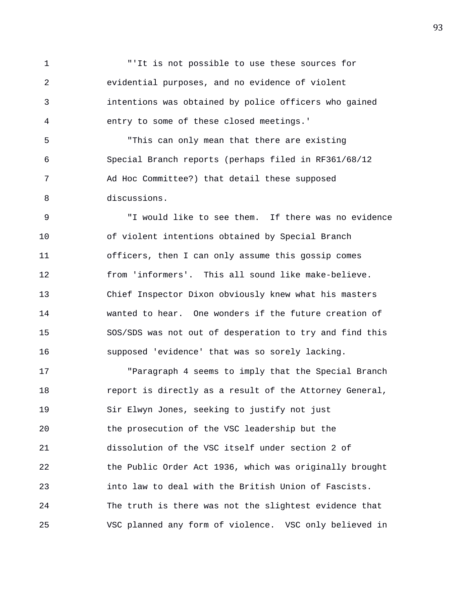1 "'It is not possible to use these sources for 2 evidential purposes, and no evidence of violent 3 intentions was obtained by police officers who gained 4 entry to some of these closed meetings.'

5 "This can only mean that there are existing 6 Special Branch reports (perhaps filed in RF361/68/12 7 Ad Hoc Committee?) that detail these supposed 8 discussions.

9 "I would like to see them. If there was no evidence 10 of violent intentions obtained by Special Branch 11 officers, then I can only assume this gossip comes 12 from 'informers'. This all sound like make-believe. 13 Chief Inspector Dixon obviously knew what his masters 14 wanted to hear. One wonders if the future creation of 15 SOS/SDS was not out of desperation to try and find this 16 supposed 'evidence' that was so sorely lacking.

17 "Paragraph 4 seems to imply that the Special Branch 18 report is directly as a result of the Attorney General, 19 Sir Elwyn Jones, seeking to justify not just 20 the prosecution of the VSC leadership but the 21 dissolution of the VSC itself under section 2 of 22 the Public Order Act 1936, which was originally brought 23 into law to deal with the British Union of Fascists. 24 The truth is there was not the slightest evidence that 25 VSC planned any form of violence. VSC only believed in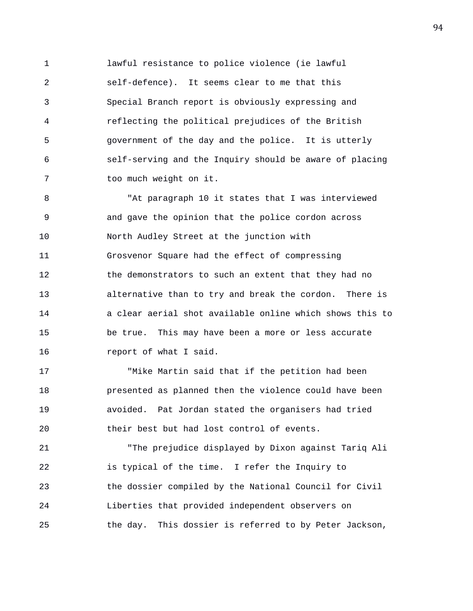1 lawful resistance to police violence (ie lawful 2 self-defence). It seems clear to me that this 3 Special Branch report is obviously expressing and 4 reflecting the political prejudices of the British 5 government of the day and the police. It is utterly 6 self-serving and the Inquiry should be aware of placing 7 too much weight on it.

8 "At paragraph 10 it states that I was interviewed 9 and gave the opinion that the police cordon across 10 North Audley Street at the junction with 11 Grosvenor Square had the effect of compressing 12 the demonstrators to such an extent that they had no 13 alternative than to try and break the cordon. There is 14 a clear aerial shot available online which shows this to 15 be true. This may have been a more or less accurate 16 report of what I said.

17 "Mike Martin said that if the petition had been 18 presented as planned then the violence could have been 19 avoided. Pat Jordan stated the organisers had tried 20 their best but had lost control of events.

21 "The prejudice displayed by Dixon against Tariq Ali 22 is typical of the time. I refer the Inquiry to 23 the dossier compiled by the National Council for Civil 24 Liberties that provided independent observers on 25 the day. This dossier is referred to by Peter Jackson,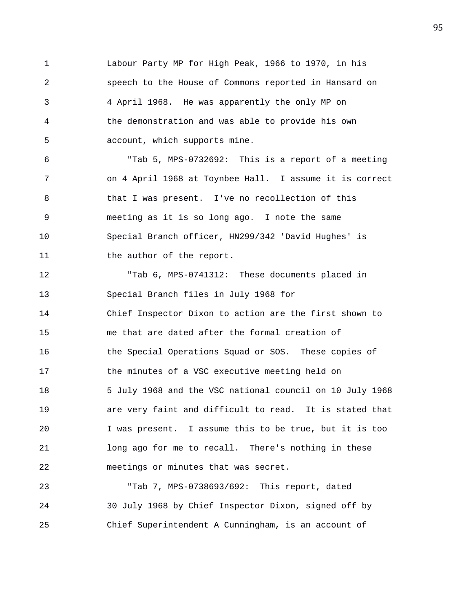1 Labour Party MP for High Peak, 1966 to 1970, in his 2 speech to the House of Commons reported in Hansard on 3 4 April 1968. He was apparently the only MP on 4 the demonstration and was able to provide his own 5 account, which supports mine.

6 "Tab 5, MPS-0732692: This is a report of a meeting 7 on 4 April 1968 at Toynbee Hall. I assume it is correct 8 that I was present. I've no recollection of this 9 meeting as it is so long ago. I note the same 10 Special Branch officer, HN299/342 'David Hughes' is 11 the author of the report.

12 "Tab 6, MPS-0741312: These documents placed in 13 Special Branch files in July 1968 for 14 Chief Inspector Dixon to action are the first shown to 15 me that are dated after the formal creation of 16 the Special Operations Squad or SOS. These copies of 17 the minutes of a VSC executive meeting held on 18 5 July 1968 and the VSC national council on 10 July 1968 19 are very faint and difficult to read. It is stated that 20 I was present. I assume this to be true, but it is too 21 long ago for me to recall. There's nothing in these 22 meetings or minutes that was secret.

23 "Tab 7, MPS-0738693/692: This report, dated 24 30 July 1968 by Chief Inspector Dixon, signed off by 25 Chief Superintendent A Cunningham, is an account of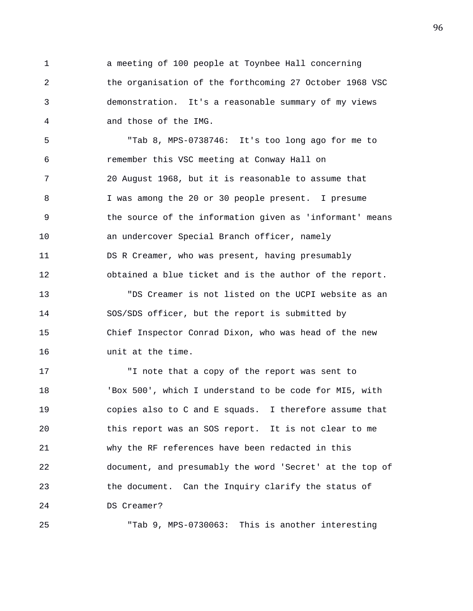1 a meeting of 100 people at Toynbee Hall concerning 2 the organisation of the forthcoming 27 October 1968 VSC 3 demonstration. It's a reasonable summary of my views 4 and those of the IMG.

5 "Tab 8, MPS-0738746: It's too long ago for me to 6 remember this VSC meeting at Conway Hall on 7 20 August 1968, but it is reasonable to assume that 8 I was among the 20 or 30 people present. I presume 9 the source of the information given as 'informant' means 10 an undercover Special Branch officer, namely 11 DS R Creamer, who was present, having presumably 12 obtained a blue ticket and is the author of the report. 13 "DS Creamer is not listed on the UCPI website as an 14 SOS/SDS officer, but the report is submitted by

15 Chief Inspector Conrad Dixon, who was head of the new 16 unit at the time.

17 "I note that a copy of the report was sent to 18 'Box 500', which I understand to be code for MI5, with 19 copies also to C and E squads. I therefore assume that 20 this report was an SOS report. It is not clear to me 21 why the RF references have been redacted in this 22 document, and presumably the word 'Secret' at the top of 23 the document. Can the Inquiry clarify the status of 24 DS Creamer?

25 "Tab 9, MPS-0730063: This is another interesting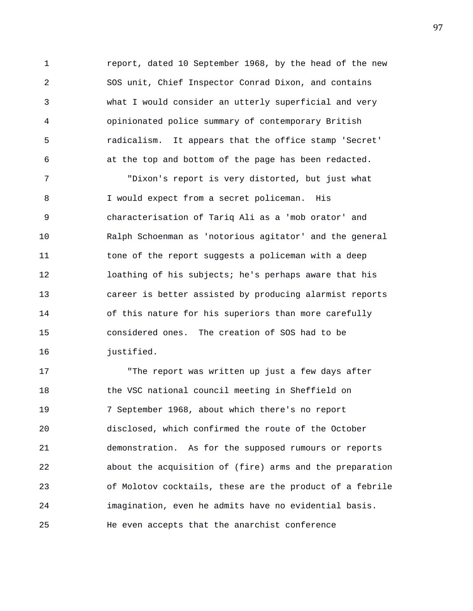1 report, dated 10 September 1968, by the head of the new 2 SOS unit, Chief Inspector Conrad Dixon, and contains 3 what I would consider an utterly superficial and very 4 opinionated police summary of contemporary British 5 radicalism. It appears that the office stamp 'Secret' 6 at the top and bottom of the page has been redacted.

7 "Dixon's report is very distorted, but just what 8 I would expect from a secret policeman. His 9 characterisation of Tariq Ali as a 'mob orator' and 10 Ralph Schoenman as 'notorious agitator' and the general 11 tone of the report suggests a policeman with a deep 12 loathing of his subjects; he's perhaps aware that his 13 career is better assisted by producing alarmist reports 14 of this nature for his superiors than more carefully 15 considered ones. The creation of SOS had to be 16 justified.

17 "The report was written up just a few days after 18 the VSC national council meeting in Sheffield on 19 7 September 1968, about which there's no report 20 disclosed, which confirmed the route of the October 21 demonstration. As for the supposed rumours or reports 22 about the acquisition of (fire) arms and the preparation 23 of Molotov cocktails, these are the product of a febrile 24 imagination, even he admits have no evidential basis. 25 He even accepts that the anarchist conference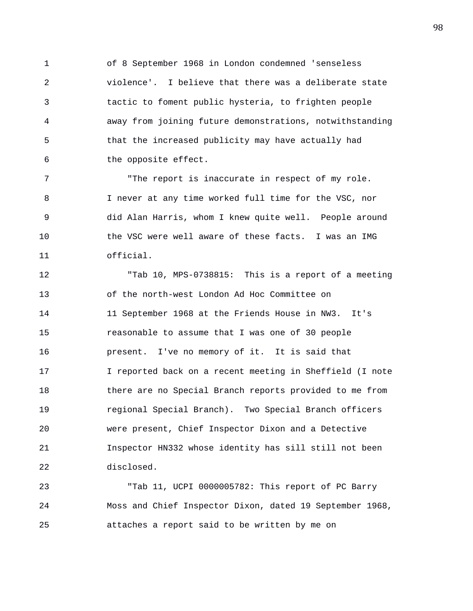1 of 8 September 1968 in London condemned 'senseless 2 violence'. I believe that there was a deliberate state 3 tactic to foment public hysteria, to frighten people 4 away from joining future demonstrations, notwithstanding 5 that the increased publicity may have actually had 6 the opposite effect.

7 The report is inaccurate in respect of my role. 8 I never at any time worked full time for the VSC, nor 9 did Alan Harris, whom I knew quite well. People around 10 the VSC were well aware of these facts. I was an IMG 11 official.

12 "Tab 10, MPS-0738815: This is a report of a meeting 13 of the north-west London Ad Hoc Committee on 14 11 September 1968 at the Friends House in NW3. It's 15 reasonable to assume that I was one of 30 people 16 present. I've no memory of it. It is said that 17 I reported back on a recent meeting in Sheffield (I note 18 there are no Special Branch reports provided to me from 19 regional Special Branch). Two Special Branch officers 20 were present, Chief Inspector Dixon and a Detective 21 Inspector HN332 whose identity has sill still not been 22 disclosed.

23 "Tab 11, UCPI 0000005782: This report of PC Barry 24 Moss and Chief Inspector Dixon, dated 19 September 1968, 25 attaches a report said to be written by me on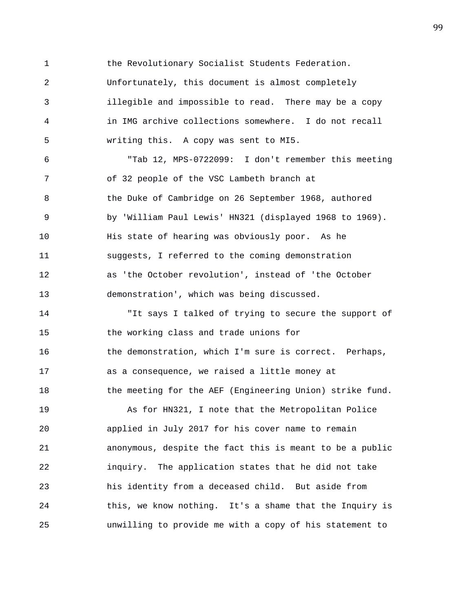1 the Revolutionary Socialist Students Federation. 2 Unfortunately, this document is almost completely 3 illegible and impossible to read. There may be a copy 4 in IMG archive collections somewhere. I do not recall 5 writing this. A copy was sent to MI5. 6 "Tab 12, MPS-0722099: I don't remember this meeting 7 of 32 people of the VSC Lambeth branch at 8 the Duke of Cambridge on 26 September 1968, authored 9 by 'William Paul Lewis' HN321 (displayed 1968 to 1969). 10 His state of hearing was obviously poor. As he 11 suggests, I referred to the coming demonstration 12 as 'the October revolution', instead of 'the October 13 demonstration', which was being discussed. 14 "It says I talked of trying to secure the support of 15 the working class and trade unions for 16 the demonstration, which I'm sure is correct. Perhaps, 17 as a consequence, we raised a little money at 18 the meeting for the AEF (Engineering Union) strike fund.

19 As for HN321, I note that the Metropolitan Police 20 applied in July 2017 for his cover name to remain 21 anonymous, despite the fact this is meant to be a public 22 inquiry. The application states that he did not take 23 his identity from a deceased child. But aside from 24 this, we know nothing. It's a shame that the Inquiry is 25 unwilling to provide me with a copy of his statement to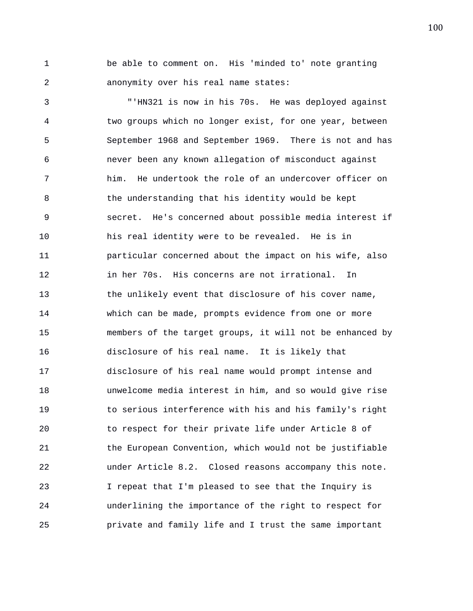1 be able to comment on. His 'minded to' note granting 2 anonymity over his real name states:

3 "'HN321 is now in his 70s. He was deployed against 4 two groups which no longer exist, for one year, between 5 September 1968 and September 1969. There is not and has 6 never been any known allegation of misconduct against 7 him. He undertook the role of an undercover officer on 8 6 1 1 the understanding that his identity would be kept 9 secret. He's concerned about possible media interest if 10 his real identity were to be revealed. He is in 11 particular concerned about the impact on his wife, also 12 in her 70s. His concerns are not irrational. In 13 the unlikely event that disclosure of his cover name, 14 which can be made, prompts evidence from one or more 15 members of the target groups, it will not be enhanced by 16 disclosure of his real name. It is likely that 17 disclosure of his real name would prompt intense and 18 unwelcome media interest in him, and so would give rise 19 to serious interference with his and his family's right 20 to respect for their private life under Article 8 of 21 the European Convention, which would not be justifiable 22 under Article 8.2. Closed reasons accompany this note. 23 I repeat that I'm pleased to see that the Inquiry is 24 underlining the importance of the right to respect for 25 private and family life and I trust the same important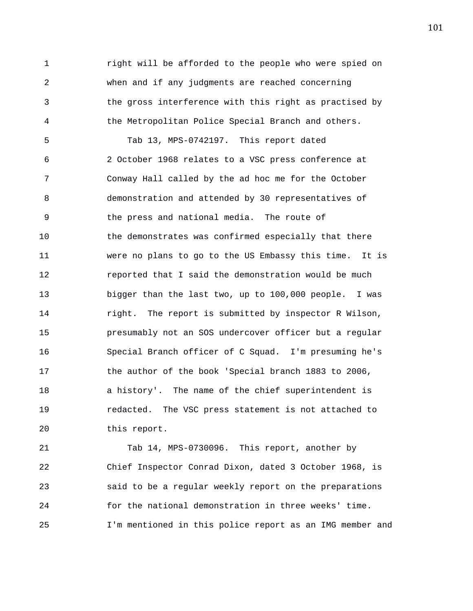1 **1** right will be afforded to the people who were spied on 2 when and if any judgments are reached concerning 3 the gross interference with this right as practised by 4 the Metropolitan Police Special Branch and others. 5 Tab 13, MPS-0742197. This report dated 6 2 October 1968 relates to a VSC press conference at 7 Conway Hall called by the ad hoc me for the October 8 demonstration and attended by 30 representatives of 9 the press and national media. The route of 10 the demonstrates was confirmed especially that there 11 were no plans to go to the US Embassy this time. It is 12 reported that I said the demonstration would be much 13 bigger than the last two, up to 100,000 people. I was 14 **right.** The report is submitted by inspector R Wilson, 15 presumably not an SOS undercover officer but a regular 16 Special Branch officer of C Squad. I'm presuming he's 17 the author of the book 'Special branch 1883 to 2006, 18 a history'. The name of the chief superintendent is 19 redacted. The VSC press statement is not attached to 20 this report.

21 Tab 14, MPS-0730096. This report, another by 22 Chief Inspector Conrad Dixon, dated 3 October 1968, is 23 said to be a regular weekly report on the preparations 24 for the national demonstration in three weeks' time. 25 I'm mentioned in this police report as an IMG member and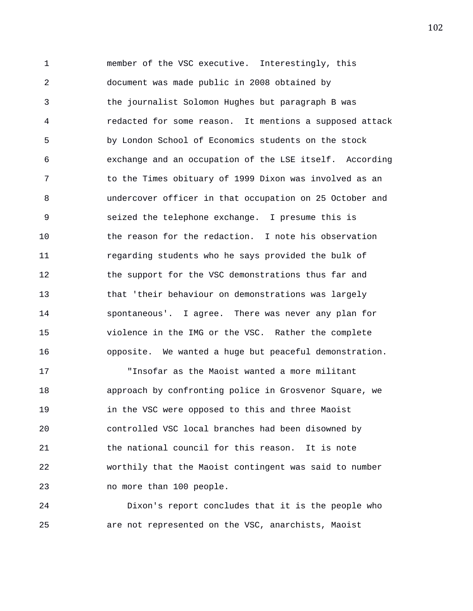1 member of the VSC executive. Interestingly, this 2 document was made public in 2008 obtained by 3 the journalist Solomon Hughes but paragraph B was 4 redacted for some reason. It mentions a supposed attack 5 by London School of Economics students on the stock 6 exchange and an occupation of the LSE itself. According 7 to the Times obituary of 1999 Dixon was involved as an 8 undercover officer in that occupation on 25 October and 9 seized the telephone exchange. I presume this is 10 the reason for the redaction. I note his observation 11 regarding students who he says provided the bulk of 12 the support for the VSC demonstrations thus far and 13 that 'their behaviour on demonstrations was largely 14 spontaneous'. I agree. There was never any plan for 15 violence in the IMG or the VSC. Rather the complete 16 opposite. We wanted a huge but peaceful demonstration.

17 "Insofar as the Maoist wanted a more militant 18 approach by confronting police in Grosvenor Square, we 19 in the VSC were opposed to this and three Maoist 20 controlled VSC local branches had been disowned by 21 the national council for this reason. It is note 22 worthily that the Maoist contingent was said to number 23 no more than 100 people.

24 Dixon's report concludes that it is the people who 25 are not represented on the VSC, anarchists, Maoist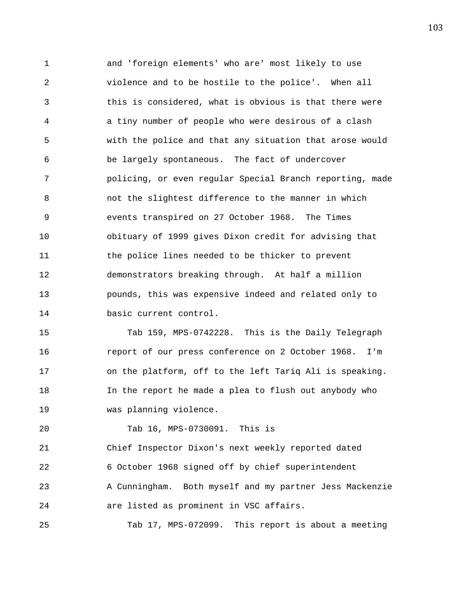1 and 'foreign elements' who are' most likely to use 2 violence and to be hostile to the police'. When all 3 this is considered, what is obvious is that there were 4 a tiny number of people who were desirous of a clash 5 with the police and that any situation that arose would 6 be largely spontaneous. The fact of undercover 7 policing, or even regular Special Branch reporting, made 8 not the slightest difference to the manner in which 9 events transpired on 27 October 1968. The Times 10 obituary of 1999 gives Dixon credit for advising that 11 the police lines needed to be thicker to prevent 12 demonstrators breaking through. At half a million 13 pounds, this was expensive indeed and related only to 14 basic current control.

15 Tab 159, MPS-0742228. This is the Daily Telegraph 16 report of our press conference on 2 October 1968. I'm 17 on the platform, off to the left Tariq Ali is speaking. 18 In the report he made a plea to flush out anybody who 19 was planning violence.

20 Tab 16, MPS-0730091. This is

21 Chief Inspector Dixon's next weekly reported dated

22 6 October 1968 signed off by chief superintendent

23 A Cunningham. Both myself and my partner Jess Mackenzie 24 are listed as prominent in VSC affairs.

25 Tab 17, MPS-072099. This report is about a meeting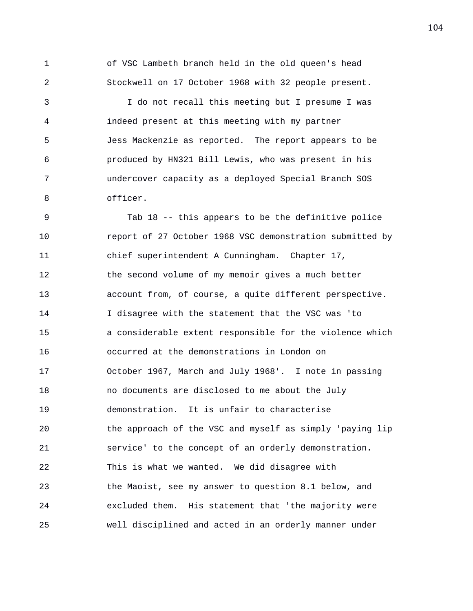1 of VSC Lambeth branch held in the old queen's head 2 Stockwell on 17 October 1968 with 32 people present.

3 I do not recall this meeting but I presume I was 4 indeed present at this meeting with my partner 5 Jess Mackenzie as reported. The report appears to be 6 produced by HN321 Bill Lewis, who was present in his 7 undercover capacity as a deployed Special Branch SOS 8 officer.

9 Tab 18 -- this appears to be the definitive police 10 report of 27 October 1968 VSC demonstration submitted by 11 chief superintendent A Cunningham. Chapter 17, 12 the second volume of my memoir gives a much better 13 account from, of course, a quite different perspective. 14 I disagree with the statement that the VSC was 'to 15 a considerable extent responsible for the violence which 16 occurred at the demonstrations in London on 17 October 1967, March and July 1968'. I note in passing 18 no documents are disclosed to me about the July 19 demonstration. It is unfair to characterise 20 the approach of the VSC and myself as simply 'paying lip 21 service' to the concept of an orderly demonstration. 22 This is what we wanted. We did disagree with 23 the Maoist, see my answer to question 8.1 below, and 24 excluded them. His statement that 'the majority were 25 well disciplined and acted in an orderly manner under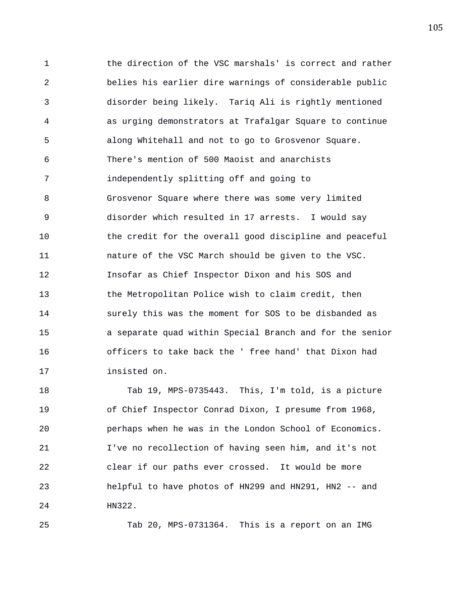1 the direction of the VSC marshals' is correct and rather 2 belies his earlier dire warnings of considerable public 3 disorder being likely. Tariq Ali is rightly mentioned 4 as urging demonstrators at Trafalgar Square to continue 5 along Whitehall and not to go to Grosvenor Square. 6 There's mention of 500 Maoist and anarchists 7 independently splitting off and going to 8 Grosvenor Square where there was some very limited 9 disorder which resulted in 17 arrests. I would say 10 the credit for the overall good discipline and peaceful 11 nature of the VSC March should be given to the VSC. 12 Insofar as Chief Inspector Dixon and his SOS and 13 the Metropolitan Police wish to claim credit, then 14 surely this was the moment for SOS to be disbanded as 15 a separate quad within Special Branch and for the senior 16 officers to take back the ' free hand' that Dixon had 17 insisted on.

18 Tab 19, MPS-0735443. This, I'm told, is a picture 19 of Chief Inspector Conrad Dixon, I presume from 1968, 20 perhaps when he was in the London School of Economics. 21 I've no recollection of having seen him, and it's not 22 clear if our paths ever crossed. It would be more 23 helpful to have photos of HN299 and HN291, HN2 -- and 24 HN322.

25 Tab 20, MPS-0731364. This is a report on an IMG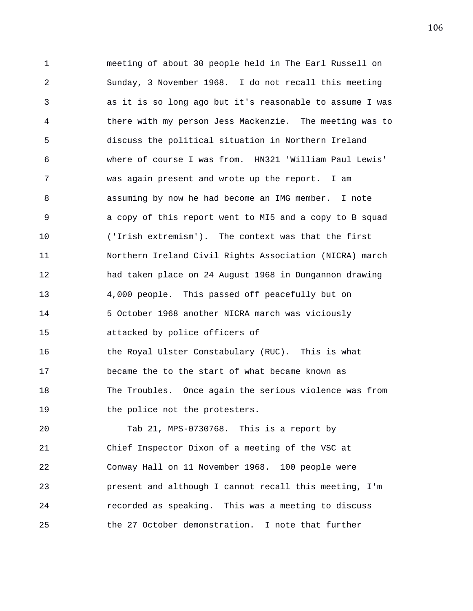1 meeting of about 30 people held in The Earl Russell on 2 Sunday, 3 November 1968. I do not recall this meeting 3 as it is so long ago but it's reasonable to assume I was 4 there with my person Jess Mackenzie. The meeting was to 5 discuss the political situation in Northern Ireland 6 where of course I was from. HN321 'William Paul Lewis' 7 was again present and wrote up the report. I am 8 assuming by now he had become an IMG member. I note 9 a copy of this report went to MI5 and a copy to B squad 10 ('Irish extremism'). The context was that the first 11 Northern Ireland Civil Rights Association (NICRA) march 12 had taken place on 24 August 1968 in Dungannon drawing 13 4,000 people. This passed off peacefully but on 14 5 October 1968 another NICRA march was viciously 15 attacked by police officers of 16 the Royal Ulster Constabulary (RUC). This is what 17 became the to the start of what became known as 18 The Troubles. Once again the serious violence was from 19 the police not the protesters. 20 Tab 21, MPS-0730768. This is a report by 21 Chief Inspector Dixon of a meeting of the VSC at 22 Conway Hall on 11 November 1968. 100 people were 23 present and although I cannot recall this meeting, I'm 24 recorded as speaking. This was a meeting to discuss

25 the 27 October demonstration. I note that further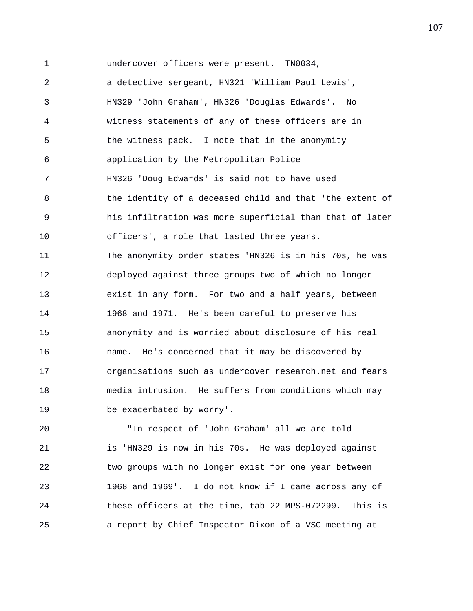1 undercover officers were present. TN0034,

2 a detective sergeant, HN321 'William Paul Lewis', 3 HN329 'John Graham', HN326 'Douglas Edwards'. No 4 witness statements of any of these officers are in 5 the witness pack. I note that in the anonymity 6 application by the Metropolitan Police 7 HN326 'Doug Edwards' is said not to have used 8 the identity of a deceased child and that 'the extent of 9 his infiltration was more superficial than that of later 10 officers', a role that lasted three years. 11 The anonymity order states 'HN326 is in his 70s, he was 12 deployed against three groups two of which no longer 13 exist in any form. For two and a half years, between 14 1968 and 1971. He's been careful to preserve his 15 anonymity and is worried about disclosure of his real 16 name. He's concerned that it may be discovered by 17 organisations such as undercover research.net and fears 18 media intrusion. He suffers from conditions which may 19 be exacerbated by worry'.

20 "In respect of 'John Graham' all we are told 21 is 'HN329 is now in his 70s. He was deployed against 22 two groups with no longer exist for one year between 23 1968 and 1969'. I do not know if I came across any of 24 these officers at the time, tab 22 MPS-072299. This is 25 a report by Chief Inspector Dixon of a VSC meeting at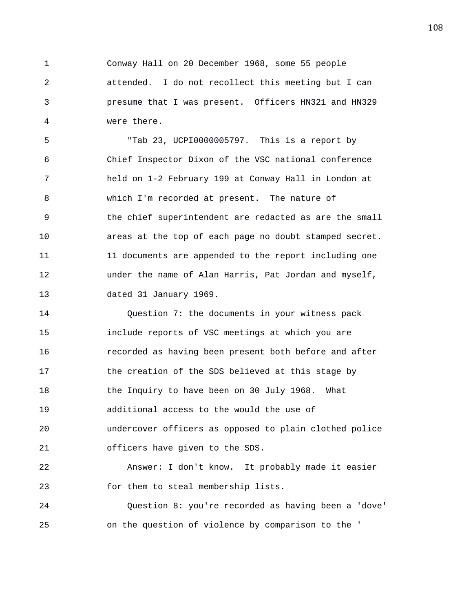1 Conway Hall on 20 December 1968, some 55 people 2 attended. I do not recollect this meeting but I can 3 presume that I was present. Officers HN321 and HN329 4 were there.

5 "Tab 23, UCPI0000005797. This is a report by 6 Chief Inspector Dixon of the VSC national conference 7 held on 1-2 February 199 at Conway Hall in London at 8 which I'm recorded at present. The nature of 9 the chief superintendent are redacted as are the small 10 areas at the top of each page no doubt stamped secret. 11 11 11 documents are appended to the report including one 12 under the name of Alan Harris, Pat Jordan and myself, 13 dated 31 January 1969.

14 Question 7: the documents in your witness pack 15 include reports of VSC meetings at which you are 16 recorded as having been present both before and after 17 the creation of the SDS believed at this stage by 18 the Inquiry to have been on 30 July 1968. What 19 additional access to the would the use of 20 undercover officers as opposed to plain clothed police 21 officers have given to the SDS. 22 Answer: I don't know. It probably made it easier

23 for them to steal membership lists.

24 Question 8: you're recorded as having been a 'dove' 25 on the question of violence by comparison to the '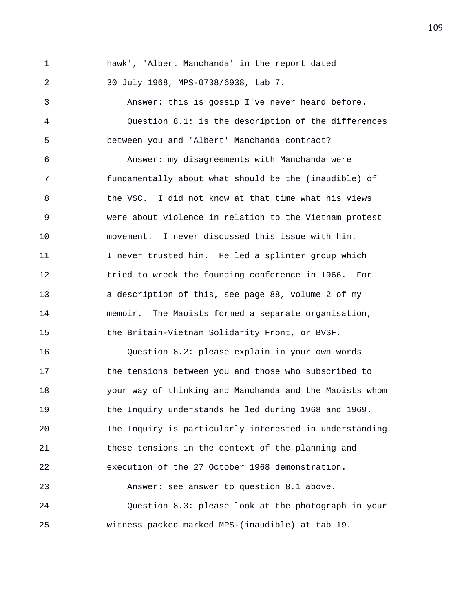1 hawk', 'Albert Manchanda' in the report dated 2 30 July 1968, MPS-0738/6938, tab 7. 3 Answer: this is gossip I've never heard before. 4 Question 8.1: is the description of the differences 5 between you and 'Albert' Manchanda contract? 6 Answer: my disagreements with Manchanda were 7 fundamentally about what should be the (inaudible) of 8 the VSC. I did not know at that time what his views 9 were about violence in relation to the Vietnam protest 10 movement. I never discussed this issue with him. 11 I never trusted him. He led a splinter group which 12 tried to wreck the founding conference in 1966. For 13 a description of this, see page 88, volume 2 of my 14 memoir. The Maoists formed a separate organisation, 15 the Britain-Vietnam Solidarity Front, or BVSF. 16 Question 8.2: please explain in your own words 17 the tensions between you and those who subscribed to 18 your way of thinking and Manchanda and the Maoists whom 19 the Inquiry understands he led during 1968 and 1969. 20 The Inquiry is particularly interested in understanding 21 these tensions in the context of the planning and 22 execution of the 27 October 1968 demonstration. 23 Answer: see answer to question 8.1 above. 24 Question 8.3: please look at the photograph in your 25 witness packed marked MPS-(inaudible) at tab 19.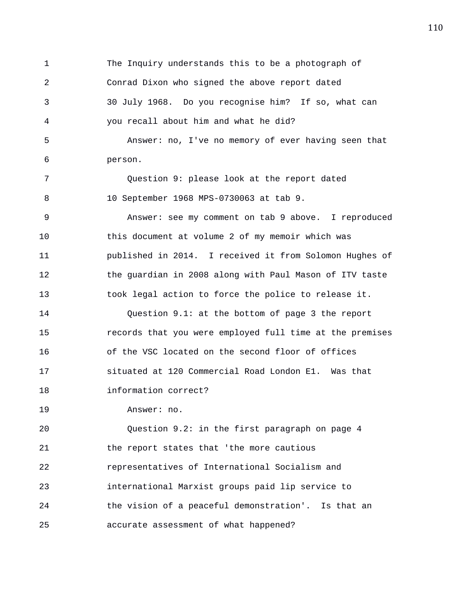1 The Inquiry understands this to be a photograph of 2 Conrad Dixon who signed the above report dated 3 30 July 1968. Do you recognise him? If so, what can 4 you recall about him and what he did? 5 Answer: no, I've no memory of ever having seen that 6 person. 7 Question 9: please look at the report dated 8 10 September 1968 MPS-0730063 at tab 9. 9 Answer: see my comment on tab 9 above. I reproduced 10 this document at volume 2 of my memoir which was 11 published in 2014. I received it from Solomon Hughes of 12 the guardian in 2008 along with Paul Mason of ITV taste 13 took legal action to force the police to release it. 14 Question 9.1: at the bottom of page 3 the report 15 records that you were employed full time at the premises 16 of the VSC located on the second floor of offices 17 situated at 120 Commercial Road London E1. Was that 18 information correct? 19 Answer: no. 20 Question 9.2: in the first paragraph on page 4 21 the report states that 'the more cautious 22 representatives of International Socialism and 23 international Marxist groups paid lip service to 24 the vision of a peaceful demonstration'. Is that an

25 accurate assessment of what happened?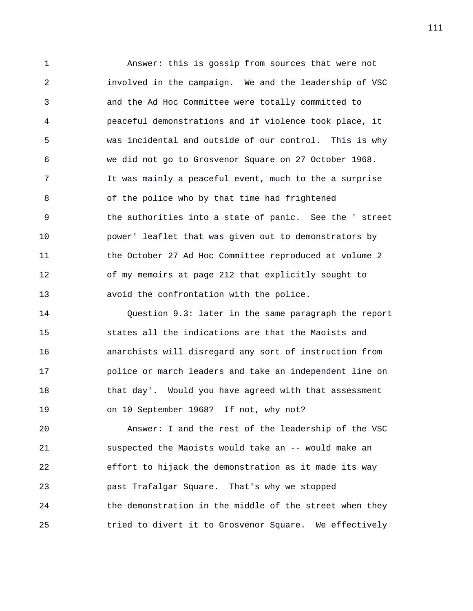1 Answer: this is gossip from sources that were not 2 involved in the campaign. We and the leadership of VSC 3 and the Ad Hoc Committee were totally committed to 4 peaceful demonstrations and if violence took place, it 5 was incidental and outside of our control. This is why 6 we did not go to Grosvenor Square on 27 October 1968. 7 It was mainly a peaceful event, much to the a surprise 8 of the police who by that time had frightened 9 the authorities into a state of panic. See the ' street 10 power' leaflet that was given out to demonstrators by 11 the October 27 Ad Hoc Committee reproduced at volume 2 12 of my memoirs at page 212 that explicitly sought to 13 avoid the confrontation with the police.

14 Question 9.3: later in the same paragraph the report 15 states all the indications are that the Maoists and 16 anarchists will disregard any sort of instruction from 17 police or march leaders and take an independent line on 18 that day'. Would you have agreed with that assessment 19 on 10 September 1968? If not, why not?

20 Answer: I and the rest of the leadership of the VSC 21 suspected the Maoists would take an -- would make an 22 effort to hijack the demonstration as it made its way 23 past Trafalgar Square. That's why we stopped 24 the demonstration in the middle of the street when they 25 tried to divert it to Grosvenor Square. We effectively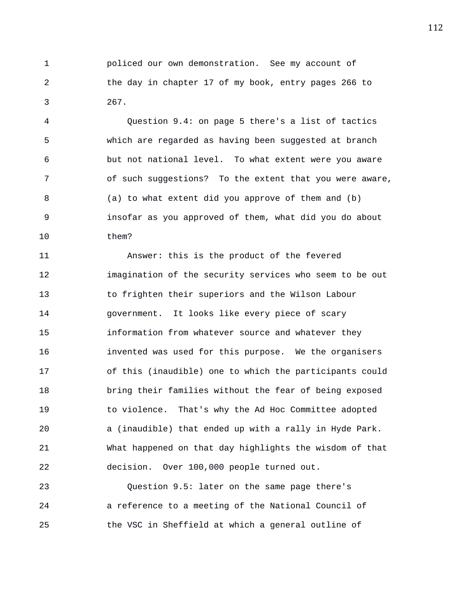1 policed our own demonstration. See my account of 2 the day in chapter 17 of my book, entry pages 266 to 3 267.

4 Question 9.4: on page 5 there's a list of tactics 5 which are regarded as having been suggested at branch 6 but not national level. To what extent were you aware 7 of such suggestions? To the extent that you were aware, 8 (a) to what extent did you approve of them and (b) 9 insofar as you approved of them, what did you do about 10 them?

11 Answer: this is the product of the fevered 12 imagination of the security services who seem to be out 13 to frighten their superiors and the Wilson Labour 14 government. It looks like every piece of scary 15 information from whatever source and whatever they 16 invented was used for this purpose. We the organisers 17 of this (inaudible) one to which the participants could 18 bring their families without the fear of being exposed 19 to violence. That's why the Ad Hoc Committee adopted 20 a (inaudible) that ended up with a rally in Hyde Park. 21 What happened on that day highlights the wisdom of that 22 decision. Over 100,000 people turned out.

23 Question 9.5: later on the same page there's 24 a reference to a meeting of the National Council of 25 the VSC in Sheffield at which a general outline of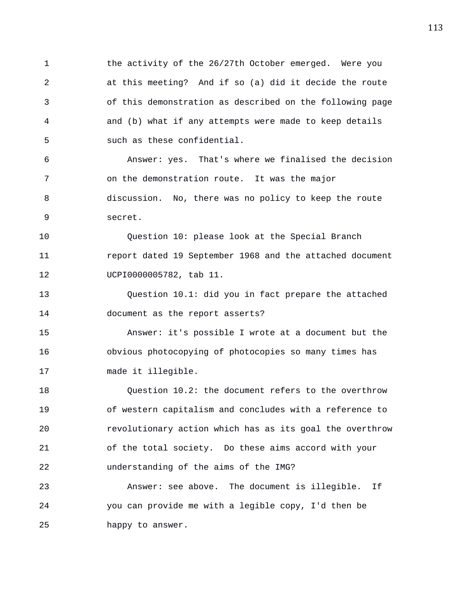1 the activity of the 26/27th October emerged. Were you 2 at this meeting? And if so (a) did it decide the route 3 of this demonstration as described on the following page 4 and (b) what if any attempts were made to keep details 5 such as these confidential.

6 Answer: yes. That's where we finalised the decision 7 on the demonstration route. It was the major 8 discussion. No, there was no policy to keep the route 9 secret.

10 Question 10: please look at the Special Branch 11 report dated 19 September 1968 and the attached document 12 UCPI0000005782, tab 11.

13 Question 10.1: did you in fact prepare the attached 14 document as the report asserts?

15 Answer: it's possible I wrote at a document but the 16 obvious photocopying of photocopies so many times has 17 made it illegible.

18 Question 10.2: the document refers to the overthrow 19 of western capitalism and concludes with a reference to 20 revolutionary action which has as its goal the overthrow 21 of the total society. Do these aims accord with your 22 understanding of the aims of the IMG?

23 Answer: see above. The document is illegible. If 24 you can provide me with a legible copy, I'd then be 25 happy to answer.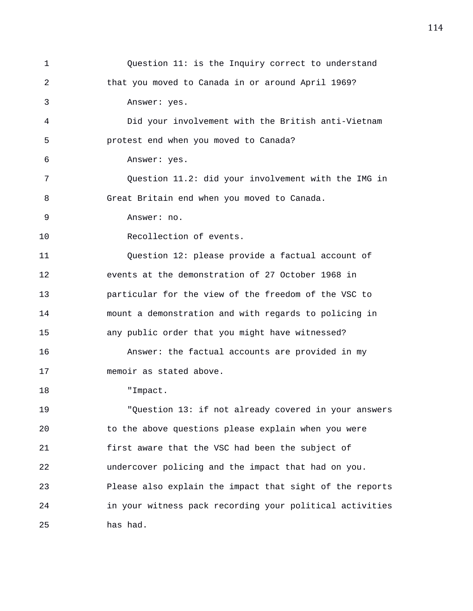| $\mathbf 1$ | Question 11: is the Inquiry correct to understand        |
|-------------|----------------------------------------------------------|
| 2           | that you moved to Canada in or around April 1969?        |
| 3           | Answer: yes.                                             |
| 4           | Did your involvement with the British anti-Vietnam       |
| 5           | protest end when you moved to Canada?                    |
| 6           | Answer: yes.                                             |
| 7           | Question 11.2: did your involvement with the IMG in      |
| 8           | Great Britain end when you moved to Canada.              |
| 9           | Answer: no.                                              |
| 10          | Recollection of events.                                  |
| 11          | Question 12: please provide a factual account of         |
| 12          | events at the demonstration of 27 October 1968 in        |
| 13          | particular for the view of the freedom of the VSC to     |
| 14          | mount a demonstration and with regards to policing in    |
| 15          | any public order that you might have witnessed?          |
| 16          | Answer: the factual accounts are provided in my          |
| 17          | memoir as stated above.                                  |
| 18          | "Impact.                                                 |
| 19          | "Question 13: if not already covered in your answers     |
| 20          | to the above questions please explain when you were      |
| 21          | first aware that the VSC had been the subject of         |
| 22          | undercover policing and the impact that had on you.      |
| 23          | Please also explain the impact that sight of the reports |
| 24          | in your witness pack recording your political activities |
| 25          | has had.                                                 |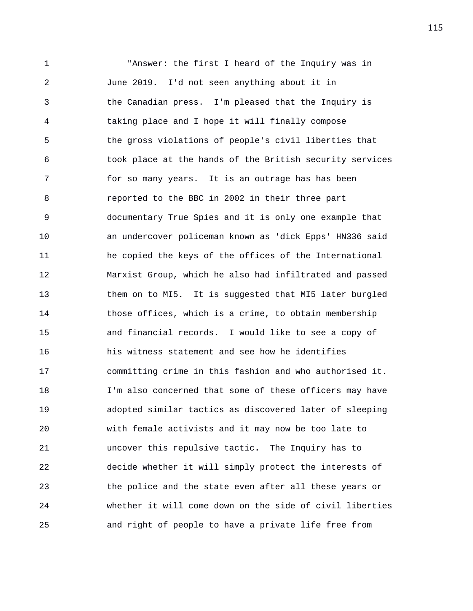1 "Answer: the first I heard of the Inquiry was in 2 June 2019. I'd not seen anything about it in 3 the Canadian press. I'm pleased that the Inquiry is 4 taking place and I hope it will finally compose 5 the gross violations of people's civil liberties that 6 took place at the hands of the British security services 7 for so many years. It is an outrage has has been 8 reported to the BBC in 2002 in their three part 9 documentary True Spies and it is only one example that 10 an undercover policeman known as 'dick Epps' HN336 said 11 he copied the keys of the offices of the International 12 Marxist Group, which he also had infiltrated and passed 13 them on to MI5. It is suggested that MI5 later burgled 14 those offices, which is a crime, to obtain membership 15 and financial records. I would like to see a copy of 16 his witness statement and see how he identifies 17 committing crime in this fashion and who authorised it. 18 I'm also concerned that some of these officers may have 19 adopted similar tactics as discovered later of sleeping 20 with female activists and it may now be too late to 21 uncover this repulsive tactic. The Inquiry has to 22 decide whether it will simply protect the interests of 23 the police and the state even after all these years or 24 whether it will come down on the side of civil liberties 25 and right of people to have a private life free from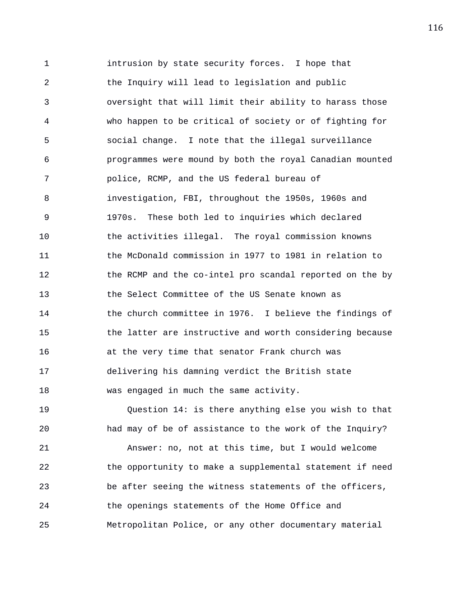1 intrusion by state security forces. I hope that 2 the Inquiry will lead to legislation and public 3 oversight that will limit their ability to harass those 4 who happen to be critical of society or of fighting for 5 social change. I note that the illegal surveillance 6 programmes were mound by both the royal Canadian mounted 7 police, RCMP, and the US federal bureau of 8 investigation, FBI, throughout the 1950s, 1960s and 9 1970s. These both led to inquiries which declared 10 the activities illegal. The royal commission knowns 11 the McDonald commission in 1977 to 1981 in relation to 12 the RCMP and the co-intel pro scandal reported on the by 13 the Select Committee of the US Senate known as 14 the church committee in 1976. I believe the findings of 15 the latter are instructive and worth considering because 16 at the very time that senator Frank church was 17 delivering his damning verdict the British state 18 was engaged in much the same activity.

19 Question 14: is there anything else you wish to that 20 had may of be of assistance to the work of the Inquiry? 21 Answer: no, not at this time, but I would welcome 22 the opportunity to make a supplemental statement if need 23 be after seeing the witness statements of the officers, 24 the openings statements of the Home Office and 25 Metropolitan Police, or any other documentary material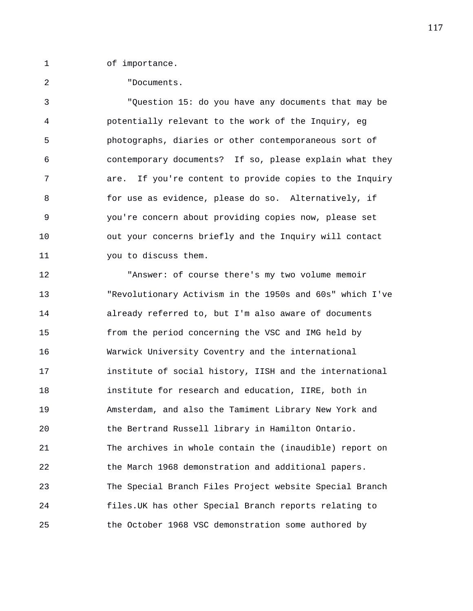1 of importance.

2 "Documents.

3 "Question 15: do you have any documents that may be 4 potentially relevant to the work of the Inquiry, eg 5 photographs, diaries or other contemporaneous sort of 6 contemporary documents? If so, please explain what they 7 are. If you're content to provide copies to the Inquiry 8 for use as evidence, please do so. Alternatively, if 9 you're concern about providing copies now, please set 10 out your concerns briefly and the Inquiry will contact 11 you to discuss them.

12 "Answer: of course there's my two volume memoir 13 "Revolutionary Activism in the 1950s and 60s" which I've 14 already referred to, but I'm also aware of documents 15 from the period concerning the VSC and IMG held by 16 Warwick University Coventry and the international 17 institute of social history, IISH and the international 18 institute for research and education, IIRE, both in 19 Amsterdam, and also the Tamiment Library New York and 20 the Bertrand Russell library in Hamilton Ontario. 21 The archives in whole contain the (inaudible) report on 22 the March 1968 demonstration and additional papers. 23 The Special Branch Files Project website Special Branch 24 files.UK has other Special Branch reports relating to 25 the October 1968 VSC demonstration some authored by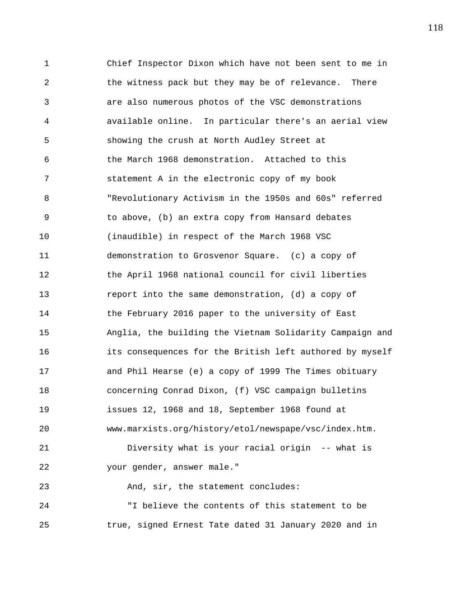1 Chief Inspector Dixon which have not been sent to me in 2 the witness pack but they may be of relevance. There 3 are also numerous photos of the VSC demonstrations 4 available online. In particular there's an aerial view 5 showing the crush at North Audley Street at 6 the March 1968 demonstration. Attached to this 7 statement A in the electronic copy of my book 8 "Revolutionary Activism in the 1950s and 60s" referred 9 to above, (b) an extra copy from Hansard debates 10 (inaudible) in respect of the March 1968 VSC 11 demonstration to Grosvenor Square. (c) a copy of 12 the April 1968 national council for civil liberties 13 report into the same demonstration, (d) a copy of 14 the February 2016 paper to the university of East 15 Anglia, the building the Vietnam Solidarity Campaign and 16 its consequences for the British left authored by myself 17 and Phil Hearse (e) a copy of 1999 The Times obituary 18 concerning Conrad Dixon, (f) VSC campaign bulletins 19 issues 12, 1968 and 18, September 1968 found at 20 www.marxists.org/history/etol/newspape/vsc/index.htm. 21 Diversity what is your racial origin -- what is 22 your gender, answer male." 23 And, sir, the statement concludes: 24 "I believe the contents of this statement to be

25 true, signed Ernest Tate dated 31 January 2020 and in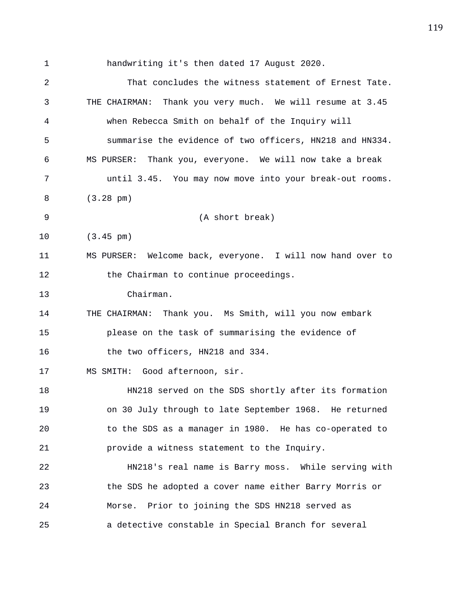1 handwriting it's then dated 17 August 2020. 2 That concludes the witness statement of Ernest Tate. 3 THE CHAIRMAN: Thank you very much. We will resume at 3.45 4 when Rebecca Smith on behalf of the Inquiry will 5 summarise the evidence of two officers, HN218 and HN334. 6 MS PURSER: Thank you, everyone. We will now take a break 7 until 3.45. You may now move into your break-out rooms. 8 (3.28 pm) 9 (A short break) 10 (3.45 pm) 11 MS PURSER: Welcome back, everyone. I will now hand over to 12 the Chairman to continue proceedings. 13 Chairman. 14 THE CHAIRMAN: Thank you. Ms Smith, will you now embark 15 please on the task of summarising the evidence of 16 the two officers, HN218 and 334. 17 MS SMITH: Good afternoon, sir. 18 HN218 served on the SDS shortly after its formation 19 on 30 July through to late September 1968. He returned 20 to the SDS as a manager in 1980. He has co-operated to 21 provide a witness statement to the Inquiry. 22 HN218's real name is Barry moss. While serving with 23 the SDS he adopted a cover name either Barry Morris or 24 Morse. Prior to joining the SDS HN218 served as 25 a detective constable in Special Branch for several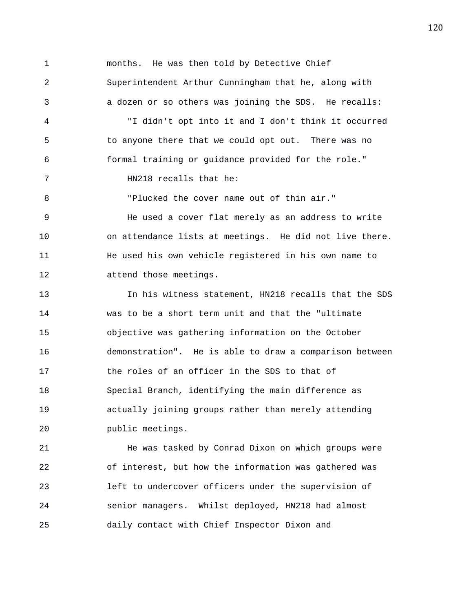1 months. He was then told by Detective Chief 2 Superintendent Arthur Cunningham that he, along with 3 a dozen or so others was joining the SDS. He recalls: 4 "I didn't opt into it and I don't think it occurred 5 to anyone there that we could opt out. There was no 6 formal training or guidance provided for the role." 7 HN218 recalls that he: 8 "Plucked the cover name out of thin air." 9 He used a cover flat merely as an address to write 10 on attendance lists at meetings. He did not live there. 11 He used his own vehicle registered in his own name to 12 attend those meetings. 13 In his witness statement, HN218 recalls that the SDS 14 was to be a short term unit and that the "ultimate 15 objective was gathering information on the October 16 demonstration". He is able to draw a comparison between 17 the roles of an officer in the SDS to that of 18 Special Branch, identifying the main difference as 19 actually joining groups rather than merely attending 20 public meetings.

21 He was tasked by Conrad Dixon on which groups were 22 of interest, but how the information was gathered was 23 left to undercover officers under the supervision of 24 senior managers. Whilst deployed, HN218 had almost 25 daily contact with Chief Inspector Dixon and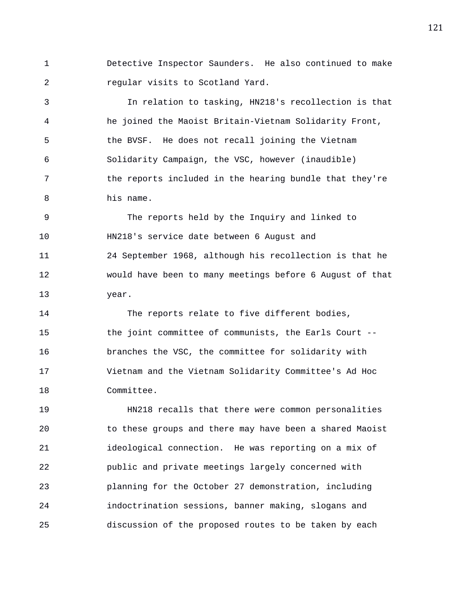1 Detective Inspector Saunders. He also continued to make 2 regular visits to Scotland Yard.

3 In relation to tasking, HN218's recollection is that 4 he joined the Maoist Britain-Vietnam Solidarity Front, 5 the BVSF. He does not recall joining the Vietnam 6 Solidarity Campaign, the VSC, however (inaudible) 7 the reports included in the hearing bundle that they're 8 his name.

9 The reports held by the Inquiry and linked to 10 HN218's service date between 6 August and 11 24 September 1968, although his recollection is that he 12 would have been to many meetings before 6 August of that 13 year.

14 The reports relate to five different bodies, 15 the joint committee of communists, the Earls Court -- 16 branches the VSC, the committee for solidarity with 17 Vietnam and the Vietnam Solidarity Committee's Ad Hoc 18 Committee.

19 HN218 recalls that there were common personalities 20 to these groups and there may have been a shared Maoist 21 ideological connection. He was reporting on a mix of 22 public and private meetings largely concerned with 23 planning for the October 27 demonstration, including 24 indoctrination sessions, banner making, slogans and 25 discussion of the proposed routes to be taken by each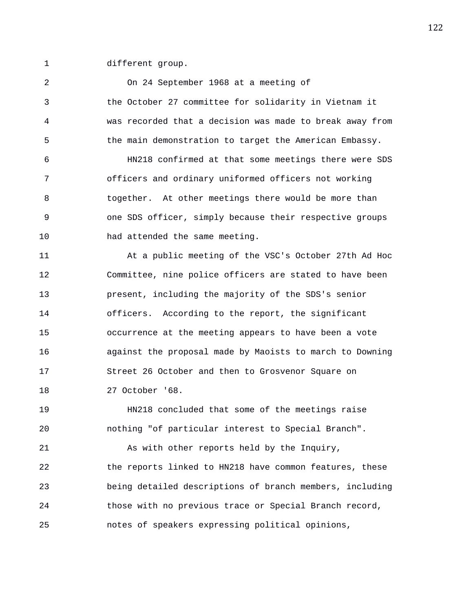1 different group.

2 On 24 September 1968 at a meeting of 3 the October 27 committee for solidarity in Vietnam it 4 was recorded that a decision was made to break away from 5 the main demonstration to target the American Embassy. 6 HN218 confirmed at that some meetings there were SDS 7 officers and ordinary uniformed officers not working 8 together. At other meetings there would be more than 9 one SDS officer, simply because their respective groups 10 had attended the same meeting. 11 At a public meeting of the VSC's October 27th Ad Hoc 12 Committee, nine police officers are stated to have been 13 present, including the majority of the SDS's senior 14 officers. According to the report, the significant 15 occurrence at the meeting appears to have been a vote 16 against the proposal made by Maoists to march to Downing 17 Street 26 October and then to Grosvenor Square on 18 27 October '68. 19 HN218 concluded that some of the meetings raise 20 nothing "of particular interest to Special Branch". 21 As with other reports held by the Inquiry, 22 the reports linked to HN218 have common features, these 23 being detailed descriptions of branch members, including 24 those with no previous trace or Special Branch record,

25 notes of speakers expressing political opinions,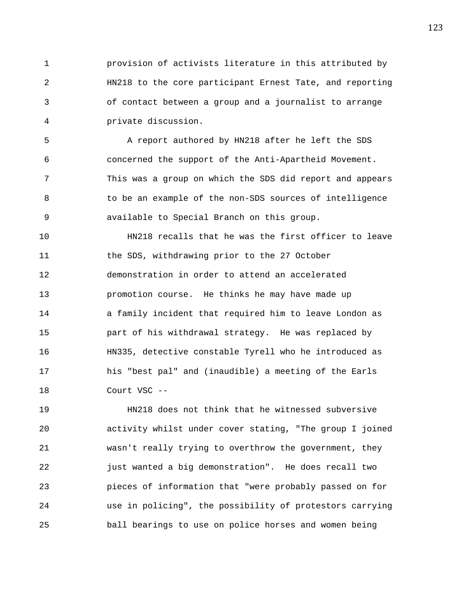1 provision of activists literature in this attributed by 2 HN218 to the core participant Ernest Tate, and reporting 3 of contact between a group and a journalist to arrange 4 private discussion.

5 A report authored by HN218 after he left the SDS 6 concerned the support of the Anti-Apartheid Movement. 7 This was a group on which the SDS did report and appears 8 to be an example of the non-SDS sources of intelligence 9 available to Special Branch on this group.

10 HN218 recalls that he was the first officer to leave 11 the SDS, withdrawing prior to the 27 October 12 demonstration in order to attend an accelerated 13 promotion course. He thinks he may have made up 14 a family incident that required him to leave London as 15 part of his withdrawal strategy. He was replaced by 16 HN335, detective constable Tyrell who he introduced as 17 his "best pal" and (inaudible) a meeting of the Earls 18 Court VSC --

19 HN218 does not think that he witnessed subversive 20 activity whilst under cover stating, "The group I joined 21 wasn't really trying to overthrow the government, they 22 just wanted a big demonstration". He does recall two 23 pieces of information that "were probably passed on for 24 use in policing", the possibility of protestors carrying 25 ball bearings to use on police horses and women being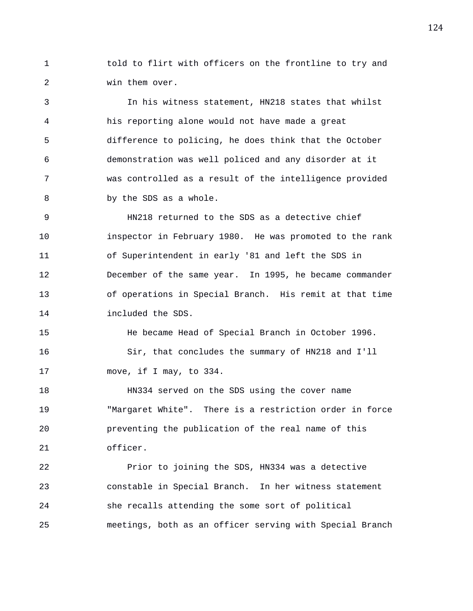1 told to flirt with officers on the frontline to try and 2 win them over.

3 In his witness statement, HN218 states that whilst 4 his reporting alone would not have made a great 5 difference to policing, he does think that the October 6 demonstration was well policed and any disorder at it 7 was controlled as a result of the intelligence provided 8 by the SDS as a whole.

9 HN218 returned to the SDS as a detective chief 10 inspector in February 1980. He was promoted to the rank 11 of Superintendent in early '81 and left the SDS in 12 December of the same year. In 1995, he became commander 13 of operations in Special Branch. His remit at that time 14 included the SDS.

15 He became Head of Special Branch in October 1996. 16 Sir, that concludes the summary of HN218 and I'll 17 move, if I may, to 334.

18 HN334 served on the SDS using the cover name 19 "Margaret White". There is a restriction order in force 20 preventing the publication of the real name of this 21 officer.

22 Prior to joining the SDS, HN334 was a detective 23 constable in Special Branch. In her witness statement 24 she recalls attending the some sort of political 25 meetings, both as an officer serving with Special Branch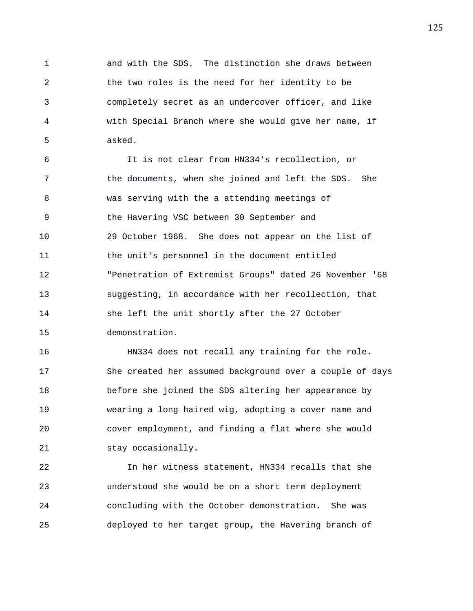1 and with the SDS. The distinction she draws between 2 the two roles is the need for her identity to be 3 completely secret as an undercover officer, and like 4 with Special Branch where she would give her name, if 5 asked.

6 It is not clear from HN334's recollection, or 7 the documents, when she joined and left the SDS. She 8 was serving with the a attending meetings of 9 the Havering VSC between 30 September and 10 29 October 1968. She does not appear on the list of 11 the unit's personnel in the document entitled 12 "Penetration of Extremist Groups" dated 26 November '68 13 suggesting, in accordance with her recollection, that 14 she left the unit shortly after the 27 October 15 demonstration.

16 HN334 does not recall any training for the role. 17 She created her assumed background over a couple of days 18 before she joined the SDS altering her appearance by 19 wearing a long haired wig, adopting a cover name and 20 cover employment, and finding a flat where she would 21 stay occasionally.

22 In her witness statement, HN334 recalls that she 23 understood she would be on a short term deployment 24 concluding with the October demonstration. She was 25 deployed to her target group, the Havering branch of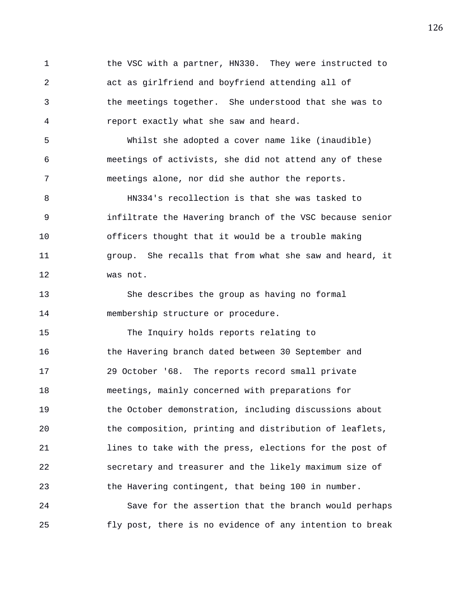1 the VSC with a partner, HN330. They were instructed to 2 act as girlfriend and boyfriend attending all of 3 the meetings together. She understood that she was to 4 report exactly what she saw and heard.

5 Whilst she adopted a cover name like (inaudible) 6 meetings of activists, she did not attend any of these 7 meetings alone, nor did she author the reports.

8 HN334's recollection is that she was tasked to 9 infiltrate the Havering branch of the VSC because senior 10 officers thought that it would be a trouble making 11 group. She recalls that from what she saw and heard, it 12 was not.

13 She describes the group as having no formal 14 membership structure or procedure.

15 The Inquiry holds reports relating to 16 the Havering branch dated between 30 September and 17 29 October '68. The reports record small private 18 meetings, mainly concerned with preparations for 19 the October demonstration, including discussions about 20 the composition, printing and distribution of leaflets, 21 lines to take with the press, elections for the post of 22 secretary and treasurer and the likely maximum size of 23 the Havering contingent, that being 100 in number. 24 Save for the assertion that the branch would perhaps

25 fly post, there is no evidence of any intention to break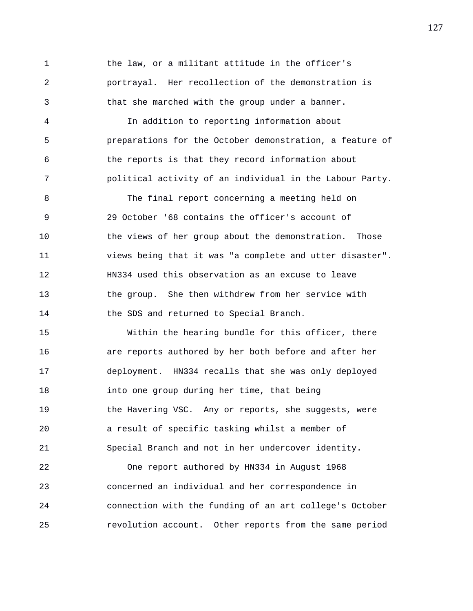1 the law, or a militant attitude in the officer's 2 portrayal. Her recollection of the demonstration is 3 that she marched with the group under a banner.

4 In addition to reporting information about 5 preparations for the October demonstration, a feature of 6 the reports is that they record information about 7 political activity of an individual in the Labour Party.

8 The final report concerning a meeting held on 9 29 October '68 contains the officer's account of 10 the views of her group about the demonstration. Those 11 views being that it was "a complete and utter disaster". 12 HN334 used this observation as an excuse to leave 13 the group. She then withdrew from her service with 14 the SDS and returned to Special Branch.

15 Within the hearing bundle for this officer, there 16 are reports authored by her both before and after her 17 deployment. HN334 recalls that she was only deployed 18 into one group during her time, that being 19 the Havering VSC. Any or reports, she suggests, were 20 a result of specific tasking whilst a member of 21 Special Branch and not in her undercover identity.

22 One report authored by HN334 in August 1968 23 concerned an individual and her correspondence in 24 connection with the funding of an art college's October 25 revolution account. Other reports from the same period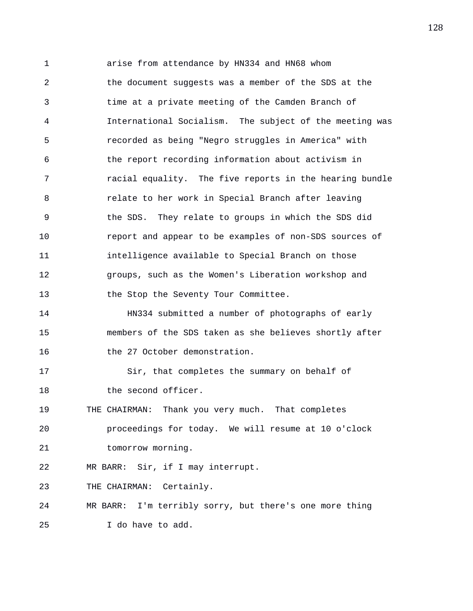1 arise from attendance by HN334 and HN68 whom 2 the document suggests was a member of the SDS at the 3 time at a private meeting of the Camden Branch of 4 International Socialism. The subject of the meeting was 5 recorded as being "Negro struggles in America" with 6 the report recording information about activism in 7 racial equality. The five reports in the hearing bundle 8 relate to her work in Special Branch after leaving 9 the SDS. They relate to groups in which the SDS did 10 report and appear to be examples of non-SDS sources of 11 intelligence available to Special Branch on those 12 groups, such as the Women's Liberation workshop and 13 the Stop the Seventy Tour Committee. 14 HN334 submitted a number of photographs of early 15 members of the SDS taken as she believes shortly after 16 the 27 October demonstration. 17 Sir, that completes the summary on behalf of 18 the second officer. 19 THE CHAIRMAN: Thank you very much. That completes 20 proceedings for today. We will resume at 10 o'clock 21 tomorrow morning. 22 MR BARR: Sir, if I may interrupt. 23 THE CHAIRMAN: Certainly. 24 MR BARR: I'm terribly sorry, but there's one more thing 25 I do have to add.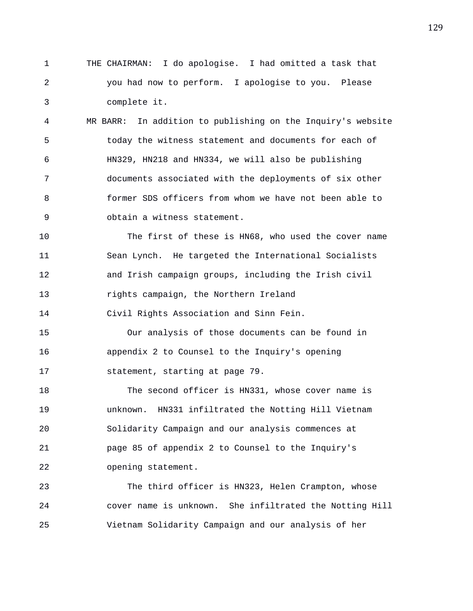1 THE CHAIRMAN: I do apologise. I had omitted a task that 2 you had now to perform. I apologise to you. Please 3 complete it.

4 MR BARR: In addition to publishing on the Inquiry's website 5 today the witness statement and documents for each of 6 HN329, HN218 and HN334, we will also be publishing 7 documents associated with the deployments of six other 8 former SDS officers from whom we have not been able to 9 obtain a witness statement.

10 The first of these is HN68, who used the cover name 11 Sean Lynch. He targeted the International Socialists 12 and Irish campaign groups, including the Irish civil 13 rights campaign, the Northern Ireland

14 Civil Rights Association and Sinn Fein.

15 Our analysis of those documents can be found in 16 appendix 2 to Counsel to the Inquiry's opening 17 statement, starting at page 79.

18 The second officer is HN331, whose cover name is 19 unknown. HN331 infiltrated the Notting Hill Vietnam 20 Solidarity Campaign and our analysis commences at 21 page 85 of appendix 2 to Counsel to the Inquiry's 22 opening statement.

23 The third officer is HN323, Helen Crampton, whose 24 cover name is unknown. She infiltrated the Notting Hill 25 Vietnam Solidarity Campaign and our analysis of her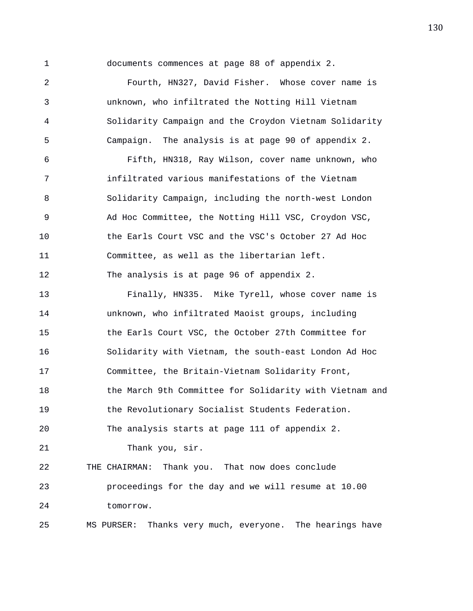1 documents commences at page 88 of appendix 2.

2 Fourth, HN327, David Fisher. Whose cover name is 3 unknown, who infiltrated the Notting Hill Vietnam 4 Solidarity Campaign and the Croydon Vietnam Solidarity 5 Campaign. The analysis is at page 90 of appendix 2.

6 Fifth, HN318, Ray Wilson, cover name unknown, who 7 infiltrated various manifestations of the Vietnam 8 Solidarity Campaign, including the north-west London 9 Ad Hoc Committee, the Notting Hill VSC, Croydon VSC, 10 the Earls Court VSC and the VSC's October 27 Ad Hoc 11 Committee, as well as the libertarian left. 12 The analysis is at page 96 of appendix 2.

13 Finally, HN335. Mike Tyrell, whose cover name is 14 unknown, who infiltrated Maoist groups, including 15 the Earls Court VSC, the October 27th Committee for 16 Solidarity with Vietnam, the south-east London Ad Hoc 17 Committee, the Britain-Vietnam Solidarity Front, 18 the March 9th Committee for Solidarity with Vietnam and 19 the Revolutionary Socialist Students Federation. 20 The analysis starts at page 111 of appendix 2. 21 Thank you, sir. 22 THE CHAIRMAN: Thank you. That now does conclude 23 proceedings for the day and we will resume at 10.00 24 tomorrow. 25 MS PURSER: Thanks very much, everyone. The hearings have